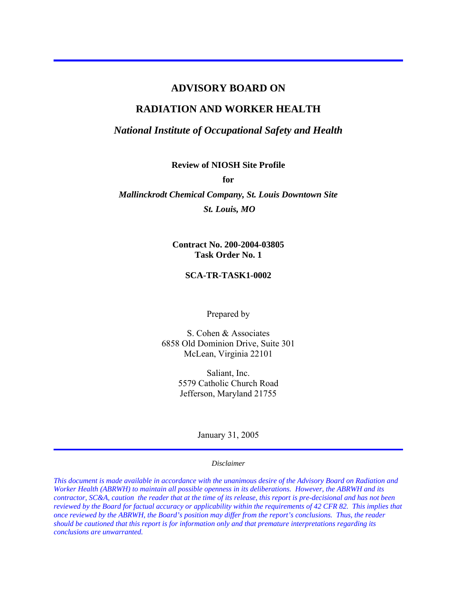#### **ADVISORY BOARD ON**

#### **RADIATION AND WORKER HEALTH**

*National Institute of Occupational Safety and Health* 

**Review of NIOSH Site Profile** 

**for** 

*Mallinckrodt Chemical Company, St. Louis Downtown Site St. Louis, MO* 

> **Contract No. 200-2004-03805 Task Order No. 1**

#### **SCA-TR-TASK1-0002**

Prepared by

S. Cohen & Associates 6858 Old Dominion Drive, Suite 301 McLean, Virginia 22101

> Saliant, Inc. 5579 Catholic Church Road Jefferson, Maryland 21755

> > January 31, 2005

#### *Disclaimer*

*This document is made available in accordance with the unanimous desire of the Advisory Board on Radiation and Worker Health (ABRWH) to maintain all possible openness in its deliberations. However, the ABRWH and its contractor, SC&A, caution the reader that at the time of its release, this report is pre-decisional and has not been reviewed by the Board for factual accuracy or applicability within the requirements of 42 CFR 82. This implies that once reviewed by the ABRWH, the Board's position may differ from the report's conclusions. Thus, the reader should be cautioned that this report is for information only and that premature interpretations regarding its conclusions are unwarranted.*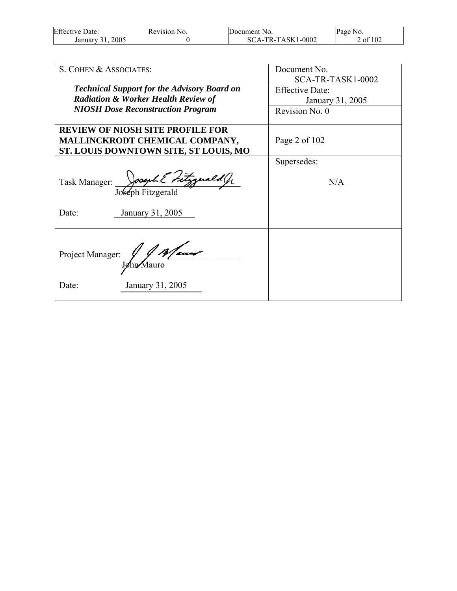| <b>Effective Date:</b> | Revision No. | Document No.        | Page No.        |
|------------------------|--------------|---------------------|-----------------|
| 2005<br>January 31     |              | $SCA-TR-TASK1-0002$ | f $102$<br>2 of |

| S. COHEN & ASSOCIATES:                                                                                             | Document No.                                                    |
|--------------------------------------------------------------------------------------------------------------------|-----------------------------------------------------------------|
| <b>Technical Support for the Advisory Board on</b><br><b>Radiation &amp; Worker Health Review of</b>               | SCA-TR-TASK1-0002<br><b>Effective Date:</b><br>January 31, 2005 |
| <b>NIOSH Dose Reconstruction Program</b>                                                                           | Revision No. 0                                                  |
| <b>REVIEW OF NIOSH SITE PROFILE FOR</b><br>MALLINCKRODT CHEMICAL COMPANY,<br>ST. LOUIS DOWNTOWN SITE, ST LOUIS, MO | Page 2 of $102$                                                 |
|                                                                                                                    | Supersedes:                                                     |
| Task Manager: Joseph Elitzgenald Jr                                                                                | N/A                                                             |
| January 31, 2005<br>Date:                                                                                          |                                                                 |
| Project Manager: 10 Mauro<br>January 31, 2005<br>Date:                                                             |                                                                 |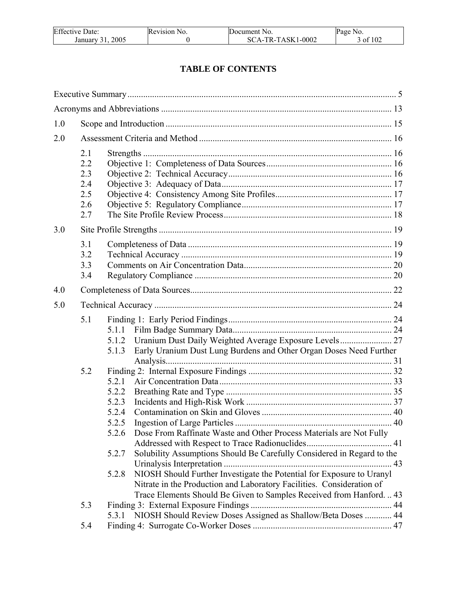| Effective<br>Date: | Revision No. | Document No.   | Page No. |
|--------------------|--------------|----------------|----------|
| 2005               |              | TR-TASK1-0002- | f 102    |
| January 31         |              | SCA-T          | , ot     |

# **TABLE OF CONTENTS**

| 1.0 |                                               |                                                                                                                                                                                                                                                                                                                                                                |  |
|-----|-----------------------------------------------|----------------------------------------------------------------------------------------------------------------------------------------------------------------------------------------------------------------------------------------------------------------------------------------------------------------------------------------------------------------|--|
| 2.0 |                                               |                                                                                                                                                                                                                                                                                                                                                                |  |
|     | 2.1<br>2.2<br>2.3<br>2.4<br>2.5<br>2.6<br>2.7 |                                                                                                                                                                                                                                                                                                                                                                |  |
| 3.0 |                                               |                                                                                                                                                                                                                                                                                                                                                                |  |
|     | 3.1<br>3.2<br>3.3<br>3.4                      |                                                                                                                                                                                                                                                                                                                                                                |  |
| 4.0 |                                               |                                                                                                                                                                                                                                                                                                                                                                |  |
| 5.0 |                                               |                                                                                                                                                                                                                                                                                                                                                                |  |
|     | 5.1                                           | Uranium Dust Daily Weighted Average Exposure Levels 27<br>5.1.2<br>Early Uranium Dust Lung Burdens and Other Organ Doses Need Further<br>5.1.3                                                                                                                                                                                                                 |  |
|     | 5.2                                           | 5.2.1<br>5.2.2<br>5.2.3<br>5.2.4<br>Dose From Raffinate Waste and Other Process Materials are Not Fully<br>5.2.6<br>Solubility Assumptions Should Be Carefully Considered in Regard to the<br>5.2.7<br>NIOSH Should Further Investigate the Potential for Exposure to Uranyl<br>5.2.8<br>Nitrate in the Production and Laboratory Facilities. Consideration of |  |
|     | 5.3                                           | Trace Elements Should Be Given to Samples Received from Hanford.  43<br>5.3.1 NIOSH Should Review Doses Assigned as Shallow/Beta Doses  44                                                                                                                                                                                                                     |  |
|     | 5.4                                           |                                                                                                                                                                                                                                                                                                                                                                |  |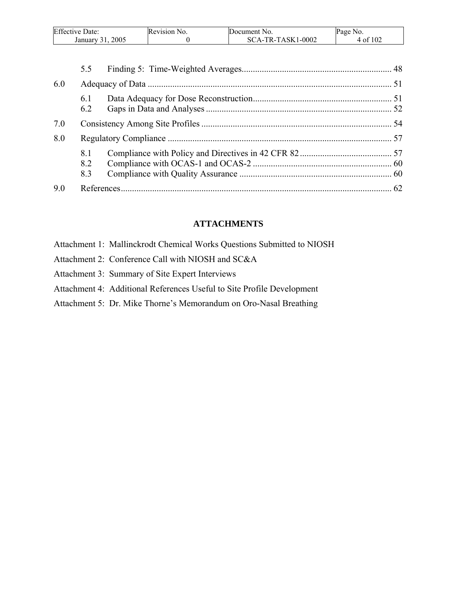| Effective<br>Date: | Revision No. | Document No.                      | No.<br>Page  |
|--------------------|--------------|-----------------------------------|--------------|
| 2005<br>January    |              | 1-0002<br>-TASK1<br>$TR$ .<br>Ά-1 | f 102<br>-01 |

|     | 5.5               |  |
|-----|-------------------|--|
| 6.0 |                   |  |
|     | 6.1<br>6.2        |  |
| 7.0 |                   |  |
| 8.0 |                   |  |
|     | 8.1<br>8.2<br>8.3 |  |
| 9.0 |                   |  |

### **ATTACHMENTS**

- Attachment 1: Mallinckrodt Chemical Works Questions Submitted to NIOSH
- Attachment 2: Conference Call with NIOSH and SC&A
- Attachment 3: Summary of Site Expert Interviews
- Attachment 4: Additional References Useful to Site Profile Development
- Attachment 5: Dr. Mike Thorne's Memorandum on Oro-Nasal Breathing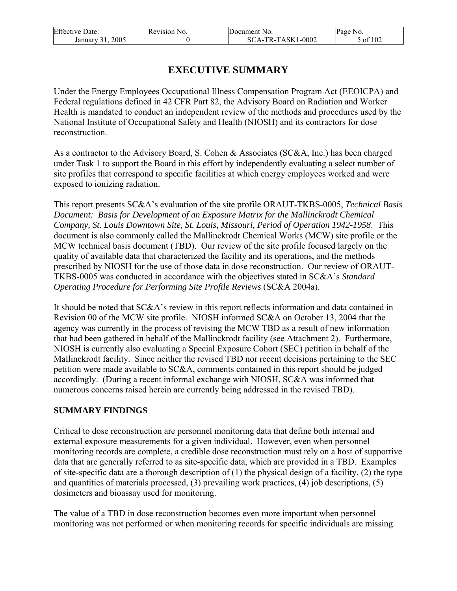| <b>Effective Date:</b>   | Revision No. | <b>IDocument</b> No.                | Page No.      |
|--------------------------|--------------|-------------------------------------|---------------|
| $200^{\circ}$<br>January |              | $-TR-TASK1-0002$<br>$'A - I$<br>SC. | f 102<br>- ot |

# **EXECUTIVE SUMMARY**

Under the Energy Employees Occupational Illness Compensation Program Act (EEOICPA) and Federal regulations defined in 42 CFR Part 82, the Advisory Board on Radiation and Worker Health is mandated to conduct an independent review of the methods and procedures used by the National Institute of Occupational Safety and Health (NIOSH) and its contractors for dose reconstruction.

As a contractor to the Advisory Board, S. Cohen & Associates (SC&A, Inc.) has been charged under Task 1 to support the Board in this effort by independently evaluating a select number of site profiles that correspond to specific facilities at which energy employees worked and were exposed to ionizing radiation.

This report presents SC&A's evaluation of the site profile ORAUT-TKBS-0005, *Technical Basis Document: Basis for Development of an Exposure Matrix for the Mallinckrodt Chemical Company, St. Louis Downtown Site, St. Louis, Missouri, Period of Operation 1942-1958*. This document is also commonly called the Mallinckrodt Chemical Works (MCW) site profile or the MCW technical basis document (TBD). Our review of the site profile focused largely on the quality of available data that characterized the facility and its operations, and the methods prescribed by NIOSH for the use of those data in dose reconstruction. Our review of ORAUT-TKBS-0005 was conducted in accordance with the objectives stated in SC&A's *Standard Operating Procedure for Performing Site Profile Reviews* (SC&A 2004a).

It should be noted that SC&A's review in this report reflects information and data contained in Revision 00 of the MCW site profile. NIOSH informed SC&A on October 13, 2004 that the agency was currently in the process of revising the MCW TBD as a result of new information that had been gathered in behalf of the Mallinckrodt facility (see Attachment 2). Furthermore, NIOSH is currently also evaluating a Special Exposure Cohort (SEC) petition in behalf of the Mallinckrodt facility. Since neither the revised TBD nor recent decisions pertaining to the SEC petition were made available to SC&A, comments contained in this report should be judged accordingly. (During a recent informal exchange with NIOSH, SC&A was informed that numerous concerns raised herein are currently being addressed in the revised TBD).

### **SUMMARY FINDINGS**

Critical to dose reconstruction are personnel monitoring data that define both internal and external exposure measurements for a given individual. However, even when personnel monitoring records are complete, a credible dose reconstruction must rely on a host of supportive data that are generally referred to as site-specific data, which are provided in a TBD. Examples of site-specific data are a thorough description of (1) the physical design of a facility, (2) the type and quantities of materials processed, (3) prevailing work practices, (4) job descriptions, (5) dosimeters and bioassay used for monitoring.

The value of a TBD in dose reconstruction becomes even more important when personnel monitoring was not performed or when monitoring records for specific individuals are missing.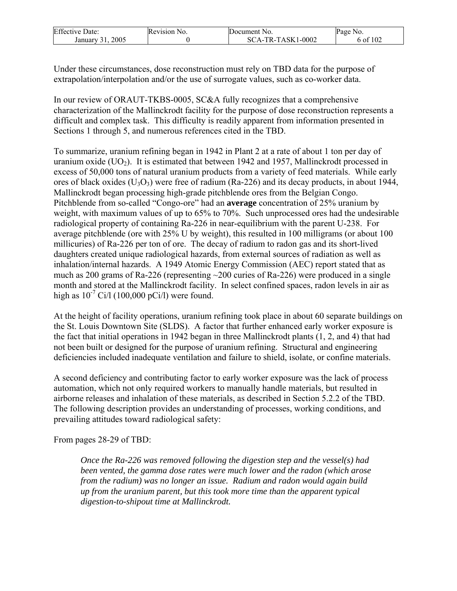| <b>Effective Date:</b> | Revision No. | Document No.      | Page No.      |
|------------------------|--------------|-------------------|---------------|
| 2005<br>January        |              | SCA-TR-TASK1-0002 | f 102<br>o of |

Under these circumstances, dose reconstruction must rely on TBD data for the purpose of extrapolation/interpolation and/or the use of surrogate values, such as co-worker data.

In our review of ORAUT-TKBS-0005, SC&A fully recognizes that a comprehensive characterization of the Mallinckrodt facility for the purpose of dose reconstruction represents a difficult and complex task. This difficulty is readily apparent from information presented in Sections 1 through 5, and numerous references cited in the TBD.

To summarize, uranium refining began in 1942 in Plant 2 at a rate of about 1 ton per day of uranium oxide  $(UO<sub>2</sub>)$ . It is estimated that between 1942 and 1957, Mallinckrodt processed in excess of 50,000 tons of natural uranium products from a variety of feed materials. While early ores of black oxides  $(U_3O_3)$  were free of radium (Ra-226) and its decay products, in about 1944, Mallinckrodt began processing high-grade pitchblende ores from the Belgian Congo. Pitchblende from so-called "Congo-ore" had an **average** concentration of 25% uranium by weight, with maximum values of up to 65% to 70%. Such unprocessed ores had the undesirable radiological property of containing Ra-226 in near-equilibrium with the parent U-238. For average pitchblende (ore with 25% U by weight), this resulted in 100 milligrams (or about 100 millicuries) of Ra-226 per ton of ore. The decay of radium to radon gas and its short-lived daughters created unique radiological hazards, from external sources of radiation as well as inhalation/internal hazards. A 1949 Atomic Energy Commission (AEC) report stated that as much as 200 grams of Ra-226 (representing ~200 curies of Ra-226) were produced in a single month and stored at the Mallinckrodt facility. In select confined spaces, radon levels in air as high as  $10^{-7}$  Ci/l (100,000 pCi/l) were found.

At the height of facility operations, uranium refining took place in about 60 separate buildings on the St. Louis Downtown Site (SLDS). A factor that further enhanced early worker exposure is the fact that initial operations in 1942 began in three Mallinckrodt plants (1, 2, and 4) that had not been built or designed for the purpose of uranium refining. Structural and engineering deficiencies included inadequate ventilation and failure to shield, isolate, or confine materials.

A second deficiency and contributing factor to early worker exposure was the lack of process automation, which not only required workers to manually handle materials, but resulted in airborne releases and inhalation of these materials, as described in Section 5.2.2 of the TBD. The following description provides an understanding of processes, working conditions, and prevailing attitudes toward radiological safety:

From pages 28-29 of TBD:

*Once the Ra-226 was removed following the digestion step and the vessel(s) had been vented, the gamma dose rates were much lower and the radon (which arose from the radium) was no longer an issue. Radium and radon would again build up from the uranium parent, but this took more time than the apparent typical digestion-to-shipout time at Mallinckrodt.*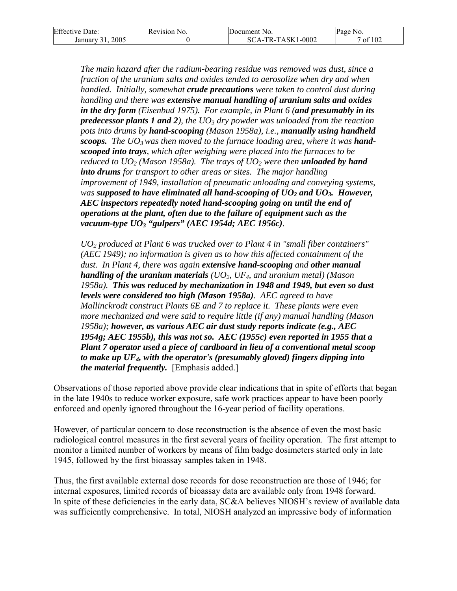| <b>Effective Date:</b>                           | Revision No. | Document No.      | Page No. |
|--------------------------------------------------|--------------|-------------------|----------|
| 2005<br>January <sup>2</sup><br>$\sim$ 1<br>J 1. |              | SCA-TR-TASK1-0002 | of $102$ |

*The main hazard after the radium-bearing residue was removed was dust, since a fraction of the uranium salts and oxides tended to aerosolize when dry and when handled. Initially, somewhat crude precautions were taken to control dust during handling and there was extensive manual handling of uranium salts and oxides in the dry form (Eisenbud 1975). For example, in Plant 6 (and presumably in its predecessor plants 1 and 2), the UO3 dry powder was unloaded from the reaction pots into drums by hand-scooping (Mason 1958a), i.e., manually using handheld scoops.* The UO<sub>3</sub> was then moved to the furnace loading area, where it was hand*scooped into trays, which after weighing were placed into the furnaces to be reduced to*  $UO<sub>2</sub>$  *(Mason 1958a). The trays of*  $UO<sub>2</sub>$  *were then <i>unloaded by hand into drums for transport to other areas or sites. The major handling improvement of 1949, installation of pneumatic unloading and conveying systems, was supposed to have eliminated all hand-scooping of*  $UO<sub>2</sub>$  *and*  $UO<sub>3</sub>$ *. However, AEC inspectors repeatedly noted hand-scooping going on until the end of operations at the plant, often due to the failure of equipment such as the vacuum-type UO3 "gulpers" (AEC 1954d; AEC 1956c).* 

*UO2 produced at Plant 6 was trucked over to Plant 4 in "small fiber containers" (AEC 1949); no information is given as to how this affected containment of the dust. In Plant 4, there was again extensive hand-scooping and other manual handling of the uranium materials (UO2, UF4, and uranium metal) (Mason 1958a). This was reduced by mechanization in 1948 and 1949, but even so dust levels were considered too high (Mason 1958a). AEC agreed to have Mallinckrodt construct Plants 6E and 7 to replace it. These plants were even more mechanized and were said to require little (if any) manual handling (Mason 1958a); however, as various AEC air dust study reports indicate (e.g., AEC 1954g; AEC 1955b), this was not so. AEC (1955c) even reported in 1955 that a Plant 7 operator used a piece of cardboard in lieu of a conventional metal scoop to make up UF4, with the operator's (presumably gloved) fingers dipping into the material frequently.* [Emphasis added.]

Observations of those reported above provide clear indications that in spite of efforts that began in the late 1940s to reduce worker exposure, safe work practices appear to have been poorly enforced and openly ignored throughout the 16-year period of facility operations.

However, of particular concern to dose reconstruction is the absence of even the most basic radiological control measures in the first several years of facility operation. The first attempt to monitor a limited number of workers by means of film badge dosimeters started only in late 1945, followed by the first bioassay samples taken in 1948.

Thus, the first available external dose records for dose reconstruction are those of 1946; for internal exposures, limited records of bioassay data are available only from 1948 forward. In spite of these deficiencies in the early data, SC&A believes NIOSH's review of available data was sufficiently comprehensive. In total, NIOSH analyzed an impressive body of information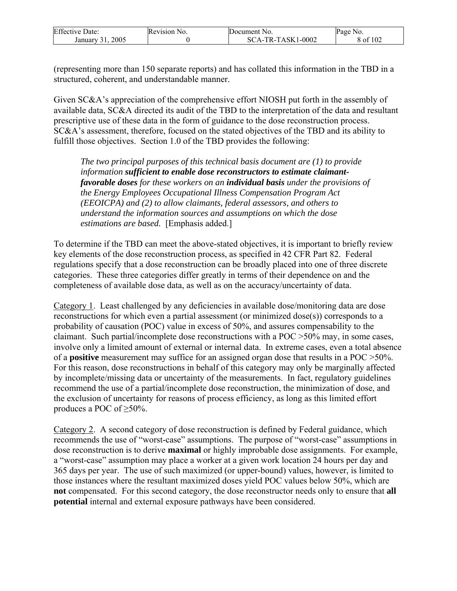| <b>Effective Date:</b> | Revision No. | Document No.       | Page No. |
|------------------------|--------------|--------------------|----------|
| 2005                   |              | $CA-TR-TASK1-0002$ | f 102    |
| January                |              | SC                 | 8 of     |

(representing more than 150 separate reports) and has collated this information in the TBD in a structured, coherent, and understandable manner.

Given SC&A's appreciation of the comprehensive effort NIOSH put forth in the assembly of available data, SC&A directed its audit of the TBD to the interpretation of the data and resultant prescriptive use of these data in the form of guidance to the dose reconstruction process. SC&A's assessment, therefore, focused on the stated objectives of the TBD and its ability to fulfill those objectives. Section 1.0 of the TBD provides the following:

*The two principal purposes of this technical basis document are (1) to provide information sufficient to enable dose reconstructors to estimate claimantfavorable doses for these workers on an individual basis under the provisions of the Energy Employees Occupational Illness Compensation Program Act (EEOICPA) and (2) to allow claimants, federal assessors, and others to understand the information sources and assumptions on which the dose estimations are based.* [Emphasis added.]

To determine if the TBD can meet the above-stated objectives, it is important to briefly review key elements of the dose reconstruction process, as specified in 42 CFR Part 82. Federal regulations specify that a dose reconstruction can be broadly placed into one of three discrete categories. These three categories differ greatly in terms of their dependence on and the completeness of available dose data, as well as on the accuracy/uncertainty of data.

Category 1. Least challenged by any deficiencies in available dose/monitoring data are dose reconstructions for which even a partial assessment (or minimized dose(s)) corresponds to a probability of causation (POC) value in excess of 50%, and assures compensability to the claimant. Such partial/incomplete dose reconstructions with a POC >50% may, in some cases, involve only a limited amount of external or internal data. In extreme cases, even a total absence of a **positive** measurement may suffice for an assigned organ dose that results in a POC >50%. For this reason, dose reconstructions in behalf of this category may only be marginally affected by incomplete/missing data or uncertainty of the measurements. In fact, regulatory guidelines recommend the use of a partial/incomplete dose reconstruction, the minimization of dose, and the exclusion of uncertainty for reasons of process efficiency, as long as this limited effort produces a POC of  $\geq 50\%$ .

Category 2. A second category of dose reconstruction is defined by Federal guidance, which recommends the use of "worst-case" assumptions. The purpose of "worst-case" assumptions in dose reconstruction is to derive **maximal** or highly improbable dose assignments. For example, a "worst-case" assumption may place a worker at a given work location 24 hours per day and 365 days per year. The use of such maximized (or upper-bound) values, however, is limited to those instances where the resultant maximized doses yield POC values below 50%, which are **not** compensated. For this second category, the dose reconstructor needs only to ensure that **all potential** internal and external exposure pathways have been considered.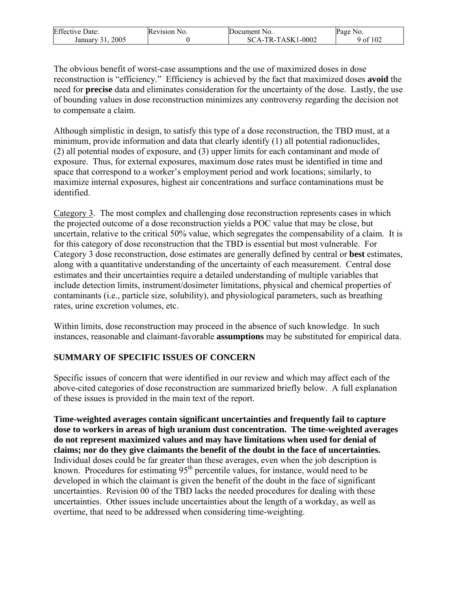| <b>Effective Date:</b> | Revision 1<br>N <sub>0</sub> | Document No.                  | Page No.      |
|------------------------|------------------------------|-------------------------------|---------------|
| 2005<br>January        |                              | 'A-TR-TASK1-<br>1-0002<br>SC. | f 102<br>9 ot |

The obvious benefit of worst-case assumptions and the use of maximized doses in dose reconstruction is "efficiency." Efficiency is achieved by the fact that maximized doses **avoid** the need for **precise** data and eliminates consideration for the uncertainty of the dose. Lastly, the use of bounding values in dose reconstruction minimizes any controversy regarding the decision not to compensate a claim.

Although simplistic in design, to satisfy this type of a dose reconstruction, the TBD must, at a minimum, provide information and data that clearly identify (1) all potential radionuclides, (2) all potential modes of exposure, and (3) upper limits for each contaminant and mode of exposure. Thus, for external exposures, maximum dose rates must be identified in time and space that correspond to a worker's employment period and work locations; similarly, to maximize internal exposures, highest air concentrations and surface contaminations must be identified.

Category 3. The most complex and challenging dose reconstruction represents cases in which the projected outcome of a dose reconstruction yields a POC value that may be close, but uncertain, relative to the critical 50% value, which segregates the compensability of a claim. It is for this category of dose reconstruction that the TBD is essential but most vulnerable. For Category 3 dose reconstruction, dose estimates are generally defined by central or **best** estimates, along with a quantitative understanding of the uncertainty of each measurement. Central dose estimates and their uncertainties require a detailed understanding of multiple variables that include detection limits, instrument/dosimeter limitations, physical and chemical properties of contaminants (i.e., particle size, solubility), and physiological parameters, such as breathing rates, urine excretion volumes, etc.

Within limits, dose reconstruction may proceed in the absence of such knowledge. In such instances, reasonable and claimant-favorable **assumptions** may be substituted for empirical data.

### **SUMMARY OF SPECIFIC ISSUES OF CONCERN**

Specific issues of concern that were identified in our review and which may affect each of the above-cited categories of dose reconstruction are summarized briefly below. A full explanation of these issues is provided in the main text of the report.

**Time-weighted averages contain significant uncertainties and frequently fail to capture dose to workers in areas of high uranium dust concentration. The time-weighted averages do not represent maximized values and may have limitations when used for denial of claims; nor do they give claimants the benefit of the doubt in the face of uncertainties.**  Individual doses could be far greater than these averages, even when the job description is known. Procedures for estimating  $95<sup>th</sup>$  percentile values, for instance, would need to be developed in which the claimant is given the benefit of the doubt in the face of significant uncertainties. Revision 00 of the TBD lacks the needed procedures for dealing with these uncertainties. Other issues include uncertainties about the length of a workday, as well as overtime, that need to be addressed when considering time-weighting.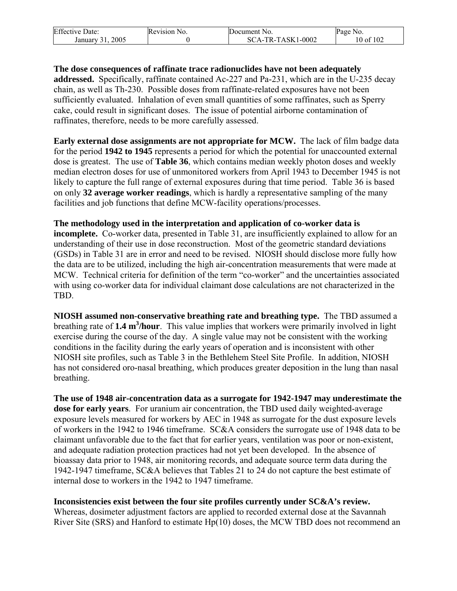| <b>Effective Date:</b>   | <b>Revision</b> N<br>NO. | Document No.      | Page.<br>NO.     |
|--------------------------|--------------------------|-------------------|------------------|
| $200^{\circ}$<br>January |                          | SCA-TR-TASK1-0002 | of 102<br>$0$ of |

**The dose consequences of raffinate trace radionuclides have not been adequately addressed.** Specifically, raffinate contained Ac-227 and Pa-231, which are in the U-235 decay chain, as well as Th-230. Possible doses from raffinate-related exposures have not been sufficiently evaluated. Inhalation of even small quantities of some raffinates, such as Sperry cake, could result in significant doses. The issue of potential airborne contamination of raffinates, therefore, needs to be more carefully assessed.

**Early external dose assignments are not appropriate for MCW.** The lack of film badge data for the period **1942 to 1945** represents a period for which the potential for unaccounted external dose is greatest. The use of **Table 36**, which contains median weekly photon doses and weekly median electron doses for use of unmonitored workers from April 1943 to December 1945 is not likely to capture the full range of external exposures during that time period. Table 36 is based on only **32 average worker readings**, which is hardly a representative sampling of the many facilities and job functions that define MCW-facility operations/processes.

**The methodology used in the interpretation and application of co-worker data is incomplete.** Co-worker data, presented in Table 31, are insufficiently explained to allow for an understanding of their use in dose reconstruction. Most of the geometric standard deviations (GSDs) in Table 31 are in error and need to be revised. NIOSH should disclose more fully how the data are to be utilized, including the high air-concentration measurements that were made at MCW. Technical criteria for definition of the term "co-worker" and the uncertainties associated with using co-worker data for individual claimant dose calculations are not characterized in the TBD.

**NIOSH assumed non-conservative breathing rate and breathing type.** The TBD assumed a breathing rate of 1.4 m<sup>3</sup>/hour. This value implies that workers were primarily involved in light exercise during the course of the day. A single value may not be consistent with the working conditions in the facility during the early years of operation and is inconsistent with other NIOSH site profiles, such as Table 3 in the Bethlehem Steel Site Profile. In addition, NIOSH has not considered oro-nasal breathing, which produces greater deposition in the lung than nasal breathing.

**The use of 1948 air-concentration data as a surrogate for 1942-1947 may underestimate the dose for early years**. For uranium air concentration, the TBD used daily weighted-average exposure levels measured for workers by AEC in 1948 as surrogate for the dust exposure levels of workers in the 1942 to 1946 timeframe. SC&A considers the surrogate use of 1948 data to be claimant unfavorable due to the fact that for earlier years, ventilation was poor or non-existent, and adequate radiation protection practices had not yet been developed. In the absence of bioassay data prior to 1948, air monitoring records, and adequate source term data during the 1942-1947 timeframe, SC&A believes that Tables 21 to 24 do not capture the best estimate of internal dose to workers in the 1942 to 1947 timeframe.

**Inconsistencies exist between the four site profiles currently under SC&A's review.**

Whereas, dosimeter adjustment factors are applied to recorded external dose at the Savannah River Site (SRS) and Hanford to estimate Hp(10) doses, the MCW TBD does not recommend an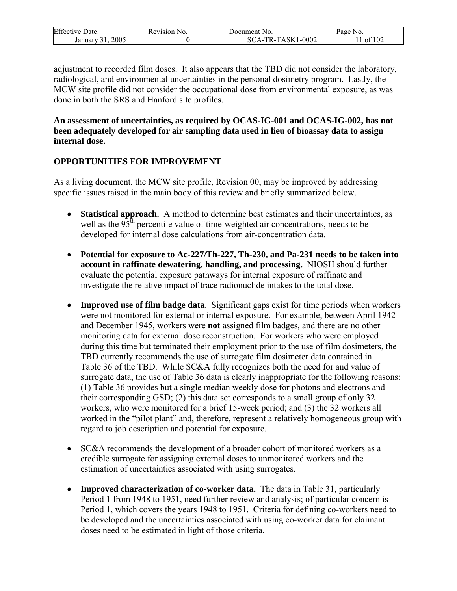| <b>Effective Date:</b> | Revision No. | Document No.                      | Page No. |
|------------------------|--------------|-----------------------------------|----------|
| 2005<br>January        |              | $1 - 0002$<br>:A-TR-TASK1-<br>SC. | of 102   |

adjustment to recorded film doses. It also appears that the TBD did not consider the laboratory, radiological, and environmental uncertainties in the personal dosimetry program. Lastly, the MCW site profile did not consider the occupational dose from environmental exposure, as was done in both the SRS and Hanford site profiles.

#### **An assessment of uncertainties, as required by OCAS-IG-001 and OCAS-IG-002, has not been adequately developed for air sampling data used in lieu of bioassay data to assign internal dose.**

### **OPPORTUNITIES FOR IMPROVEMENT**

As a living document, the MCW site profile, Revision 00, may be improved by addressing specific issues raised in the main body of this review and briefly summarized below.

- **Statistical approach.** A method to determine best estimates and their uncertainties, as well as the  $95<sup>th</sup>$  percentile value of time-weighted air concentrations, needs to be developed for internal dose calculations from air-concentration data.
- **Potential for exposure to Ac-227/Th-227, Th-230, and Pa-231 needs to be taken into account in raffinate dewatering, handling, and processing.** NIOSH should further evaluate the potential exposure pathways for internal exposure of raffinate and investigate the relative impact of trace radionuclide intakes to the total dose.
- **Improved use of film badge data**. Significant gaps exist for time periods when workers were not monitored for external or internal exposure. For example, between April 1942 and December 1945, workers were **not** assigned film badges, and there are no other monitoring data for external dose reconstruction. For workers who were employed during this time but terminated their employment prior to the use of film dosimeters, the TBD currently recommends the use of surrogate film dosimeter data contained in Table 36 of the TBD. While SC&A fully recognizes both the need for and value of surrogate data, the use of Table 36 data is clearly inappropriate for the following reasons: (1) Table 36 provides but a single median weekly dose for photons and electrons and their corresponding GSD; (2) this data set corresponds to a small group of only 32 workers, who were monitored for a brief 15-week period; and (3) the 32 workers all worked in the "pilot plant" and, therefore, represent a relatively homogeneous group with regard to job description and potential for exposure.
- SC&A recommends the development of a broader cohort of monitored workers as a credible surrogate for assigning external doses to unmonitored workers and the estimation of uncertainties associated with using surrogates.
- **Improved characterization of co-worker data.** The data in Table 31, particularly Period 1 from 1948 to 1951, need further review and analysis; of particular concern is Period 1, which covers the years 1948 to 1951. Criteria for defining co-workers need to be developed and the uncertainties associated with using co-worker data for claimant doses need to be estimated in light of those criteria.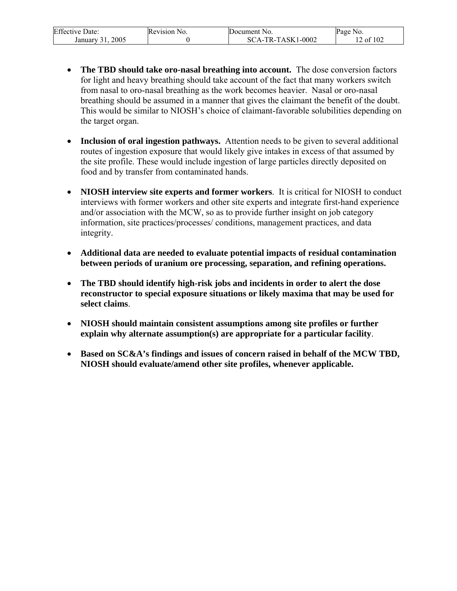| Effective 1<br>Date:   | Revision No. | Document No.      | Page<br>NO. |
|------------------------|--------------|-------------------|-------------|
| 2005<br>January<br>- 1 |              | SCA-TR-TASK1-0002 | of $102$    |

- **The TBD should take oro-nasal breathing into account.** The dose conversion factors for light and heavy breathing should take account of the fact that many workers switch from nasal to oro-nasal breathing as the work becomes heavier. Nasal or oro-nasal breathing should be assumed in a manner that gives the claimant the benefit of the doubt. This would be similar to NIOSH's choice of claimant-favorable solubilities depending on the target organ.
- **Inclusion of oral ingestion pathways.** Attention needs to be given to several additional routes of ingestion exposure that would likely give intakes in excess of that assumed by the site profile. These would include ingestion of large particles directly deposited on food and by transfer from contaminated hands.
- **NIOSH interview site experts and former workers**. It is critical for NIOSH to conduct interviews with former workers and other site experts and integrate first-hand experience and/or association with the MCW, so as to provide further insight on job category information, site practices/processes/ conditions, management practices, and data integrity.
- **Additional data are needed to evaluate potential impacts of residual contamination between periods of uranium ore processing, separation, and refining operations.**
- **The TBD should identify high-risk jobs and incidents in order to alert the dose reconstructor to special exposure situations or likely maxima that may be used for select claims**.
- **NIOSH should maintain consistent assumptions among site profiles or further explain why alternate assumption(s) are appropriate for a particular facility**.
- **Based on SC&A's findings and issues of concern raised in behalf of the MCW TBD, NIOSH should evaluate/amend other site profiles, whenever applicable.**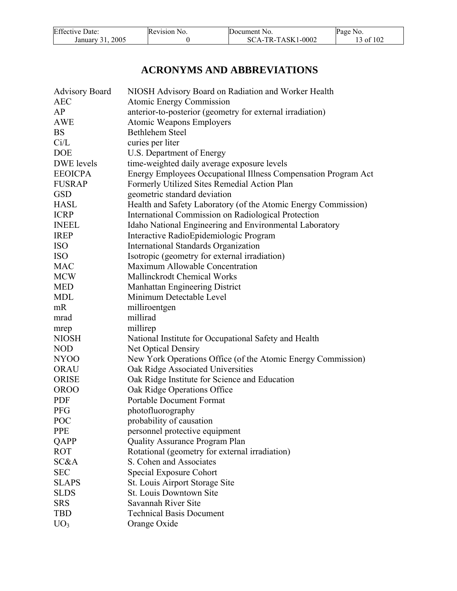| <b>Effective Date:</b> | Revision No. | Document No.      | Page No.  |
|------------------------|--------------|-------------------|-----------|
| 2005<br>January 31,    |              | SCA-TR-TASK1-0002 | 13 of 102 |

# **ACRONYMS AND ABBREVIATIONS**

| <b>Advisory Board</b> | NIOSH Advisory Board on Radiation and Worker Health            |
|-----------------------|----------------------------------------------------------------|
| <b>AEC</b>            | <b>Atomic Energy Commission</b>                                |
| AP                    | anterior-to-posterior (geometry for external irradiation)      |
| <b>AWE</b>            | Atomic Weapons Employers                                       |
| <b>BS</b>             | <b>Bethlehem Steel</b>                                         |
| Ci/L                  | curies per liter                                               |
| <b>DOE</b>            | U.S. Department of Energy                                      |
| DWE levels            | time-weighted daily average exposure levels                    |
| <b>EEOICPA</b>        | Energy Employees Occupational Illness Compensation Program Act |
| <b>FUSRAP</b>         | Formerly Utilized Sites Remedial Action Plan                   |
| <b>GSD</b>            | geometric standard deviation                                   |
| <b>HASL</b>           | Health and Safety Laboratory (of the Atomic Energy Commission) |
| <b>ICRP</b>           | International Commission on Radiological Protection            |
| <b>INEEL</b>          | Idaho National Engineering and Environmental Laboratory        |
| <b>IREP</b>           | Interactive RadioEpidemiologic Program                         |
| <b>ISO</b>            | International Standards Organization                           |
| <b>ISO</b>            | Isotropic (geometry for external irradiation)                  |
| <b>MAC</b>            | Maximum Allowable Concentration                                |
| <b>MCW</b>            | Mallinckrodt Chemical Works                                    |
| <b>MED</b>            | Manhattan Engineering District                                 |
| <b>MDL</b>            | Minimum Detectable Level                                       |
| mR                    | milliroentgen                                                  |
| mrad                  | millirad                                                       |
| mrep                  | millirep                                                       |
| <b>NIOSH</b>          | National Institute for Occupational Safety and Health          |
| <b>NOD</b>            | Net Optical Densiry                                            |
| NY <sub>00</sub>      | New York Operations Office (of the Atomic Energy Commission)   |
| <b>ORAU</b>           | Oak Ridge Associated Universities                              |
| <b>ORISE</b>          | Oak Ridge Institute for Science and Education                  |
| <b>OROO</b>           | Oak Ridge Operations Office                                    |
| <b>PDF</b>            | <b>Portable Document Format</b>                                |
| <b>PFG</b>            | photofluorography                                              |
| POC                   | probability of causation                                       |
| <b>PPE</b>            | personnel protective equipment                                 |
| QAPP                  | <b>Quality Assurance Program Plan</b>                          |
| <b>ROT</b>            | Rotational (geometry for external irradiation)                 |
| SC&A                  | S. Cohen and Associates                                        |
| <b>SEC</b>            | Special Exposure Cohort                                        |
| <b>SLAPS</b>          | St. Louis Airport Storage Site                                 |
| <b>SLDS</b>           | St. Louis Downtown Site                                        |
| <b>SRS</b>            | Savannah River Site                                            |
| <b>TBD</b>            | <b>Technical Basis Document</b>                                |
| UO <sub>3</sub>       | Orange Oxide                                                   |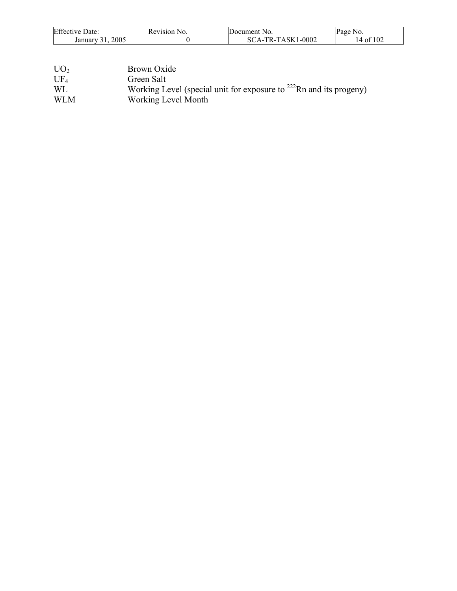| <b>Effective Date:</b> | Revision No. | Document No.      | Page No.  |
|------------------------|--------------|-------------------|-----------|
| 2005<br>January 31     |              | SCA-TR-TASK1-0002 | 14 of 102 |

| UO <sub>2</sub> | Brown Oxide                                                              |
|-----------------|--------------------------------------------------------------------------|
| $UF_4$          | Green Salt                                                               |
| <b>WL</b>       | Working Level (special unit for exposure to $^{222}$ Rn and its progeny) |
| <b>WLM</b>      | Working Level Month                                                      |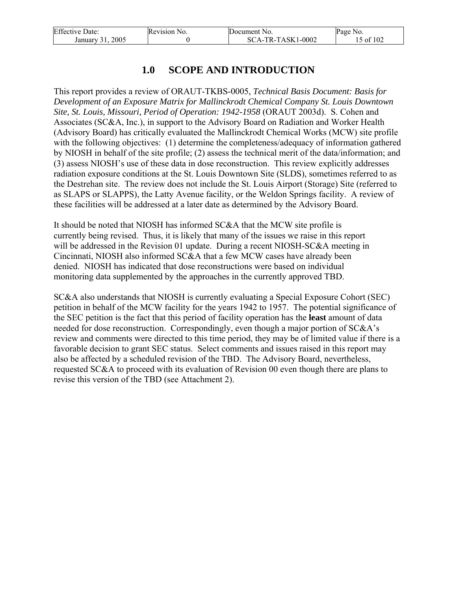| <b>Effective Date:</b>            | Revision No. | Document No.        | Page No.  |
|-----------------------------------|--------------|---------------------|-----------|
| 2005<br>January 31<br>$J_{\perp}$ |              | $SCA-TR-TASK1-0002$ | !5 of 102 |

# **1.0 SCOPE AND INTRODUCTION**

This report provides a review of ORAUT-TKBS-0005, *Technical Basis Document: Basis for Development of an Exposure Matrix for Mallinckrodt Chemical Company St. Louis Downtown Site, St. Louis, Missouri, Period of Operation: 1942-1958* (ORAUT 2003d). S. Cohen and Associates (SC&A, Inc.), in support to the Advisory Board on Radiation and Worker Health (Advisory Board) has critically evaluated the Mallinckrodt Chemical Works (MCW) site profile with the following objectives: (1) determine the completeness/adequacy of information gathered by NIOSH in behalf of the site profile; (2) assess the technical merit of the data/information; and (3) assess NIOSH's use of these data in dose reconstruction. This review explicitly addresses radiation exposure conditions at the St. Louis Downtown Site (SLDS), sometimes referred to as the Destrehan site. The review does not include the St. Louis Airport (Storage) Site (referred to as SLAPS or SLAPPS), the Latty Avenue facility, or the Weldon Springs facility. A review of these facilities will be addressed at a later date as determined by the Advisory Board.

It should be noted that NIOSH has informed SC&A that the MCW site profile is currently being revised. Thus, it is likely that many of the issues we raise in this report will be addressed in the Revision 01 update. During a recent NIOSH-SC&A meeting in Cincinnati, NIOSH also informed SC&A that a few MCW cases have already been denied. NIOSH has indicated that dose reconstructions were based on individual monitoring data supplemented by the approaches in the currently approved TBD.

SC&A also understands that NIOSH is currently evaluating a Special Exposure Cohort (SEC) petition in behalf of the MCW facility for the years 1942 to 1957. The potential significance of the SEC petition is the fact that this period of facility operation has the **least** amount of data needed for dose reconstruction. Correspondingly, even though a major portion of SC&A's review and comments were directed to this time period, they may be of limited value if there is a favorable decision to grant SEC status. Select comments and issues raised in this report may also be affected by a scheduled revision of the TBD. The Advisory Board, nevertheless, requested SC&A to proceed with its evaluation of Revision 00 even though there are plans to revise this version of the TBD (see Attachment 2).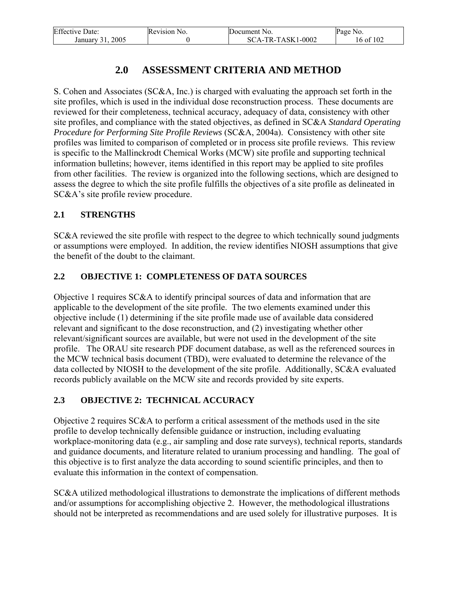| <b>Effective Date:</b> | Revision No. | Document No.      | Page No.  |
|------------------------|--------------|-------------------|-----------|
| 2005<br>January 31.    |              | SCA-TR-TASK1-0002 | 16 of 102 |

# **2.0 ASSESSMENT CRITERIA AND METHOD**

S. Cohen and Associates (SC&A, Inc.) is charged with evaluating the approach set forth in the site profiles, which is used in the individual dose reconstruction process. These documents are reviewed for their completeness, technical accuracy, adequacy of data, consistency with other site profiles, and compliance with the stated objectives, as defined in SC&A *Standard Operating Procedure for Performing Site Profile Reviews* (SC&A, 2004a). Consistency with other site profiles was limited to comparison of completed or in process site profile reviews. This review is specific to the Mallinckrodt Chemical Works (MCW) site profile and supporting technical information bulletins; however, items identified in this report may be applied to site profiles from other facilities. The review is organized into the following sections, which are designed to assess the degree to which the site profile fulfills the objectives of a site profile as delineated in SC&A's site profile review procedure.

### **2.1 STRENGTHS**

SC&A reviewed the site profile with respect to the degree to which technically sound judgments or assumptions were employed. In addition, the review identifies NIOSH assumptions that give the benefit of the doubt to the claimant.

### **2.2 OBJECTIVE 1: COMPLETENESS OF DATA SOURCES**

Objective 1 requires SC&A to identify principal sources of data and information that are applicable to the development of the site profile. The two elements examined under this objective include (1) determining if the site profile made use of available data considered relevant and significant to the dose reconstruction, and (2) investigating whether other relevant/significant sources are available, but were not used in the development of the site profile. The ORAU site research PDF document database, as well as the referenced sources in the MCW technical basis document (TBD), were evaluated to determine the relevance of the data collected by NIOSH to the development of the site profile. Additionally, SC&A evaluated records publicly available on the MCW site and records provided by site experts.

### **2.3 OBJECTIVE 2: TECHNICAL ACCURACY**

Objective 2 requires SC&A to perform a critical assessment of the methods used in the site profile to develop technically defensible guidance or instruction, including evaluating workplace-monitoring data (e.g., air sampling and dose rate surveys), technical reports, standards and guidance documents, and literature related to uranium processing and handling. The goal of this objective is to first analyze the data according to sound scientific principles, and then to evaluate this information in the context of compensation.

SC&A utilized methodological illustrations to demonstrate the implications of different methods and/or assumptions for accomplishing objective 2. However, the methodological illustrations should not be interpreted as recommendations and are used solely for illustrative purposes. It is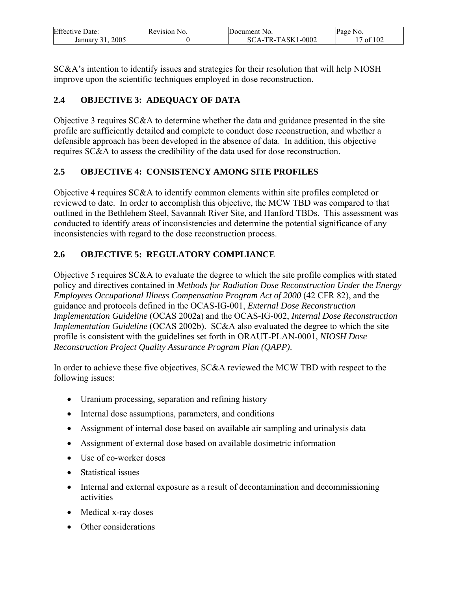| <b>Effective Date:</b> | Revision No. | Document No.      | Page No. |
|------------------------|--------------|-------------------|----------|
| 2005<br>January        |              | SCA-TR-TASK1-0002 | of $102$ |

SC&A's intention to identify issues and strategies for their resolution that will help NIOSH improve upon the scientific techniques employed in dose reconstruction.

### **2.4 OBJECTIVE 3: ADEQUACY OF DATA**

Objective 3 requires SC&A to determine whether the data and guidance presented in the site profile are sufficiently detailed and complete to conduct dose reconstruction, and whether a defensible approach has been developed in the absence of data. In addition, this objective requires SC&A to assess the credibility of the data used for dose reconstruction.

### **2.5 OBJECTIVE 4: CONSISTENCY AMONG SITE PROFILES**

Objective 4 requires SC&A to identify common elements within site profiles completed or reviewed to date. In order to accomplish this objective, the MCW TBD was compared to that outlined in the Bethlehem Steel, Savannah River Site, and Hanford TBDs. This assessment was conducted to identify areas of inconsistencies and determine the potential significance of any inconsistencies with regard to the dose reconstruction process.

### **2.6 OBJECTIVE 5: REGULATORY COMPLIANCE**

Objective 5 requires SC&A to evaluate the degree to which the site profile complies with stated policy and directives contained in *Methods for Radiation Dose Reconstruction Under the Energy Employees Occupational Illness Compensation Program Act of 2000* (42 CFR 82), and the guidance and protocols defined in the OCAS-IG-001, *External Dose Reconstruction Implementation Guideline* (OCAS 2002a) and the OCAS-IG-002, *Internal Dose Reconstruction Implementation Guideline* (OCAS 2002b). SC&A also evaluated the degree to which the site profile is consistent with the guidelines set forth in ORAUT-PLAN-0001, *NIOSH Dose Reconstruction Project Quality Assurance Program Plan (QAPP)*.

In order to achieve these five objectives, SC&A reviewed the MCW TBD with respect to the following issues:

- Uranium processing, separation and refining history
- Internal dose assumptions, parameters, and conditions
- Assignment of internal dose based on available air sampling and urinalysis data
- Assignment of external dose based on available dosimetric information
- Use of co-worker doses
- Statistical issues
- Internal and external exposure as a result of decontamination and decommissioning activities
- Medical x-ray doses
- Other considerations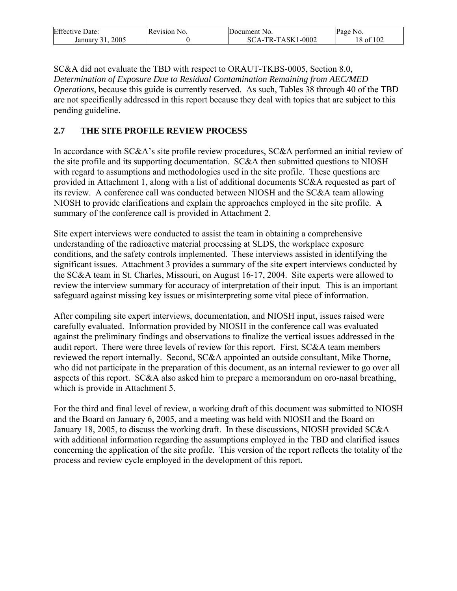| <b>Effective</b> | Revision       | Document No.                         | Page            |
|------------------|----------------|--------------------------------------|-----------------|
| Date:            | N <sub>O</sub> |                                      | N <sub>0</sub>  |
| 2005<br>January  |                | 1-0002<br>-TASK1<br>$TR_1$<br>$SCA-$ | of 102<br>18 of |

SC&A did not evaluate the TBD with respect to ORAUT-TKBS-0005, Section 8.0, *Determination of Exposure Due to Residual Contamination Remaining from AEC/MED Operations*, because this guide is currently reserved. As such, Tables 38 through 40 of the TBD are not specifically addressed in this report because they deal with topics that are subject to this pending guideline.

### **2.7 THE SITE PROFILE REVIEW PROCESS**

In accordance with SC&A's site profile review procedures, SC&A performed an initial review of the site profile and its supporting documentation. SC&A then submitted questions to NIOSH with regard to assumptions and methodologies used in the site profile. These questions are provided in Attachment 1, along with a list of additional documents SC&A requested as part of its review. A conference call was conducted between NIOSH and the SC&A team allowing NIOSH to provide clarifications and explain the approaches employed in the site profile. A summary of the conference call is provided in Attachment 2.

Site expert interviews were conducted to assist the team in obtaining a comprehensive understanding of the radioactive material processing at SLDS, the workplace exposure conditions, and the safety controls implemented. These interviews assisted in identifying the significant issues. Attachment 3 provides a summary of the site expert interviews conducted by the SC&A team in St. Charles, Missouri, on August 16-17, 2004. Site experts were allowed to review the interview summary for accuracy of interpretation of their input. This is an important safeguard against missing key issues or misinterpreting some vital piece of information.

After compiling site expert interviews, documentation, and NIOSH input, issues raised were carefully evaluated. Information provided by NIOSH in the conference call was evaluated against the preliminary findings and observations to finalize the vertical issues addressed in the audit report. There were three levels of review for this report. First, SC&A team members reviewed the report internally. Second, SC&A appointed an outside consultant, Mike Thorne, who did not participate in the preparation of this document, as an internal reviewer to go over all aspects of this report. SC&A also asked him to prepare a memorandum on oro-nasal breathing, which is provide in Attachment 5.

For the third and final level of review, a working draft of this document was submitted to NIOSH and the Board on January 6, 2005, and a meeting was held with NIOSH and the Board on January 18, 2005, to discuss the working draft. In these discussions, NIOSH provided SC&A with additional information regarding the assumptions employed in the TBD and clarified issues concerning the application of the site profile. This version of the report reflects the totality of the process and review cycle employed in the development of this report.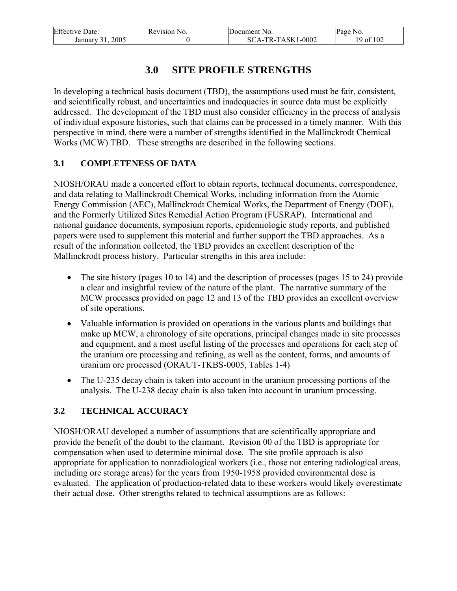| <b>Effective Date:</b> | Revision No. | Document No.      | Page No.  |
|------------------------|--------------|-------------------|-----------|
| 2005<br>January 31.    |              | SCA-TR-TASK1-0002 | 19 of 102 |

# **3.0 SITE PROFILE STRENGTHS**

In developing a technical basis document (TBD), the assumptions used must be fair, consistent, and scientifically robust, and uncertainties and inadequacies in source data must be explicitly addressed. The development of the TBD must also consider efficiency in the process of analysis of individual exposure histories, such that claims can be processed in a timely manner. With this perspective in mind, there were a number of strengths identified in the Mallinckrodt Chemical Works (MCW) TBD. These strengths are described in the following sections.

### **3.1 COMPLETENESS OF DATA**

NIOSH/ORAU made a concerted effort to obtain reports, technical documents, correspondence, and data relating to Mallinckrodt Chemical Works, including information from the Atomic Energy Commission (AEC), Mallinckrodt Chemical Works, the Department of Energy (DOE), and the Formerly Utilized Sites Remedial Action Program (FUSRAP). International and national guidance documents, symposium reports, epidemiologic study reports, and published papers were used to supplement this material and further support the TBD approaches. As a result of the information collected, the TBD provides an excellent description of the Mallinckrodt process history. Particular strengths in this area include:

- The site history (pages 10 to 14) and the description of processes (pages 15 to 24) provide a clear and insightful review of the nature of the plant. The narrative summary of the MCW processes provided on page 12 and 13 of the TBD provides an excellent overview of site operations.
- Valuable information is provided on operations in the various plants and buildings that make up MCW, a chronology of site operations, principal changes made in site processes and equipment, and a most useful listing of the processes and operations for each step of the uranium ore processing and refining, as well as the content, forms, and amounts of uranium ore processed (ORAUT-TKBS-0005, Tables 1-4)
- The U-235 decay chain is taken into account in the uranium processing portions of the analysis. The U-238 decay chain is also taken into account in uranium processing.

### **3.2 TECHNICAL ACCURACY**

NIOSH/ORAU developed a number of assumptions that are scientifically appropriate and provide the benefit of the doubt to the claimant. Revision 00 of the TBD is appropriate for compensation when used to determine minimal dose. The site profile approach is also appropriate for application to nonradiological workers (i.e., those not entering radiological areas, including ore storage areas) for the years from 1950-1958 provided environmental dose is evaluated. The application of production-related data to these workers would likely overestimate their actual dose. Other strengths related to technical assumptions are as follows: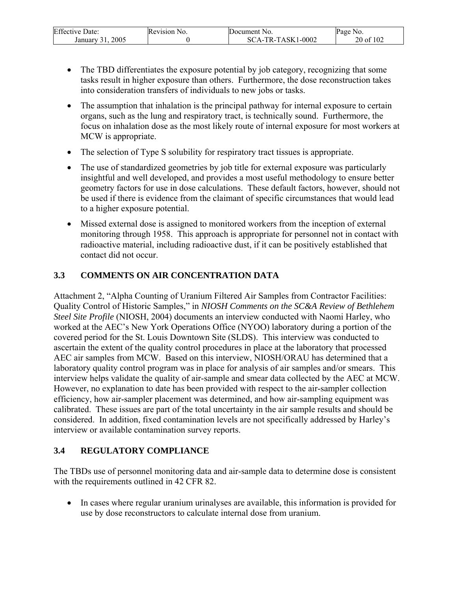| <b>Effective Date:</b>      | Revision No. | Document No.                    | Page<br>N <sub>0</sub> |
|-----------------------------|--------------|---------------------------------|------------------------|
| 2005<br>January<br>$\sim$ 1 |              | CA-TR-TASK1-0002<br>$SC_{\ell}$ | of 102<br>20 of        |

- The TBD differentiates the exposure potential by job category, recognizing that some tasks result in higher exposure than others. Furthermore, the dose reconstruction takes into consideration transfers of individuals to new jobs or tasks.
- The assumption that inhalation is the principal pathway for internal exposure to certain organs, such as the lung and respiratory tract, is technically sound. Furthermore, the focus on inhalation dose as the most likely route of internal exposure for most workers at MCW is appropriate.
- The selection of Type S solubility for respiratory tract tissues is appropriate.
- The use of standardized geometries by job title for external exposure was particularly insightful and well developed, and provides a most useful methodology to ensure better geometry factors for use in dose calculations. These default factors, however, should not be used if there is evidence from the claimant of specific circumstances that would lead to a higher exposure potential.
- Missed external dose is assigned to monitored workers from the inception of external monitoring through 1958. This approach is appropriate for personnel not in contact with radioactive material, including radioactive dust, if it can be positively established that contact did not occur.

### **3.3 COMMENTS ON AIR CONCENTRATION DATA**

Attachment 2, "Alpha Counting of Uranium Filtered Air Samples from Contractor Facilities: Quality Control of Historic Samples," in *NIOSH Comments on the SC&A Review of Bethlehem Steel Site Profile* (NIOSH, 2004) documents an interview conducted with Naomi Harley, who worked at the AEC's New York Operations Office (NYOO) laboratory during a portion of the covered period for the St. Louis Downtown Site (SLDS). This interview was conducted to ascertain the extent of the quality control procedures in place at the laboratory that processed AEC air samples from MCW. Based on this interview, NIOSH/ORAU has determined that a laboratory quality control program was in place for analysis of air samples and/or smears. This interview helps validate the quality of air-sample and smear data collected by the AEC at MCW. However, no explanation to date has been provided with respect to the air-sampler collection efficiency, how air-sampler placement was determined, and how air-sampling equipment was calibrated. These issues are part of the total uncertainty in the air sample results and should be considered. In addition, fixed contamination levels are not specifically addressed by Harley's interview or available contamination survey reports.

### **3.4 REGULATORY COMPLIANCE**

The TBDs use of personnel monitoring data and air-sample data to determine dose is consistent with the requirements outlined in 42 CFR 82.

• In cases where regular uranium urinalyses are available, this information is provided for use by dose reconstructors to calculate internal dose from uranium.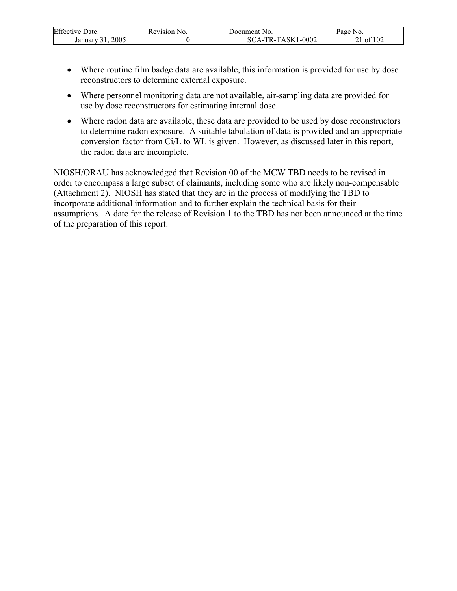| Effective<br>Date:       | Revision No. | Document No.                      | Page No.      |
|--------------------------|--------------|-----------------------------------|---------------|
| 2005<br>January<br>. A I |              | TR-TASK1<br>1-0002<br>80<br>$A -$ | f 102<br>- ot |

- Where routine film badge data are available, this information is provided for use by dose reconstructors to determine external exposure.
- Where personnel monitoring data are not available, air-sampling data are provided for use by dose reconstructors for estimating internal dose.
- Where radon data are available, these data are provided to be used by dose reconstructors to determine radon exposure. A suitable tabulation of data is provided and an appropriate conversion factor from Ci/L to WL is given. However, as discussed later in this report, the radon data are incomplete.

NIOSH/ORAU has acknowledged that Revision 00 of the MCW TBD needs to be revised in order to encompass a large subset of claimants, including some who are likely non-compensable (Attachment 2). NIOSH has stated that they are in the process of modifying the TBD to incorporate additional information and to further explain the technical basis for their assumptions. A date for the release of Revision 1 to the TBD has not been announced at the time of the preparation of this report.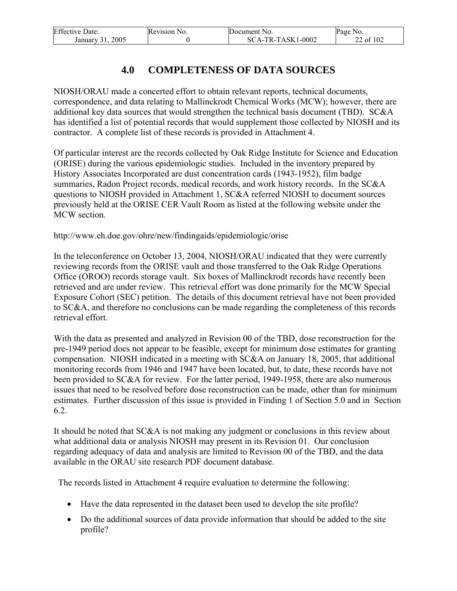| <b>Effective Date:</b> | Revision No. | Document No.      | Page No.  |
|------------------------|--------------|-------------------|-----------|
| 2005<br>January 31.    |              | SCA-TR-TASK1-0002 | 22 of 102 |

# **4.0 COMPLETENESS OF DATA SOURCES**

NIOSH/ORAU made a concerted effort to obtain relevant reports, technical documents, correspondence, and data relating to Mallinckrodt Chemical Works (MCW); however, there are additional key data sources that would strengthen the technical basis document (TBD). SC&A has identified a list of potential records that would supplement those collected by NIOSH and its contractor. A complete list of these records is provided in Attachment 4.

Of particular interest are the records collected by Oak Ridge Institute for Science and Education (ORISE) during the various epidemiologic studies. Included in the inventory prepared by History Associates Incorporated are dust concentration cards (1943-1952), film badge summaries, Radon Project records, medical records, and work history records. In the SC&A questions to NIOSH provided in Attachment 1, SC&A referred NIOSH to document sources previously held at the ORISE CER Vault Room as listed at the following website under the MCW section.

http://www.eh.doe.gov/ohre/new/findingaids/epidemiologic/orise

In the teleconference on October 13, 2004, NIOSH/ORAU indicated that they were currently reviewing records from the ORISE vault and those transferred to the Oak Ridge Operations Office (OROO) records storage vault. Six boxes of Mallinckrodt records have recently been retrieved and are under review. This retrieval effort was done primarily for the MCW Special Exposure Cohort (SEC) petition. The details of this document retrieval have not been provided to SC&A, and therefore no conclusions can be made regarding the completeness of this records retrieval effort.

With the data as presented and analyzed in Revision 00 of the TBD, dose reconstruction for the pre-1949 period does not appear to be feasible, except for minimum dose estimates for granting compensation. NIOSH indicated in a meeting with SC&A on January 18, 2005, that additional monitoring records from 1946 and 1947 have been located, but, to date, these records have not been provided to SC&A for review. For the latter period, 1949-1958, there are also numerous issues that need to be resolved before dose reconstruction can be made, other than for minimum estimates. Further discussion of this issue is provided in Finding 1 of Section 5.0 and in Section 6.2.

It should be noted that SC&A is not making any judgment or conclusions in this review about what additional data or analysis NIOSH may present in its Revision 01. Our conclusion regarding adequacy of data and analysis are limited to Revision 00 of the TBD, and the data available in the ORAU site research PDF document database.

The records listed in Attachment 4 require evaluation to determine the following:

- Have the data represented in the dataset been used to develop the site profile?
- Do the additional sources of data provide information that should be added to the site profile?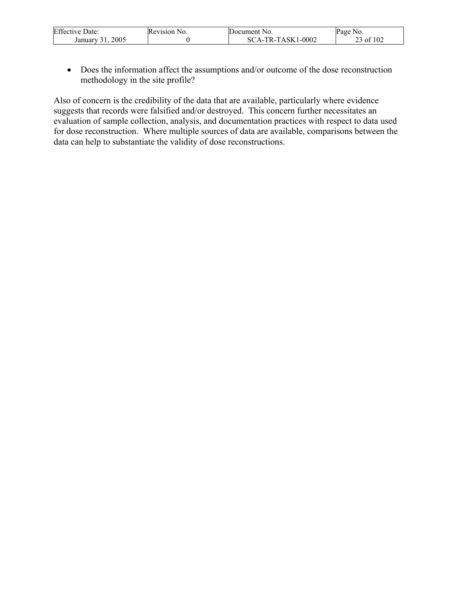| <b>Effective Date:</b> | Revision No. | <b>IDocument No.</b>             | Page No.       |
|------------------------|--------------|----------------------------------|----------------|
| 2005<br>January        |              | $1 - 0002$<br>`A-TR-TASK1-<br>SС | of 102<br>- of |

• Does the information affect the assumptions and/or outcome of the dose reconstruction methodology in the site profile?

Also of concern is the credibility of the data that are available, particularly where evidence suggests that records were falsified and/or destroyed. This concern further necessitates an evaluation of sample collection, analysis, and documentation practices with respect to data used for dose reconstruction. Where multiple sources of data are available, comparisons between the data can help to substantiate the validity of dose reconstructions.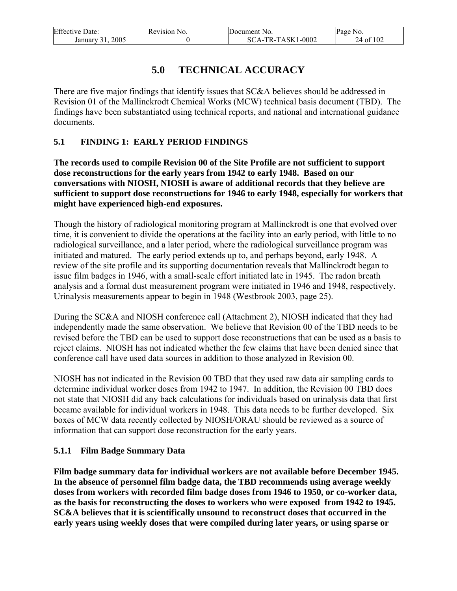| <b>Effective Date:</b> | Revision No. | Document No.        | Page No.  |
|------------------------|--------------|---------------------|-----------|
| 2005<br>January 31.    |              | $SCA-TR-TASK1-0002$ | 24 of 102 |

# **5.0 TECHNICAL ACCURACY**

There are five major findings that identify issues that SC&A believes should be addressed in Revision 01 of the Mallinckrodt Chemical Works (MCW) technical basis document (TBD). The findings have been substantiated using technical reports, and national and international guidance documents.

### **5.1 FINDING 1: EARLY PERIOD FINDINGS**

**The records used to compile Revision 00 of the Site Profile are not sufficient to support dose reconstructions for the early years from 1942 to early 1948. Based on our conversations with NIOSH, NIOSH is aware of additional records that they believe are sufficient to support dose reconstructions for 1946 to early 1948, especially for workers that might have experienced high-end exposures.** 

Though the history of radiological monitoring program at Mallinckrodt is one that evolved over time, it is convenient to divide the operations at the facility into an early period, with little to no radiological surveillance, and a later period, where the radiological surveillance program was initiated and matured. The early period extends up to, and perhaps beyond, early 1948. A review of the site profile and its supporting documentation reveals that Mallinckrodt began to issue film badges in 1946, with a small-scale effort initiated late in 1945. The radon breath analysis and a formal dust measurement program were initiated in 1946 and 1948, respectively. Urinalysis measurements appear to begin in 1948 (Westbrook 2003, page 25).

During the SC&A and NIOSH conference call (Attachment 2), NIOSH indicated that they had independently made the same observation. We believe that Revision 00 of the TBD needs to be revised before the TBD can be used to support dose reconstructions that can be used as a basis to reject claims. NIOSH has not indicated whether the few claims that have been denied since that conference call have used data sources in addition to those analyzed in Revision 00.

NIOSH has not indicated in the Revision 00 TBD that they used raw data air sampling cards to determine individual worker doses from 1942 to 1947. In addition, the Revision 00 TBD does not state that NIOSH did any back calculations for individuals based on urinalysis data that first became available for individual workers in 1948. This data needs to be further developed. Six boxes of MCW data recently collected by NIOSH/ORAU should be reviewed as a source of information that can support dose reconstruction for the early years.

### **5.1.1 Film Badge Summary Data**

**Film badge summary data for individual workers are not available before December 1945. In the absence of personnel film badge data, the TBD recommends using average weekly doses from workers with recorded film badge doses from 1946 to 1950, or co-worker data, as the basis for reconstructing the doses to workers who were exposed from 1942 to 1945. SC&A believes that it is scientifically unsound to reconstruct doses that occurred in the early years using weekly doses that were compiled during later years, or using sparse or**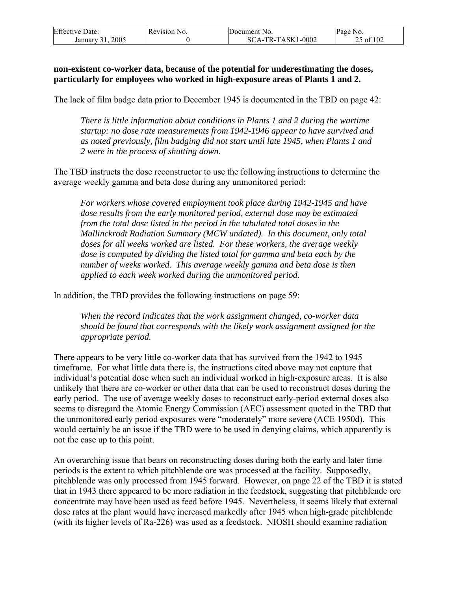| <b>Effective Date:</b> | Revision No. | Document No.        | Page No.  |
|------------------------|--------------|---------------------|-----------|
| 2005<br>January 31.    |              | $SCA-TR-TASK1-0002$ | 25 of 102 |

#### **non-existent co-worker data, because of the potential for underestimating the doses, particularly for employees who worked in high-exposure areas of Plants 1 and 2.**

The lack of film badge data prior to December 1945 is documented in the TBD on page 42:

*There is little information about conditions in Plants 1 and 2 during the wartime startup: no dose rate measurements from 1942-1946 appear to have survived and as noted previously, film badging did not start until late 1945, when Plants 1 and 2 were in the process of shutting down*.

The TBD instructs the dose reconstructor to use the following instructions to determine the average weekly gamma and beta dose during any unmonitored period:

*For workers whose covered employment took place during 1942-1945 and have dose results from the early monitored period, external dose may be estimated from the total dose listed in the period in the tabulated total doses in the Mallinckrodt Radiation Summary (MCW undated). In this document, only total doses for all weeks worked are listed. For these workers, the average weekly dose is computed by dividing the listed total for gamma and beta each by the number of weeks worked. This average weekly gamma and beta dose is then applied to each week worked during the unmonitored period.* 

In addition, the TBD provides the following instructions on page 59:

*When the record indicates that the work assignment changed, co-worker data should be found that corresponds with the likely work assignment assigned for the appropriate period.* 

There appears to be very little co-worker data that has survived from the 1942 to 1945 timeframe. For what little data there is, the instructions cited above may not capture that individual's potential dose when such an individual worked in high-exposure areas. It is also unlikely that there are co-worker or other data that can be used to reconstruct doses during the early period. The use of average weekly doses to reconstruct early-period external doses also seems to disregard the Atomic Energy Commission (AEC) assessment quoted in the TBD that the unmonitored early period exposures were "moderately" more severe (ACE 1950d). This would certainly be an issue if the TBD were to be used in denying claims, which apparently is not the case up to this point.

An overarching issue that bears on reconstructing doses during both the early and later time periods is the extent to which pitchblende ore was processed at the facility. Supposedly, pitchblende was only processed from 1945 forward. However, on page 22 of the TBD it is stated that in 1943 there appeared to be more radiation in the feedstock, suggesting that pitchblende ore concentrate may have been used as feed before 1945. Nevertheless, it seems likely that external dose rates at the plant would have increased markedly after 1945 when high-grade pitchblende (with its higher levels of Ra-226) was used as a feedstock. NIOSH should examine radiation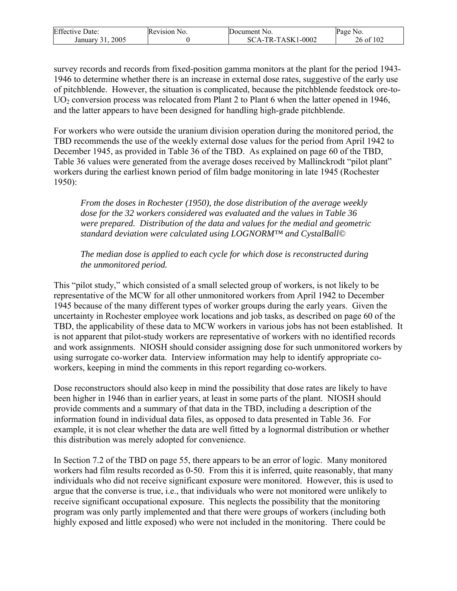| <b>Effective Date:</b> | Revision No. | Document No.           | Page No.  |
|------------------------|--------------|------------------------|-----------|
| 2005<br>January        |              | CA-TR-TASK1-0002<br>SС | 26 of 102 |

survey records and records from fixed-position gamma monitors at the plant for the period 1943- 1946 to determine whether there is an increase in external dose rates, suggestive of the early use of pitchblende. However, the situation is complicated, because the pitchblende feedstock ore-to- $UO<sub>2</sub>$  conversion process was relocated from Plant 2 to Plant 6 when the latter opened in 1946, and the latter appears to have been designed for handling high-grade pitchblende.

For workers who were outside the uranium division operation during the monitored period, the TBD recommends the use of the weekly external dose values for the period from April 1942 to December 1945, as provided in Table 36 of the TBD. As explained on page 60 of the TBD, Table 36 values were generated from the average doses received by Mallinckrodt "pilot plant" workers during the earliest known period of film badge monitoring in late 1945 (Rochester 1950):

*From the doses in Rochester (1950), the dose distribution of the average weekly dose for the 32 workers considered was evaluated and the values in Table 36 were prepared. Distribution of the data and values for the medial and geometric standard deviation were calculated using LOGNORM™ and CystalBall©* 

*The median dose is applied to each cycle for which dose is reconstructed during the unmonitored period.* 

This "pilot study," which consisted of a small selected group of workers, is not likely to be representative of the MCW for all other unmonitored workers from April 1942 to December 1945 because of the many different types of worker groups during the early years. Given the uncertainty in Rochester employee work locations and job tasks, as described on page 60 of the TBD, the applicability of these data to MCW workers in various jobs has not been established. It is not apparent that pilot-study workers are representative of workers with no identified records and work assignments. NIOSH should consider assigning dose for such unmonitored workers by using surrogate co-worker data. Interview information may help to identify appropriate coworkers, keeping in mind the comments in this report regarding co-workers.

Dose reconstructors should also keep in mind the possibility that dose rates are likely to have been higher in 1946 than in earlier years, at least in some parts of the plant. NIOSH should provide comments and a summary of that data in the TBD, including a description of the information found in individual data files, as opposed to data presented in Table 36. For example, it is not clear whether the data are well fitted by a lognormal distribution or whether this distribution was merely adopted for convenience.

In Section 7.2 of the TBD on page 55, there appears to be an error of logic. Many monitored workers had film results recorded as 0-50. From this it is inferred, quite reasonably, that many individuals who did not receive significant exposure were monitored. However, this is used to argue that the converse is true, i.e., that individuals who were not monitored were unlikely to receive significant occupational exposure. This neglects the possibility that the monitoring program was only partly implemented and that there were groups of workers (including both highly exposed and little exposed) who were not included in the monitoring. There could be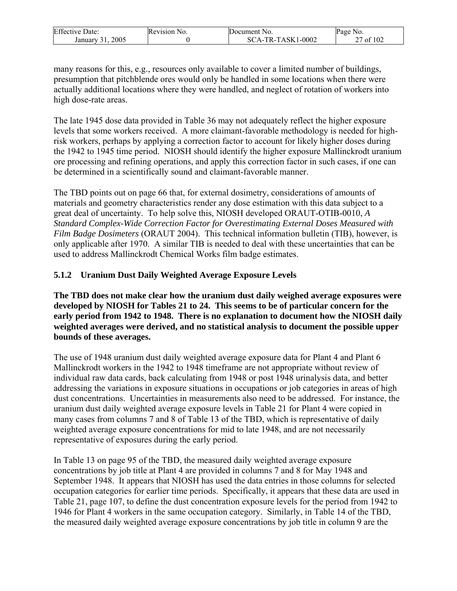| <b>Effective Date:</b> | Revision No. | Document No.                     | Page No.            |
|------------------------|--------------|----------------------------------|---------------------|
| 2005<br>January        |              | $1 - 0002$<br>A-TR-TASK1-<br>SC. | 102 of<br>- of<br>∸ |

many reasons for this, e.g., resources only available to cover a limited number of buildings, presumption that pitchblende ores would only be handled in some locations when there were actually additional locations where they were handled, and neglect of rotation of workers into high dose-rate areas.

The late 1945 dose data provided in Table 36 may not adequately reflect the higher exposure levels that some workers received. A more claimant-favorable methodology is needed for highrisk workers, perhaps by applying a correction factor to account for likely higher doses during the 1942 to 1945 time period. NIOSH should identify the higher exposure Mallinckrodt uranium ore processing and refining operations, and apply this correction factor in such cases, if one can be determined in a scientifically sound and claimant-favorable manner.

The TBD points out on page 66 that, for external dosimetry, considerations of amounts of materials and geometry characteristics render any dose estimation with this data subject to a great deal of uncertainty. To help solve this, NIOSH developed ORAUT-OTIB-0010, *A Standard Complex-Wide Correction Factor for Overestimating External Doses Measured with Film Badge Dosimeters* (ORAUT 2004). This technical information bulletin (TIB), however, is only applicable after 1970. A similar TIB is needed to deal with these uncertainties that can be used to address Mallinckrodt Chemical Works film badge estimates.

### **5.1.2 Uranium Dust Daily Weighted Average Exposure Levels**

**The TBD does not make clear how the uranium dust daily weighed average exposures were developed by NIOSH for Tables 21 to 24. This seems to be of particular concern for the early period from 1942 to 1948. There is no explanation to document how the NIOSH daily weighted averages were derived, and no statistical analysis to document the possible upper bounds of these averages.** 

The use of 1948 uranium dust daily weighted average exposure data for Plant 4 and Plant 6 Mallinckrodt workers in the 1942 to 1948 timeframe are not appropriate without review of individual raw data cards, back calculating from 1948 or post 1948 urinalysis data, and better addressing the variations in exposure situations in occupations or job categories in areas of high dust concentrations. Uncertainties in measurements also need to be addressed. For instance, the uranium dust daily weighted average exposure levels in Table 21 for Plant 4 were copied in many cases from columns 7 and 8 of Table 13 of the TBD, which is representative of daily weighted average exposure concentrations for mid to late 1948, and are not necessarily representative of exposures during the early period.

In Table 13 on page 95 of the TBD, the measured daily weighted average exposure concentrations by job title at Plant 4 are provided in columns 7 and 8 for May 1948 and September 1948. It appears that NIOSH has used the data entries in those columns for selected occupation categories for earlier time periods. Specifically, it appears that these data are used in Table 21, page 107, to define the dust concentration exposure levels for the period from 1942 to 1946 for Plant 4 workers in the same occupation category. Similarly, in Table 14 of the TBD, the measured daily weighted average exposure concentrations by job title in column 9 are the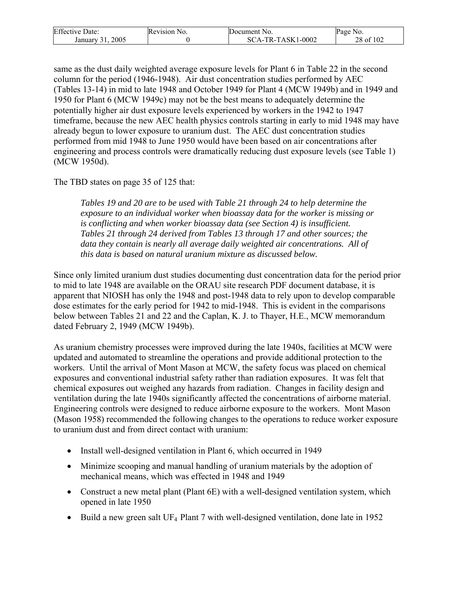| <b>Effective Date:</b> | Revision N<br>NO. | Document No.                                 | Page No.  |
|------------------------|-------------------|----------------------------------------------|-----------|
| 2005<br>January        |                   | $1 - 0002$<br>`A-TR-TASK1 <sub>`</sub><br>SС | 28 of 102 |

same as the dust daily weighted average exposure levels for Plant 6 in Table 22 in the second column for the period (1946-1948). Air dust concentration studies performed by AEC (Tables 13-14) in mid to late 1948 and October 1949 for Plant 4 (MCW 1949b) and in 1949 and 1950 for Plant 6 (MCW 1949c) may not be the best means to adequately determine the potentially higher air dust exposure levels experienced by workers in the 1942 to 1947 timeframe, because the new AEC health physics controls starting in early to mid 1948 may have already begun to lower exposure to uranium dust. The AEC dust concentration studies performed from mid 1948 to June 1950 would have been based on air concentrations after engineering and process controls were dramatically reducing dust exposure levels (see Table 1) (MCW 1950d).

The TBD states on page 35 of 125 that:

*Tables 19 and 20 are to be used with Table 21 through 24 to help determine the exposure to an individual worker when bioassay data for the worker is missing or is conflicting and when worker bioassay data (see Section 4) is insufficient. Tables 21 through 24 derived from Tables 13 through 17 and other sources; the data they contain is nearly all average daily weighted air concentrations. All of this data is based on natural uranium mixture as discussed below.* 

Since only limited uranium dust studies documenting dust concentration data for the period prior to mid to late 1948 are available on the ORAU site research PDF document database, it is apparent that NIOSH has only the 1948 and post-1948 data to rely upon to develop comparable dose estimates for the early period for 1942 to mid-1948. This is evident in the comparisons below between Tables 21 and 22 and the Caplan, K. J. to Thayer, H.E., MCW memorandum dated February 2, 1949 (MCW 1949b).

As uranium chemistry processes were improved during the late 1940s, facilities at MCW were updated and automated to streamline the operations and provide additional protection to the workers. Until the arrival of Mont Mason at MCW, the safety focus was placed on chemical exposures and conventional industrial safety rather than radiation exposures. It was felt that chemical exposures out weighed any hazards from radiation. Changes in facility design and ventilation during the late 1940s significantly affected the concentrations of airborne material. Engineering controls were designed to reduce airborne exposure to the workers. Mont Mason (Mason 1958) recommended the following changes to the operations to reduce worker exposure to uranium dust and from direct contact with uranium:

- Install well-designed ventilation in Plant 6, which occurred in 1949
- Minimize scooping and manual handling of uranium materials by the adoption of mechanical means, which was effected in 1948 and 1949
- Construct a new metal plant (Plant 6E) with a well-designed ventilation system, which opened in late 1950
- Build a new green salt UF<sub>4</sub> Plant 7 with well-designed ventilation, done late in 1952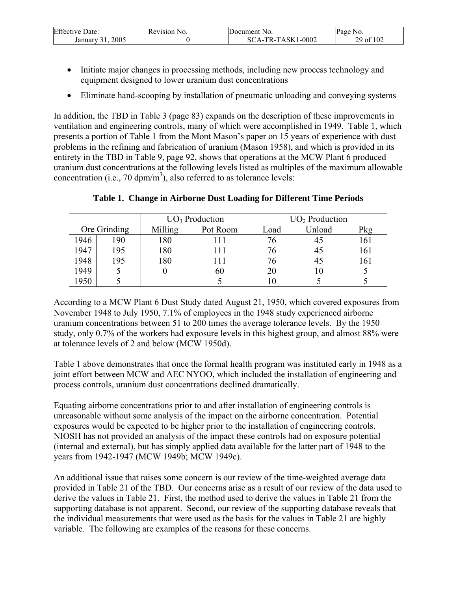| <b>Effective Date:</b> | Revision No. | Document No.           | Page No.  |
|------------------------|--------------|------------------------|-----------|
| 2005<br>January        |              | A-TR-TASK1-0002:<br>ŠС | 29 of 102 |

- Initiate major changes in processing methods, including new process technology and equipment designed to lower uranium dust concentrations
- Eliminate hand-scooping by installation of pneumatic unloading and conveying systems

In addition, the TBD in Table 3 (page 83) expands on the description of these improvements in ventilation and engineering controls, many of which were accomplished in 1949. Table 1, which presents a portion of Table 1 from the Mont Mason's paper on 15 years of experience with dust problems in the refining and fabrication of uranium (Mason 1958), and which is provided in its entirety in the TBD in Table 9, page 92, shows that operations at the MCW Plant 6 produced uranium dust concentrations at the following levels listed as multiples of the maximum allowable concentration (i.e., 70  $dpm/m<sup>3</sup>$ ), also referred to as tolerance levels:

|      |              | $UO3$ Production |          | $UO2$ Production |        |     |
|------|--------------|------------------|----------|------------------|--------|-----|
|      | Ore Grinding | Milling          | Pot Room | Load             | Unload | Pkg |
| 1946 | 190          | 180              |          | 76               | 45     | 161 |
| 1947 | 195          | 180              | 111      | 76               | 45     | 161 |
| 1948 | 195          | 180              | 111      | 76               | 45     | 161 |
| 1949 |              |                  | 60       | 20               | 10     |     |
| 1950 |              |                  |          |                  |        |     |

### **Table 1. Change in Airborne Dust Loading for Different Time Periods**

According to a MCW Plant 6 Dust Study dated August 21, 1950, which covered exposures from November 1948 to July 1950, 7.1% of employees in the 1948 study experienced airborne uranium concentrations between 51 to 200 times the average tolerance levels. By the 1950 study, only 0.7% of the workers had exposure levels in this highest group, and almost 88% were at tolerance levels of 2 and below (MCW 1950d).

Table 1 above demonstrates that once the formal health program was instituted early in 1948 as a joint effort between MCW and AEC NYOO, which included the installation of engineering and process controls, uranium dust concentrations declined dramatically.

Equating airborne concentrations prior to and after installation of engineering controls is unreasonable without some analysis of the impact on the airborne concentration. Potential exposures would be expected to be higher prior to the installation of engineering controls. NIOSH has not provided an analysis of the impact these controls had on exposure potential (internal and external), but has simply applied data available for the latter part of 1948 to the years from 1942-1947 (MCW 1949b; MCW 1949c).

An additional issue that raises some concern is our review of the time-weighted average data provided in Table 21 of the TBD. Our concerns arise as a result of our review of the data used to derive the values in Table 21. First, the method used to derive the values in Table 21 from the supporting database is not apparent. Second, our review of the supporting database reveals that the individual measurements that were used as the basis for the values in Table 21 are highly variable. The following are examples of the reasons for these concerns.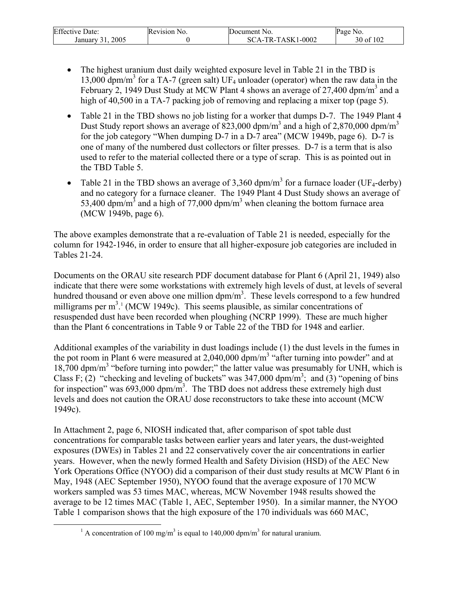| r ce<br>Date:<br>Effective | Revision N<br>N <sub>O</sub> | Document No.                   | age<br>NO.     |
|----------------------------|------------------------------|--------------------------------|----------------|
| 2005<br>January            |                              | 1-0002<br><b>TASK</b><br>$TR-$ | f 102<br>30 of |

- The highest uranium dust daily weighted exposure level in Table 21 in the TBD is 13,000 dpm/m<sup>3</sup> for a TA-7 (green salt) UF<sub>4</sub> unloader (operator) when the raw data in the February 2, 1949 Dust Study at MCW Plant 4 shows an average of 27,400 dpm/m<sup>3</sup> and a high of 40,500 in a TA-7 packing job of removing and replacing a mixer top (page 5).
- Table 21 in the TBD shows no job listing for a worker that dumps D-7. The 1949 Plant 4 Dust Study report shows an average of 823,000 dpm/m<sup>3</sup> and a high of 2,870,000 dpm/m<sup>3</sup> for the job category "When dumping D-7 in a D-7 area" (MCW 1949b, page 6). D-7 is one of many of the numbered dust collectors or filter presses. D-7 is a term that is also used to refer to the material collected there or a type of scrap. This is as pointed out in the TBD Table 5.
- Table 21 in the TBD shows an average of 3,360 dpm/m<sup>3</sup> for a furnace loader (UF<sub>4</sub>-derby) and no category for a furnace cleaner. The 1949 Plant 4 Dust Study shows an average of 53,400 dpm/m<sup>3</sup> and a high of 77,000 dpm/m<sup>3</sup> when cleaning the bottom furnace area (MCW 1949b, page 6).

The above examples demonstrate that a re-evaluation of Table 21 is needed, especially for the column for 1942-1946, in order to ensure that all higher-exposure job categories are included in Tables 21-24.

Documents on the ORAU site research PDF document database for Plant 6 (April 21, 1949) also indicate that there were some workstations with extremely high levels of dust, at levels of several hundred thousand or even above one million  $dpm/m<sup>3</sup>$ . These levels correspond to a few hundred milligrams per  $m<sup>3,1</sup>$  (MCW 1949c). This seems plausible, as similar concentrations of resuspended dust have been recorded when ploughing (NCRP 1999). These are much higher than the Plant 6 concentrations in Table 9 or Table 22 of the TBD for 1948 and earlier.

Additional examples of the variability in dust loadings include (1) the dust levels in the fumes in the pot room in Plant 6 were measured at  $2,040,000$  dpm/m<sup>3</sup> "after turning into powder" and at 18,700 dpm/m<sup>3</sup> "before turning into powder;" the latter value was presumably for UNH, which is Class F; (2) "checking and leveling of buckets" was  $347,000$  dpm/m<sup>3</sup>; and (3) "opening of bins for inspection" was  $693,000$  dpm/m<sup>3</sup>. The TBD does not address these extremely high dust levels and does not caution the ORAU dose reconstructors to take these into account (MCW 1949c).

In Attachment 2, page 6, NIOSH indicated that, after comparison of spot table dust concentrations for comparable tasks between earlier years and later years, the dust-weighted exposures (DWEs) in Tables 21 and 22 conservatively cover the air concentrations in earlier years. However, when the newly formed Health and Safety Division (HSD) of the AEC New York Operations Office (NYOO) did a comparison of their dust study results at MCW Plant 6 in May, 1948 (AEC September 1950), NYOO found that the average exposure of 170 MCW workers sampled was 53 times MAC, whereas, MCW November 1948 results showed the average to be 12 times MAC (Table 1, AEC, September 1950). In a similar manner, the NYOO Table 1 comparison shows that the high exposure of the 170 individuals was 660 MAC,

<sup>&</sup>lt;u>1</u> A concentration of 100 mg/m<sup>3</sup> is equal to 140,000 dpm/m<sup>3</sup> for natural uranium.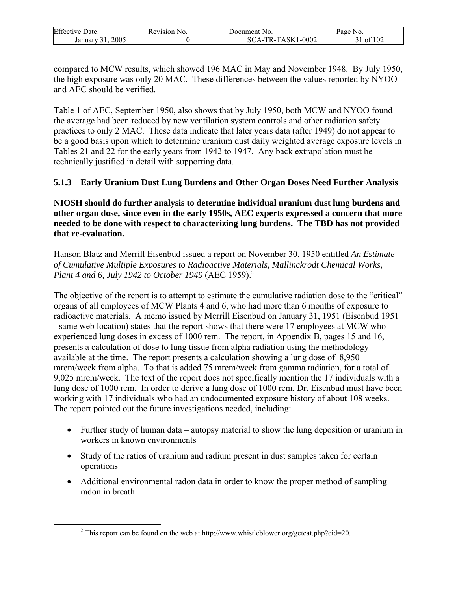| <b>Effective Date:</b> | Revision N<br>NO. | Document No.                            | Page No.      |
|------------------------|-------------------|-----------------------------------------|---------------|
| 2005<br>January        |                   | 1-0002<br>A-TR-TASK1<br>SC <sup>-</sup> | f 102<br>- ot |

compared to MCW results, which showed 196 MAC in May and November 1948. By July 1950, the high exposure was only 20 MAC. These differences between the values reported by NYOO and AEC should be verified.

Table 1 of AEC, September 1950, also shows that by July 1950, both MCW and NYOO found the average had been reduced by new ventilation system controls and other radiation safety practices to only 2 MAC. These data indicate that later years data (after 1949) do not appear to be a good basis upon which to determine uranium dust daily weighted average exposure levels in Tables 21 and 22 for the early years from 1942 to 1947. Any back extrapolation must be technically justified in detail with supporting data.

**5.1.3 Early Uranium Dust Lung Burdens and Other Organ Doses Need Further Analysis** 

**NIOSH should do further analysis to determine individual uranium dust lung burdens and other organ dose, since even in the early 1950s, AEC experts expressed a concern that more needed to be done with respect to characterizing lung burdens. The TBD has not provided that re-evaluation.** 

Hanson Blatz and Merrill Eisenbud issued a report on November 30, 1950 entitled *An Estimate of Cumulative Multiple Exposures to Radioactive Materials, Mallinckrodt Chemical Works, Plant 4 and 6, July 1942 to October 1949* (AEC 1959).<sup>2</sup>

The objective of the report is to attempt to estimate the cumulative radiation dose to the "critical" organs of all employees of MCW Plants 4 and 6, who had more than 6 months of exposure to radioactive materials. A memo issued by Merrill Eisenbud on January 31, 1951 (Eisenbud 1951 - same web location) states that the report shows that there were 17 employees at MCW who experienced lung doses in excess of 1000 rem. The report, in Appendix B, pages 15 and 16, presents a calculation of dose to lung tissue from alpha radiation using the methodology available at the time. The report presents a calculation showing a lung dose of 8,950 mrem/week from alpha. To that is added 75 mrem/week from gamma radiation, for a total of 9,025 mrem/week. The text of the report does not specifically mention the 17 individuals with a lung dose of 1000 rem. In order to derive a lung dose of 1000 rem, Dr. Eisenbud must have been working with 17 individuals who had an undocumented exposure history of about 108 weeks. The report pointed out the future investigations needed, including:

- Further study of human data autopsy material to show the lung deposition or uranium in workers in known environments
- Study of the ratios of uranium and radium present in dust samples taken for certain operations
- Additional environmental radon data in order to know the proper method of sampling radon in breath

 $\frac{1}{2}$ <sup>2</sup> This report can be found on the web at http://www.whistleblower.org/getcat.php?cid=20.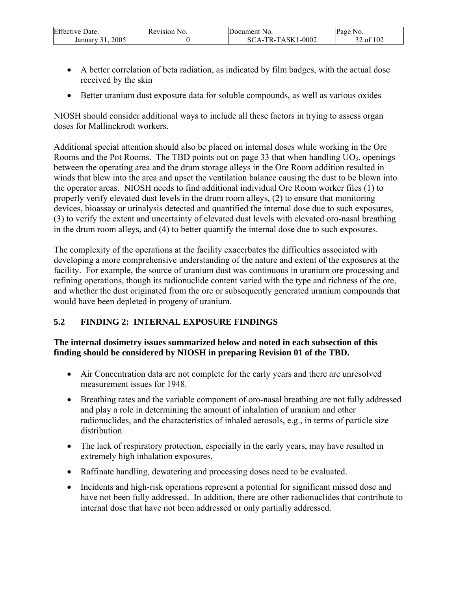| <b>Effective Date:</b> | Revision No. | <b>Document</b> No.        | Page No. |
|------------------------|--------------|----------------------------|----------|
| 2005<br>January        |              | -TR-TASK1-0002<br>$\Delta$ | 2 of 102 |

- A better correlation of beta radiation, as indicated by film badges, with the actual dose received by the skin
- Better uranium dust exposure data for soluble compounds, as well as various oxides

NIOSH should consider additional ways to include all these factors in trying to assess organ doses for Mallinckrodt workers.

Additional special attention should also be placed on internal doses while working in the Ore Rooms and the Pot Rooms. The TBD points out on page 33 that when handling  $UO_3$ , openings between the operating area and the drum storage alleys in the Ore Room addition resulted in winds that blew into the area and upset the ventilation balance causing the dust to be blown into the operator areas. NIOSH needs to find additional individual Ore Room worker files (1) to properly verify elevated dust levels in the drum room alleys, (2) to ensure that monitoring devices, bioassay or urinalysis detected and quantified the internal dose due to such exposures, (3) to verify the extent and uncertainty of elevated dust levels with elevated oro-nasal breathing in the drum room alleys, and (4) to better quantify the internal dose due to such exposures.

The complexity of the operations at the facility exacerbates the difficulties associated with developing a more comprehensive understanding of the nature and extent of the exposures at the facility. For example, the source of uranium dust was continuous in uranium ore processing and refining operations, though its radionuclide content varied with the type and richness of the ore, and whether the dust originated from the ore or subsequently generated uranium compounds that would have been depleted in progeny of uranium.

# **5.2 FINDING 2: INTERNAL EXPOSURE FINDINGS**

### **The internal dosimetry issues summarized below and noted in each subsection of this finding should be considered by NIOSH in preparing Revision 01 of the TBD.**

- Air Concentration data are not complete for the early years and there are unresolved measurement issues for 1948.
- Breathing rates and the variable component of oro-nasal breathing are not fully addressed and play a role in determining the amount of inhalation of uranium and other radionuclides, and the characteristics of inhaled aerosols, e.g., in terms of particle size distribution.
- The lack of respiratory protection, especially in the early years, may have resulted in extremely high inhalation exposures.
- Raffinate handling, dewatering and processing doses need to be evaluated.
- Incidents and high-risk operations represent a potential for significant missed dose and have not been fully addressed. In addition, there are other radionuclides that contribute to internal dose that have not been addressed or only partially addressed.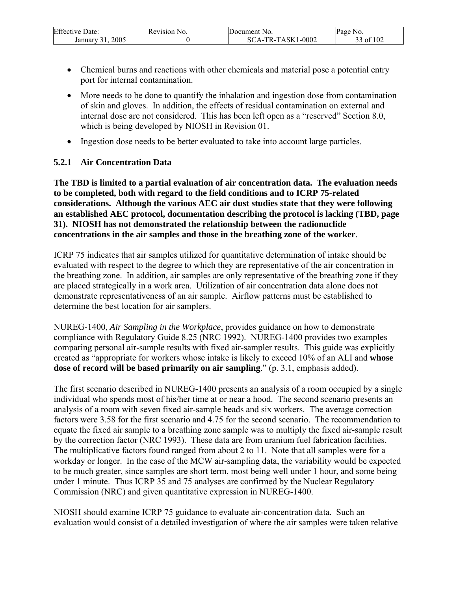| <b>Effective Date:</b> | Revision N<br>NO. | <b>IDocument</b> No.                        | Page No.     |
|------------------------|-------------------|---------------------------------------------|--------------|
| 2005<br>January 31     |                   | $1 - 0002$<br><sup>~</sup> A-TR-TASK1<br>SС | f 102<br>-of |

- Chemical burns and reactions with other chemicals and material pose a potential entry port for internal contamination.
- More needs to be done to quantify the inhalation and ingestion dose from contamination of skin and gloves. In addition, the effects of residual contamination on external and internal dose are not considered. This has been left open as a "reserved" Section 8.0, which is being developed by NIOSH in Revision 01.
- Ingestion dose needs to be better evaluated to take into account large particles.

### **5.2.1 Air Concentration Data**

**The TBD is limited to a partial evaluation of air concentration data. The evaluation needs to be completed, both with regard to the field conditions and to ICRP 75-related considerations. Although the various AEC air dust studies state that they were following an established AEC protocol, documentation describing the protocol is lacking (TBD, page 31). NIOSH has not demonstrated the relationship between the radionuclide concentrations in the air samples and those in the breathing zone of the worker**.

ICRP 75 indicates that air samples utilized for quantitative determination of intake should be evaluated with respect to the degree to which they are representative of the air concentration in the breathing zone. In addition, air samples are only representative of the breathing zone if they are placed strategically in a work area. Utilization of air concentration data alone does not demonstrate representativeness of an air sample. Airflow patterns must be established to determine the best location for air samplers.

NUREG-1400, *Air Sampling in the Workplace*, provides guidance on how to demonstrate compliance with Regulatory Guide 8.25 (NRC 1992). NUREG-1400 provides two examples comparing personal air-sample results with fixed air-sampler results. This guide was explicitly created as "appropriate for workers whose intake is likely to exceed 10% of an ALI and **whose dose of record will be based primarily on air sampling**." (p. 3.1, emphasis added).

The first scenario described in NUREG-1400 presents an analysis of a room occupied by a single individual who spends most of his/her time at or near a hood. The second scenario presents an analysis of a room with seven fixed air-sample heads and six workers. The average correction factors were 3.58 for the first scenario and 4.75 for the second scenario. The recommendation to equate the fixed air sample to a breathing zone sample was to multiply the fixed air-sample result by the correction factor (NRC 1993). These data are from uranium fuel fabrication facilities. The multiplicative factors found ranged from about 2 to 11. Note that all samples were for a workday or longer. In the case of the MCW air-sampling data, the variability would be expected to be much greater, since samples are short term, most being well under 1 hour, and some being under 1 minute. Thus ICRP 35 and 75 analyses are confirmed by the Nuclear Regulatory Commission (NRC) and given quantitative expression in NUREG-1400.

NIOSH should examine ICRP 75 guidance to evaluate air-concentration data. Such an evaluation would consist of a detailed investigation of where the air samples were taken relative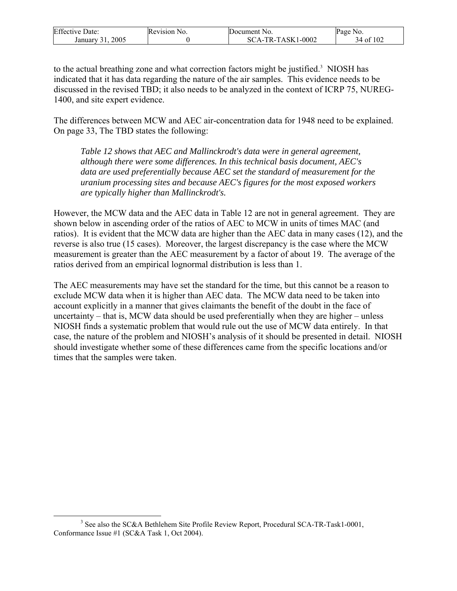| <b>Effective Date:</b> | Revision No. | Document No.        | Page No.  |
|------------------------|--------------|---------------------|-----------|
| 2005<br>January        |              | $SCA-TR-TASK1-0002$ | 34 of 102 |

to the actual breathing zone and what correction factors might be justified.<sup>3</sup> NIOSH has indicated that it has data regarding the nature of the air samples. This evidence needs to be discussed in the revised TBD; it also needs to be analyzed in the context of ICRP 75, NUREG-1400, and site expert evidence.

The differences between MCW and AEC air-concentration data for 1948 need to be explained. On page 33, The TBD states the following:

*Table 12 shows that AEC and Mallinckrodt's data were in general agreement, although there were some differences. In this technical basis document, AEC's data are used preferentially because AEC set the standard of measurement for the uranium processing sites and because AEC's figures for the most exposed workers are typically higher than Mallinckrodt's.* 

However, the MCW data and the AEC data in Table 12 are not in general agreement. They are shown below in ascending order of the ratios of AEC to MCW in units of times MAC (and ratios). It is evident that the MCW data are higher than the AEC data in many cases (12), and the reverse is also true (15 cases). Moreover, the largest discrepancy is the case where the MCW measurement is greater than the AEC measurement by a factor of about 19. The average of the ratios derived from an empirical lognormal distribution is less than 1.

The AEC measurements may have set the standard for the time, but this cannot be a reason to exclude MCW data when it is higher than AEC data. The MCW data need to be taken into account explicitly in a manner that gives claimants the benefit of the doubt in the face of uncertainty – that is, MCW data should be used preferentially when they are higher – unless NIOSH finds a systematic problem that would rule out the use of MCW data entirely. In that case, the nature of the problem and NIOSH's analysis of it should be presented in detail. NIOSH should investigate whether some of these differences came from the specific locations and/or times that the samples were taken.

 <sup>3</sup> <sup>3</sup> See also the SC&A Bethlehem Site Profile Review Report, Procedural SCA-TR-Task1-0001, Conformance Issue #1 (SC&A Task 1, Oct 2004).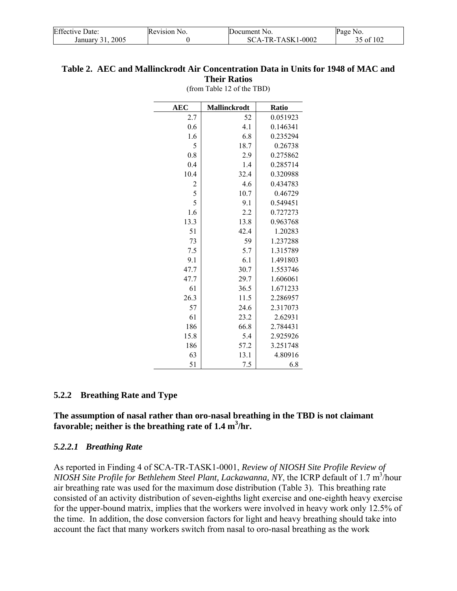| <b>Effective Date:</b> | Revision No. | Document No.      | Page No.  |
|------------------------|--------------|-------------------|-----------|
| 2005<br>January 31.    |              | SCA-TR-TASK1-0002 | 35 of 102 |

#### **Table 2. AEC and Mallinckrodt Air Concentration Data in Units for 1948 of MAC and Their Ratios**

(from Table 12 of the TBD)

| <b>AEC</b>              | <b>Mallinckrodt</b> | Ratio    |
|-------------------------|---------------------|----------|
| 2.7                     | 52                  | 0.051923 |
| 0.6                     | 4.1                 | 0.146341 |
| 1.6                     | 6.8                 | 0.235294 |
| 5                       | 18.7                | 0.26738  |
| 0.8                     | 2.9                 | 0.275862 |
| 0.4                     | 1.4                 | 0.285714 |
| 10.4                    | 32.4                | 0.320988 |
| $\overline{\mathbf{c}}$ | 4.6                 | 0.434783 |
| 5                       | 10.7                | 0.46729  |
| 5                       | 9.1                 | 0.549451 |
| 1.6                     | 2.2                 | 0.727273 |
| 13.3                    | 13.8                | 0.963768 |
| 51                      | 42.4                | 1.20283  |
| 73                      | 59                  | 1.237288 |
| 7.5                     | 5.7                 | 1.315789 |
| 9.1                     | 6.1                 | 1.491803 |
| 47.7                    | 30.7                | 1.553746 |
| 47.7                    | 29.7                | 1.606061 |
| 61                      | 36.5                | 1.671233 |
| 26.3                    | 11.5                | 2.286957 |
| 57                      | 24.6                | 2.317073 |
| 61                      | 23.2                | 2.62931  |
| 186                     | 66.8                | 2.784431 |
| 15.8                    | 5.4                 | 2.925926 |
| 186                     | 57.2                | 3.251748 |
| 63                      | 13.1                | 4.80916  |
| 51                      | 7.5                 | 6.8      |

#### **5.2.2 Breathing Rate and Type**

**The assumption of nasal rather than oro-nasal breathing in the TBD is not claimant favorable; neither is the breathing rate of 1.4 m<sup>3</sup> /hr.** 

#### *5.2.2.1 Breathing Rate*

As reported in Finding 4 of SCA-TR-TASK1-0001, *Review of NIOSH Site Profile Review of NIOSH Site Profile for Bethlehem Steel Plant, Lackawanna, NY, the ICRP default of 1.7 m<sup>3</sup>/hour* air breathing rate was used for the maximum dose distribution (Table 3). This breathing rate consisted of an activity distribution of seven-eighths light exercise and one-eighth heavy exercise for the upper-bound matrix, implies that the workers were involved in heavy work only 12.5% of the time. In addition, the dose conversion factors for light and heavy breathing should take into account the fact that many workers switch from nasal to oro-nasal breathing as the work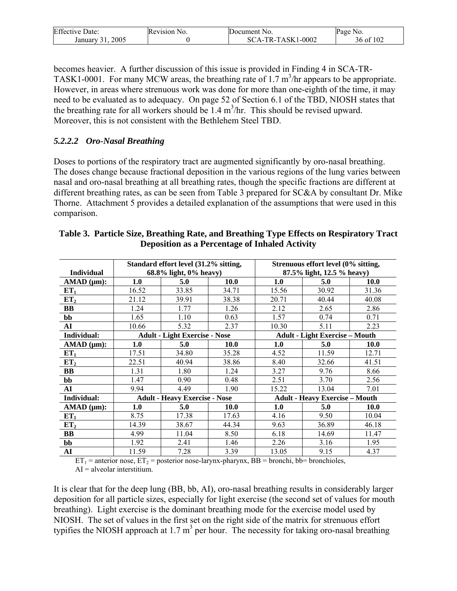| <b>Effective Date:</b> | <b>Revision</b> N<br>NO. | Document No.  | Page<br>N <sub>0</sub> |
|------------------------|--------------------------|---------------|------------------------|
| 2005                   |                          | TR-TASK1-0002 | of 102                 |
| January                |                          | $SCA-$        | 36 ot                  |

becomes heavier. A further discussion of this issue is provided in Finding 4 in SCA-TR-TASK1-0001. For many MCW areas, the breathing rate of 1.7  $m^3$ /hr appears to be appropriate. However, in areas where strenuous work was done for more than one-eighth of the time, it may need to be evaluated as to adequacy. On page 52 of Section 6.1 of the TBD, NIOSH states that the breathing rate for all workers should be  $1.4 \text{ m}^3/\text{hr}$ . This should be revised upward. Moreover, this is not consistent with the Bethlehem Steel TBD.

### *5.2.2.2 Oro-Nasal Breathing*

Doses to portions of the respiratory tract are augmented significantly by oro-nasal breathing. The doses change because fractional deposition in the various regions of the lung varies between nasal and oro-nasal breathing at all breathing rates, though the specific fractions are different at different breathing rates, as can be seen from Table 3 prepared for SC&A by consultant Dr. Mike Thorne. Attachment 5 provides a detailed explanation of the assumptions that were used in this comparison.

|                    |                                      | Standard effort level (31.2% sitting, |                            |                                       | Strenuous effort level (0% sitting, |             |
|--------------------|--------------------------------------|---------------------------------------|----------------------------|---------------------------------------|-------------------------------------|-------------|
| <b>Individual</b>  | 68.8% light, 0% heavy)               |                                       | 87.5% light, 12.5 % heavy) |                                       |                                     |             |
| AMAD (µm):         | 1.0                                  | 5.0                                   | 10.0                       | 1.0                                   | 5.0                                 | 10.0        |
| ET <sub>1</sub>    | 16.52                                | 33.85                                 | 34.71                      | 15.56                                 | 30.92                               | 31.36       |
| ET <sub>2</sub>    | 21.12                                | 39.91                                 | 38.38                      | 20.71                                 | 40.44                               | 40.08       |
| BB                 | 1.24                                 | 1.77                                  | 1.26                       | 2.12                                  | 2.65                                | 2.86        |
| bb                 | 1.65                                 | 1.10                                  | 0.63                       | 1.57                                  | 0.74                                | 0.71        |
| AI                 | 10.66                                | 5.32                                  | 2.37                       | 10.30                                 | 5.11                                | 2.23        |
| Individual:        | <b>Adult - Light Exercise - Nose</b> |                                       |                            | <b>Adult - Light Exercise - Mouth</b> |                                     |             |
| $AMAD$ ( $\mu$ m): | 1.0                                  | 5.0                                   | <b>10.0</b>                | 1.0                                   | 5.0                                 | <b>10.0</b> |
| ET <sub>1</sub>    | 17.51                                | 34.80                                 | 35.28                      | 4.52                                  | 11.59                               | 12.71       |
| ET <sub>2</sub>    | 22.51                                | 40.94                                 | 38.86                      | 8.40                                  | 32.66                               | 41.51       |
| BB                 | 1.31                                 | 1.80                                  | 1.24                       | 3.27                                  | 9.76                                | 8.66        |
| bb                 | 1.47                                 | 0.90                                  | 0.48                       | 2.51                                  | 3.70                                | 2.56        |
| ${\bf AI}$         | 9.94                                 | 4.49                                  | 1.90                       | 15.22                                 | 13.04                               | 7.01        |
| Individual:        |                                      | <b>Adult - Heavy Exercise - Nose</b>  |                            | <b>Adult - Heavy Exercise - Mouth</b> |                                     |             |
| AMAD (µm):         | 1.0                                  | 5.0                                   | <b>10.0</b>                | 1.0                                   | 5.0                                 | <b>10.0</b> |
| ET <sub>1</sub>    | 8.75                                 | 17.38                                 | 17.63                      | 4.16                                  | 9.50                                | 10.04       |
| ET <sub>2</sub>    | 14.39                                | 38.67                                 | 44.34                      | 9.63                                  | 36.89                               | 46.18       |
| BB                 | 4.99                                 | 11.04                                 | 8.50                       | 6.18                                  | 14.69                               | 11.47       |
| bb                 | 1.92                                 | 2.41                                  | 1.46                       | 2.26                                  | 3.16                                | 1.95        |
| AI                 | 11.59                                | 7.28                                  | 3.39                       | 13.05<br>$-1$ $-1$ $-1$ $-1$          | 9.15<br>$\cdots$                    | 4.37        |

| Table 3. Particle Size, Breathing Rate, and Breathing Type Effects on Respiratory Tract |  |
|-----------------------------------------------------------------------------------------|--|
| <b>Deposition as a Percentage of Inhaled Activity</b>                                   |  |

 $ET_1$  = anterior nose,  $ET_2$  = posterior nose-larynx-pharynx, BB = bronchi, bb= bronchioles,  $AI = alveolar$  interstitium.

It is clear that for the deep lung (BB, bb, AI), oro-nasal breathing results in considerably larger deposition for all particle sizes, especially for light exercise (the second set of values for mouth breathing). Light exercise is the dominant breathing mode for the exercise model used by NIOSH. The set of values in the first set on the right side of the matrix for strenuous effort typifies the NIOSH approach at  $1.7 \text{ m}^3$  per hour. The necessity for taking oro-nasal breathing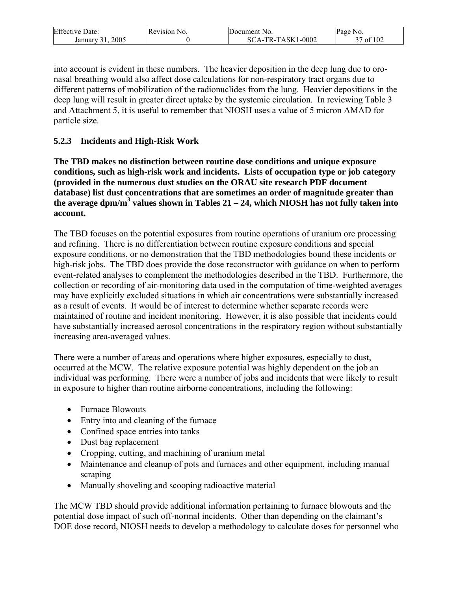| <b>Effective Date:</b> | Revision No. | Document No.                               | Page<br>N <sub>0</sub> |
|------------------------|--------------|--------------------------------------------|------------------------|
| 2005<br>January        |              | 1-0002<br>TASK1<br>$TR_{-}$<br>SC<br>$A -$ | f 102<br>0t            |

into account is evident in these numbers. The heavier deposition in the deep lung due to oronasal breathing would also affect dose calculations for non-respiratory tract organs due to different patterns of mobilization of the radionuclides from the lung. Heavier depositions in the deep lung will result in greater direct uptake by the systemic circulation. In reviewing Table 3 and Attachment 5, it is useful to remember that NIOSH uses a value of 5 micron AMAD for particle size.

### **5.2.3 Incidents and High-Risk Work**

**The TBD makes no distinction between routine dose conditions and unique exposure conditions, such as high-risk work and incidents. Lists of occupation type or job category (provided in the numerous dust studies on the ORAU site research PDF document database) list dust concentrations that are sometimes an order of magnitude greater than**  the average dpm/m<sup>3</sup> values shown in Tables  $21 - 24$ , which NIOSH has not fully taken into **account.** 

The TBD focuses on the potential exposures from routine operations of uranium ore processing and refining. There is no differentiation between routine exposure conditions and special exposure conditions, or no demonstration that the TBD methodologies bound these incidents or high-risk jobs. The TBD does provide the dose reconstructor with guidance on when to perform event-related analyses to complement the methodologies described in the TBD. Furthermore, the collection or recording of air-monitoring data used in the computation of time-weighted averages may have explicitly excluded situations in which air concentrations were substantially increased as a result of events. It would be of interest to determine whether separate records were maintained of routine and incident monitoring. However, it is also possible that incidents could have substantially increased aerosol concentrations in the respiratory region without substantially increasing area-averaged values.

There were a number of areas and operations where higher exposures, especially to dust, occurred at the MCW. The relative exposure potential was highly dependent on the job an individual was performing. There were a number of jobs and incidents that were likely to result in exposure to higher than routine airborne concentrations, including the following:

- Furnace Blowouts
- Entry into and cleaning of the furnace
- Confined space entries into tanks
- Dust bag replacement
- Cropping, cutting, and machining of uranium metal
- Maintenance and cleanup of pots and furnaces and other equipment, including manual scraping
- Manually shoveling and scooping radioactive material

The MCW TBD should provide additional information pertaining to furnace blowouts and the potential dose impact of such off-normal incidents. Other than depending on the claimant's DOE dose record, NIOSH needs to develop a methodology to calculate doses for personnel who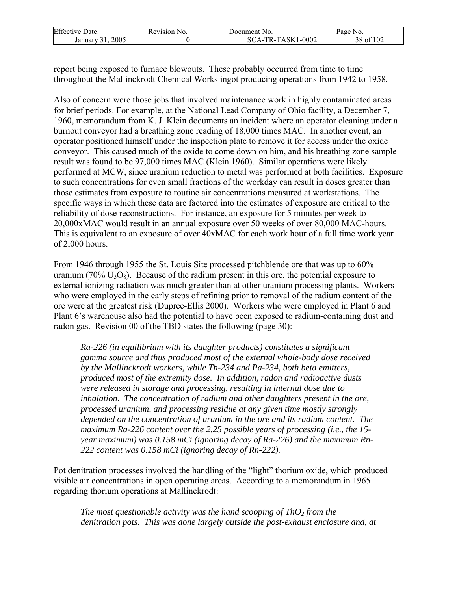| <b>Effective Date:</b> | Revision No. | Document No.      | Page No.               |
|------------------------|--------------|-------------------|------------------------|
| 2005<br>January        |              | SCA-TR-TASK1-0002 | of 102<br>` O<br>۔ ہ ر |

report being exposed to furnace blowouts. These probably occurred from time to time throughout the Mallinckrodt Chemical Works ingot producing operations from 1942 to 1958.

Also of concern were those jobs that involved maintenance work in highly contaminated areas for brief periods. For example, at the National Lead Company of Ohio facility, a December 7, 1960, memorandum from K. J. Klein documents an incident where an operator cleaning under a burnout conveyor had a breathing zone reading of 18,000 times MAC. In another event, an operator positioned himself under the inspection plate to remove it for access under the oxide conveyor. This caused much of the oxide to come down on him, and his breathing zone sample result was found to be 97,000 times MAC (Klein 1960). Similar operations were likely performed at MCW, since uranium reduction to metal was performed at both facilities. Exposure to such concentrations for even small fractions of the workday can result in doses greater than those estimates from exposure to routine air concentrations measured at workstations. The specific ways in which these data are factored into the estimates of exposure are critical to the reliability of dose reconstructions. For instance, an exposure for 5 minutes per week to 20,000xMAC would result in an annual exposure over 50 weeks of over 80,000 MAC-hours. This is equivalent to an exposure of over 40xMAC for each work hour of a full time work year of 2,000 hours.

From 1946 through 1955 the St. Louis Site processed pitchblende ore that was up to 60% uranium (70%  $U_3O_8$ ). Because of the radium present in this ore, the potential exposure to external ionizing radiation was much greater than at other uranium processing plants. Workers who were employed in the early steps of refining prior to removal of the radium content of the ore were at the greatest risk (Dupree-Ellis 2000). Workers who were employed in Plant 6 and Plant 6's warehouse also had the potential to have been exposed to radium-containing dust and radon gas. Revision 00 of the TBD states the following (page 30):

*Ra-226 (in equilibrium with its daughter products) constitutes a significant gamma source and thus produced most of the external whole-body dose received by the Mallinckrodt workers, while Th-234 and Pa-234, both beta emitters, produced most of the extremity dose. In addition, radon and radioactive dusts were released in storage and processing, resulting in internal dose due to inhalation. The concentration of radium and other daughters present in the ore, processed uranium, and processing residue at any given time mostly strongly depended on the concentration of uranium in the ore and its radium content. The maximum Ra-226 content over the 2.25 possible years of processing (i.e., the 15 year maximum) was 0.158 mCi (ignoring decay of Ra-226) and the maximum Rn-222 content was 0.158 mCi (ignoring decay of Rn-222).* 

Pot denitration processes involved the handling of the "light" thorium oxide, which produced visible air concentrations in open operating areas. According to a memorandum in 1965 regarding thorium operations at Mallinckrodt:

*The most questionable activity was the hand scooping of ThO<sub>2</sub> from the denitration pots. This was done largely outside the post-exhaust enclosure and, at*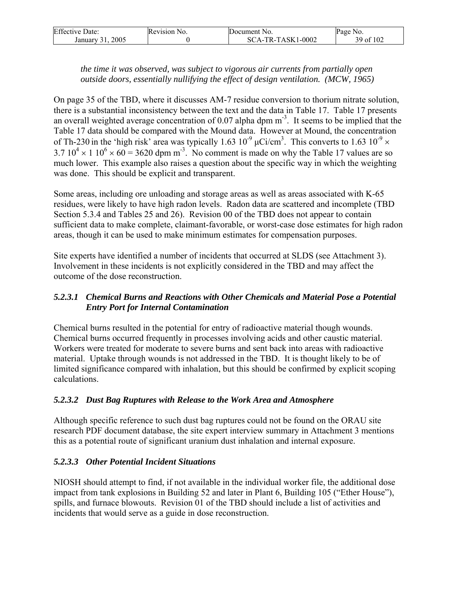| <b>Effective Date:</b> | Revision No. | Document No.      | Page No.  |
|------------------------|--------------|-------------------|-----------|
| 2005<br>January        |              | SCA-TR-TASK1-0002 | 39 of 102 |

### *the time it was observed, was subject to vigorous air currents from partially open outside doors, essentially nullifying the effect of design ventilation. (MCW, 1965)*

On page 35 of the TBD, where it discusses AM-7 residue conversion to thorium nitrate solution, there is a substantial inconsistency between the text and the data in Table 17. Table 17 presents an overall weighted average concentration of 0.07 alpha dpm m<sup>-3</sup>. It seems to be implied that the Table 17 data should be compared with the Mound data. However at Mound, the concentration of Th-230 in the 'high risk' area was typically 1.63  $10^{-9}$   $\mu$ Ci/cm<sup>3</sup>. This converts to 1.63  $10^{-9}$   $\times$  $3.7 10<sup>4</sup> \times 1 10<sup>6</sup> \times 60 = 3620$  dpm m<sup>-3</sup>. No comment is made on why the Table 17 values are so much lower. This example also raises a question about the specific way in which the weighting was done. This should be explicit and transparent.

Some areas, including ore unloading and storage areas as well as areas associated with K-65 residues, were likely to have high radon levels. Radon data are scattered and incomplete (TBD Section 5.3.4 and Tables 25 and 26). Revision 00 of the TBD does not appear to contain sufficient data to make complete, claimant-favorable, or worst-case dose estimates for high radon areas, though it can be used to make minimum estimates for compensation purposes.

Site experts have identified a number of incidents that occurred at SLDS (see Attachment 3). Involvement in these incidents is not explicitly considered in the TBD and may affect the outcome of the dose reconstruction.

## *5.2.3.1 Chemical Burns and Reactions with Other Chemicals and Material Pose a Potential Entry Port for Internal Contamination*

Chemical burns resulted in the potential for entry of radioactive material though wounds. Chemical burns occurred frequently in processes involving acids and other caustic material. Workers were treated for moderate to severe burns and sent back into areas with radioactive material. Uptake through wounds is not addressed in the TBD. It is thought likely to be of limited significance compared with inhalation, but this should be confirmed by explicit scoping calculations.

## *5.2.3.2 Dust Bag Ruptures with Release to the Work Area and Atmosphere*

Although specific reference to such dust bag ruptures could not be found on the ORAU site research PDF document database, the site expert interview summary in Attachment 3 mentions this as a potential route of significant uranium dust inhalation and internal exposure.

## *5.2.3.3 Other Potential Incident Situations*

NIOSH should attempt to find, if not available in the individual worker file, the additional dose impact from tank explosions in Building 52 and later in Plant 6, Building 105 ("Ether House"), spills, and furnace blowouts. Revision 01 of the TBD should include a list of activities and incidents that would serve as a guide in dose reconstruction.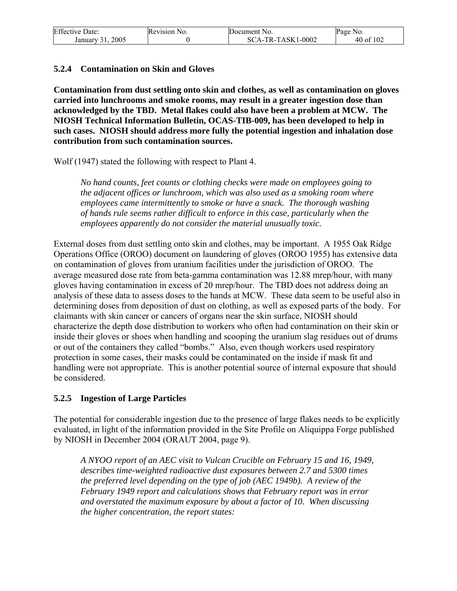| <b>Effective Date:</b>     | Revision No. | Document No.        | Page No.  |
|----------------------------|--------------|---------------------|-----------|
| 2005<br>January 31<br>J 1. |              | $SCA-TR-TASK1-0002$ | 40 of 102 |

#### **5.2.4 Contamination on Skin and Gloves**

**Contamination from dust settling onto skin and clothes, as well as contamination on gloves carried into lunchrooms and smoke rooms, may result in a greater ingestion dose than acknowledged by the TBD. Metal flakes could also have been a problem at MCW. The NIOSH Technical Information Bulletin, OCAS-TIB-009, has been developed to help in such cases. NIOSH should address more fully the potential ingestion and inhalation dose contribution from such contamination sources.** 

Wolf (1947) stated the following with respect to Plant 4.

*No hand counts, feet counts or clothing checks were made on employees going to the adjacent offices or lunchroom, which was also used as a smoking room where employees came intermittently to smoke or have a snack. The thorough washing of hands rule seems rather difficult to enforce in this case, particularly when the employees apparently do not consider the material unusually toxic.* 

External doses from dust settling onto skin and clothes, may be important. A 1955 Oak Ridge Operations Office (OROO) document on laundering of gloves (OROO 1955) has extensive data on contamination of gloves from uranium facilities under the jurisdiction of OROO. The average measured dose rate from beta-gamma contamination was 12.88 mrep/hour, with many gloves having contamination in excess of 20 mrep/hour. The TBD does not address doing an analysis of these data to assess doses to the hands at MCW. These data seem to be useful also in determining doses from deposition of dust on clothing, as well as exposed parts of the body. For claimants with skin cancer or cancers of organs near the skin surface, NIOSH should characterize the depth dose distribution to workers who often had contamination on their skin or inside their gloves or shoes when handling and scooping the uranium slag residues out of drums or out of the containers they called "bombs." Also, even though workers used respiratory protection in some cases, their masks could be contaminated on the inside if mask fit and handling were not appropriate. This is another potential source of internal exposure that should be considered.

#### **5.2.5 Ingestion of Large Particles**

The potential for considerable ingestion due to the presence of large flakes needs to be explicitly evaluated, in light of the information provided in the Site Profile on Aliquippa Forge published by NIOSH in December 2004 (ORAUT 2004, page 9).

*A NYOO report of an AEC visit to Vulcan Crucible on February 15 and 16, 1949, describes time-weighted radioactive dust exposures between 2.7 and 5300 times the preferred level depending on the type of job (AEC 1949b). A review of the February 1949 report and calculations shows that February report was in error and overstated the maximum exposure by about a factor of 10. When discussing the higher concentration, the report states:*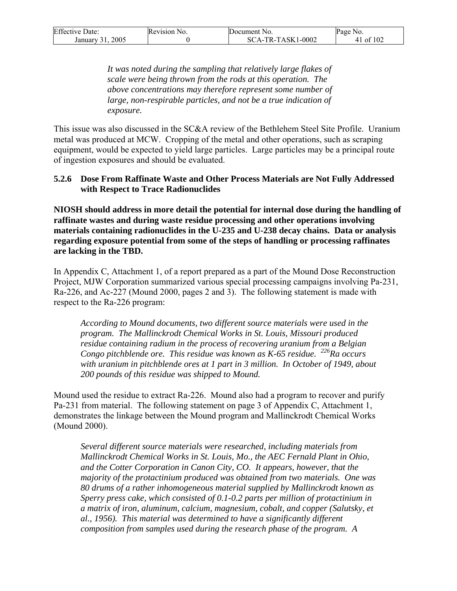| <b>Effective Date:</b> | Revision No. | Document No.      | Page No.               |
|------------------------|--------------|-------------------|------------------------|
| 2005<br>January 31     |              | SCA-TR-TASK1-0002 | $\,$ of 102 $\,$<br>4' |

*It was noted during the sampling that relatively large flakes of scale were being thrown from the rods at this operation. The above concentrations may therefore represent some number of large, non-respirable particles, and not be a true indication of exposure.* 

This issue was also discussed in the SC&A review of the Bethlehem Steel Site Profile. Uranium metal was produced at MCW. Cropping of the metal and other operations, such as scraping equipment, would be expected to yield large particles. Large particles may be a principal route of ingestion exposures and should be evaluated.

#### **5.2.6 Dose From Raffinate Waste and Other Process Materials are Not Fully Addressed with Respect to Trace Radionuclides**

**NIOSH should address in more detail the potential for internal dose during the handling of raffinate wastes and during waste residue processing and other operations involving materials containing radionuclides in the U-235 and U-238 decay chains. Data or analysis regarding exposure potential from some of the steps of handling or processing raffinates are lacking in the TBD.** 

In Appendix C, Attachment 1, of a report prepared as a part of the Mound Dose Reconstruction Project, MJW Corporation summarized various special processing campaigns involving Pa-231, Ra-226, and Ac-227 (Mound 2000, pages 2 and 3). The following statement is made with respect to the Ra-226 program:

*According to Mound documents, two different source materials were used in the program. The Mallinckrodt Chemical Works in St. Louis, Missouri produced residue containing radium in the process of recovering uranium from a Belgian Congo pitchblende ore. This residue was known as K-65 residue. 226Ra occurs with uranium in pitchblende ores at 1 part in 3 million. In October of 1949, about 200 pounds of this residue was shipped to Mound.* 

Mound used the residue to extract Ra-226. Mound also had a program to recover and purify Pa-231 from material. The following statement on page 3 of Appendix C, Attachment 1, demonstrates the linkage between the Mound program and Mallinckrodt Chemical Works (Mound 2000).

*Several different source materials were researched, including materials from Mallinckrodt Chemical Works in St. Louis, Mo., the AEC Fernald Plant in Ohio, and the Cotter Corporation in Canon City, CO. It appears, however, that the majority of the protactinium produced was obtained from two materials. One was 80 drums of a rather inhomogeneous material supplied by Mallinckrodt known as Sperry press cake, which consisted of 0.1-0.2 parts per million of protactinium in a matrix of iron, aluminum, calcium, magnesium, cobalt, and copper (Salutsky, et al., 1956). This material was determined to have a significantly different composition from samples used during the research phase of the program. A*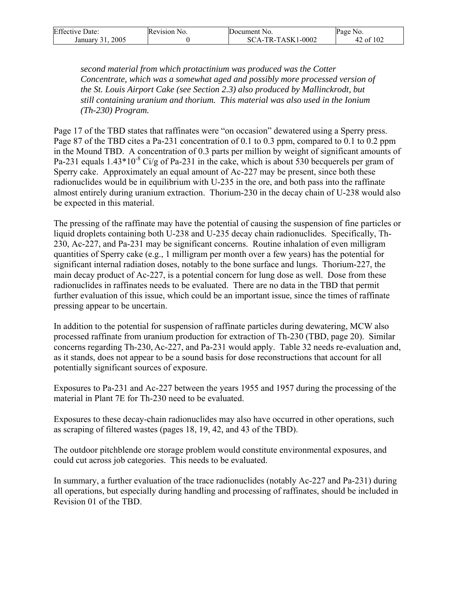| <b>Effective Date:</b> | Revision No. | Document No.      | Page No. |
|------------------------|--------------|-------------------|----------|
| 2005<br>January 31     |              | SCA-TR-TASK1-0002 | of $102$ |

*second material from which protactinium was produced was the Cotter Concentrate, which was a somewhat aged and possibly more processed version of the St. Louis Airport Cake (see Section 2.3) also produced by Mallinckrodt, but still containing uranium and thorium. This material was also used in the Ionium (Th-230) Program.* 

Page 17 of the TBD states that raffinates were "on occasion" dewatered using a Sperry press. Page 87 of the TBD cites a Pa-231 concentration of 0.1 to 0.3 ppm, compared to 0.1 to 0.2 ppm in the Mound TBD. A concentration of 0.3 parts per million by weight of significant amounts of Pa-231 equals  $1.43*10^{-8}$  Ci/g of Pa-231 in the cake, which is about 530 becquerels per gram of Sperry cake. Approximately an equal amount of Ac-227 may be present, since both these radionuclides would be in equilibrium with U-235 in the ore, and both pass into the raffinate almost entirely during uranium extraction. Thorium-230 in the decay chain of U-238 would also be expected in this material.

The pressing of the raffinate may have the potential of causing the suspension of fine particles or liquid droplets containing both U-238 and U-235 decay chain radionuclides. Specifically, Th-230, Ac-227, and Pa-231 may be significant concerns. Routine inhalation of even milligram quantities of Sperry cake (e.g., 1 milligram per month over a few years) has the potential for significant internal radiation doses, notably to the bone surface and lungs. Thorium-227, the main decay product of Ac-227, is a potential concern for lung dose as well. Dose from these radionuclides in raffinates needs to be evaluated. There are no data in the TBD that permit further evaluation of this issue, which could be an important issue, since the times of raffinate pressing appear to be uncertain.

In addition to the potential for suspension of raffinate particles during dewatering, MCW also processed raffinate from uranium production for extraction of Th-230 (TBD, page 20). Similar concerns regarding Th-230, Ac-227, and Pa-231 would apply. Table 32 needs re-evaluation and, as it stands, does not appear to be a sound basis for dose reconstructions that account for all potentially significant sources of exposure.

Exposures to Pa-231 and Ac-227 between the years 1955 and 1957 during the processing of the material in Plant 7E for Th-230 need to be evaluated.

Exposures to these decay-chain radionuclides may also have occurred in other operations, such as scraping of filtered wastes (pages 18, 19, 42, and 43 of the TBD).

The outdoor pitchblende ore storage problem would constitute environmental exposures, and could cut across job categories. This needs to be evaluated.

In summary, a further evaluation of the trace radionuclides (notably Ac-227 and Pa-231) during all operations, but especially during handling and processing of raffinates, should be included in Revision 01 of the TBD.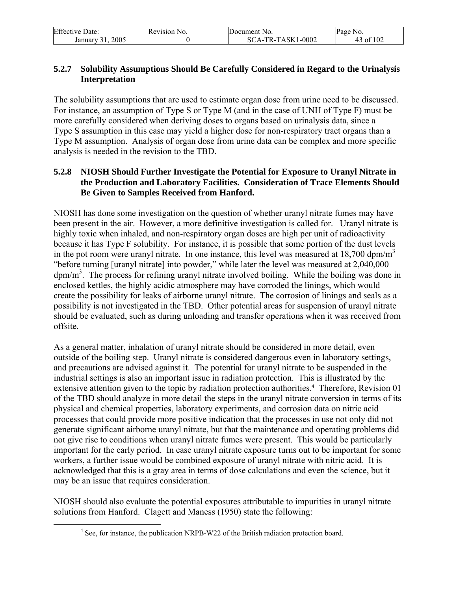| <b>Effective Date:</b> | Revision No. | Document No.      | Page No.  |
|------------------------|--------------|-------------------|-----------|
| 2005<br>January 31     |              | SCA-TR-TASK1-0002 | 43 of 102 |

#### **5.2.7 Solubility Assumptions Should Be Carefully Considered in Regard to the Urinalysis Interpretation**

The solubility assumptions that are used to estimate organ dose from urine need to be discussed. For instance, an assumption of Type S or Type M (and in the case of UNH of Type F) must be more carefully considered when deriving doses to organs based on urinalysis data, since a Type S assumption in this case may yield a higher dose for non-respiratory tract organs than a Type M assumption. Analysis of organ dose from urine data can be complex and more specific analysis is needed in the revision to the TBD.

#### **5.2.8 NIOSH Should Further Investigate the Potential for Exposure to Uranyl Nitrate in the Production and Laboratory Facilities. Consideration of Trace Elements Should Be Given to Samples Received from Hanford.**

NIOSH has done some investigation on the question of whether uranyl nitrate fumes may have been present in the air. However, a more definitive investigation is called for. Uranyl nitrate is highly toxic when inhaled, and non-respiratory organ doses are high per unit of radioactivity because it has Type F solubility. For instance, it is possible that some portion of the dust levels in the pot room were uranyl nitrate. In one instance, this level was measured at  $18,700$  dpm/m<sup>3</sup> "before turning [uranyl nitrate] into powder," while later the level was measured at 2,040,000 dpm/m<sup>3</sup>. The process for refining uranyl nitrate involved boiling. While the boiling was done in enclosed kettles, the highly acidic atmosphere may have corroded the linings, which would create the possibility for leaks of airborne uranyl nitrate. The corrosion of linings and seals as a possibility is not investigated in the TBD. Other potential areas for suspension of uranyl nitrate should be evaluated, such as during unloading and transfer operations when it was received from offsite.

As a general matter, inhalation of uranyl nitrate should be considered in more detail, even outside of the boiling step. Uranyl nitrate is considered dangerous even in laboratory settings, and precautions are advised against it. The potential for uranyl nitrate to be suspended in the industrial settings is also an important issue in radiation protection. This is illustrated by the extensive attention given to the topic by radiation protection authorities.<sup>4</sup> Therefore, Revision 01 of the TBD should analyze in more detail the steps in the uranyl nitrate conversion in terms of its physical and chemical properties, laboratory experiments, and corrosion data on nitric acid processes that could provide more positive indication that the processes in use not only did not generate significant airborne uranyl nitrate, but that the maintenance and operating problems did not give rise to conditions when uranyl nitrate fumes were present. This would be particularly important for the early period. In case uranyl nitrate exposure turns out to be important for some workers, a further issue would be combined exposure of uranyl nitrate with nitric acid. It is acknowledged that this is a gray area in terms of dose calculations and even the science, but it may be an issue that requires consideration.

NIOSH should also evaluate the potential exposures attributable to impurities in uranyl nitrate solutions from Hanford. Clagett and Maness (1950) state the following:

 $\frac{1}{4}$ <sup>4</sup> See, for instance, the publication NRPB-W22 of the British radiation protection board.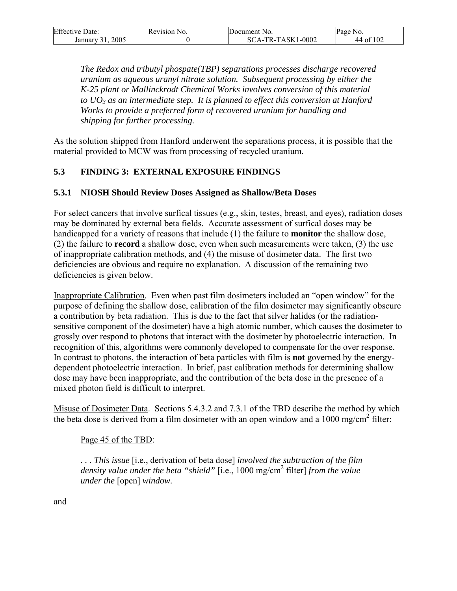| <b>Effective Date:</b>             | Revision No. | Document No.           | Page<br>N0. י    |
|------------------------------------|--------------|------------------------|------------------|
| 2005<br>January<br>$\rightarrow$ 1 |              | CA-TR-TASK1-0002<br>SC | f $102$<br>44 of |

*The Redox and tributyl phospate(TBP) separations processes discharge recovered uranium as aqueous uranyl nitrate solution. Subsequent processing by either the K-25 plant or Mallinckrodt Chemical Works involves conversion of this material to UO3 as an intermediate step. It is planned to effect this conversion at Hanford Works to provide a preferred form of recovered uranium for handling and shipping for further processing.*

As the solution shipped from Hanford underwent the separations process, it is possible that the material provided to MCW was from processing of recycled uranium.

### **5.3 FINDING 3: EXTERNAL EXPOSURE FINDINGS**

#### **5.3.1 NIOSH Should Review Doses Assigned as Shallow/Beta Doses**

For select cancers that involve surfical tissues (e.g., skin, testes, breast, and eyes), radiation doses may be dominated by external beta fields. Accurate assessment of surfical doses may be handicapped for a variety of reasons that include (1) the failure to **monitor** the shallow dose, (2) the failure to **record** a shallow dose, even when such measurements were taken, (3) the use of inappropriate calibration methods, and (4) the misuse of dosimeter data. The first two deficiencies are obvious and require no explanation. A discussion of the remaining two deficiencies is given below.

Inappropriate Calibration. Even when past film dosimeters included an "open window" for the purpose of defining the shallow dose, calibration of the film dosimeter may significantly obscure a contribution by beta radiation. This is due to the fact that silver halides (or the radiationsensitive component of the dosimeter) have a high atomic number, which causes the dosimeter to grossly over respond to photons that interact with the dosimeter by photoelectric interaction. In recognition of this, algorithms were commonly developed to compensate for the over response. In contrast to photons, the interaction of beta particles with film is **not** governed by the energydependent photoelectric interaction. In brief, past calibration methods for determining shallow dose may have been inappropriate, and the contribution of the beta dose in the presence of a mixed photon field is difficult to interpret.

Misuse of Dosimeter Data. Sections 5.4.3.2 and 7.3.1 of the TBD describe the method by which the beta dose is derived from a film dosimeter with an open window and a  $1000 \text{ mg/cm}^2$  filter:

#### Page 45 of the TBD:

*. . . This issue* [i.e., derivation of beta dose] *involved the subtraction of the film density value under the beta "shield"* [i.e., 1000 mg/cm2 filter] *from the value under the* [open] *window.* 

and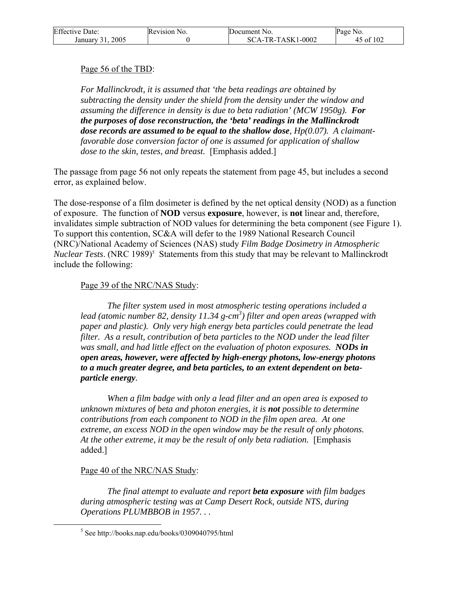| <b>Effective Date:</b> | Revision No. | Document No.      | Page No.  |
|------------------------|--------------|-------------------|-----------|
| 2005<br>January 31.    |              | SCA-TR-TASK1-0002 | 45 of 102 |

#### Page 56 of the TBD:

*For Mallinckrodt, it is assumed that 'the beta readings are obtained by subtracting the density under the shield from the density under the window and assuming the difference in density is due to beta radiation' (MCW 1950g). For the purposes of dose reconstruction, the 'beta' readings in the Mallinckrodt dose records are assumed to be equal to the shallow dose, Hp(0.07). A claimantfavorable dose conversion factor of one is assumed for application of shallow dose to the skin, testes, and breast.* [Emphasis added.]

The passage from page 56 not only repeats the statement from page 45, but includes a second error, as explained below.

The dose-response of a film dosimeter is defined by the net optical density (NOD) as a function of exposure. The function of **NOD** versus **exposure**, however, is **not** linear and, therefore, invalidates simple subtraction of NOD values for determining the beta component (see Figure 1). To support this contention, SC&A will defer to the 1989 National Research Council (NRC)/National Academy of Sciences (NAS) study *Film Badge Dosimetry in Atmospheric Nuclear Tests.* (NRC 1989)<sup>5</sup> Statements from this study that may be relevant to Mallinckrodt include the following:

#### Page 39 of the NRC/NAS Study:

*The filter system used in most atmospheric testing operations included a*  lead (atomic number 82, density 11.34 g-cm<sup>3</sup>) filter and open areas (wrapped with *paper and plastic). Only very high energy beta particles could penetrate the lead filter. As a result, contribution of beta particles to the NOD under the lead filter was small, and had little effect on the evaluation of photon exposures. NODs in open areas, however, were affected by high-energy photons, low-energy photons to a much greater degree, and beta particles, to an extent dependent on betaparticle energy.* 

*When a film badge with only a lead filter and an open area is exposed to unknown mixtures of beta and photon energies, it is not possible to determine contributions from each component to NOD in the film open area. At one extreme, an excess NOD in the open window may be the result of only photons. At the other extreme, it may be the result of only beta radiation.* [Emphasis added.]

#### Page 40 of the NRC/NAS Study:

*The final attempt to evaluate and report beta exposure with film badges during atmospheric testing was at Camp Desert Rock, outside NTS, during Operations PLUMBBOB in 1957. . .* 

 $rac{1}{5}$  $5$  See http://books.nap.edu/books/0309040795/html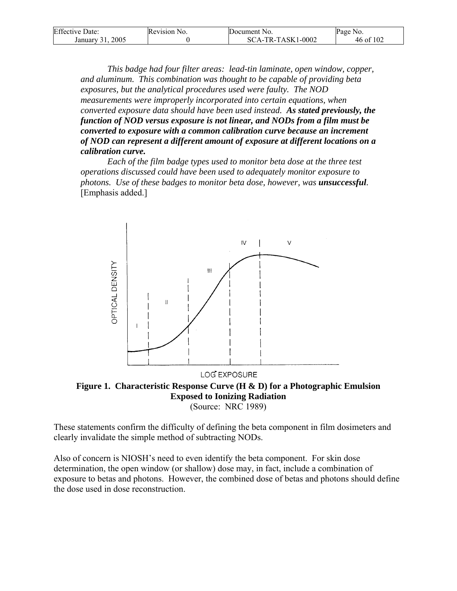| <b>Effective Date:</b> | Revision No. | Document No.        | Page No.  |
|------------------------|--------------|---------------------|-----------|
| 2005<br>January 31     |              | $SCA-TR-TASK1-0002$ | 46 of 102 |

 *This badge had four filter areas: lead-tin laminate, open window, copper, and aluminum. This combination was thought to be capable of providing beta exposures, but the analytical procedures used were faulty. The NOD measurements were improperly incorporated into certain equations, when converted exposure data should have been used instead. As stated previously, the function of NOD versus exposure is not linear, and NODs from a film must be converted to exposure with a common calibration curve because an increment of NOD can represent a different amount of exposure at different locations on a calibration curve.*

 *Each of the film badge types used to monitor beta dose at the three test operations discussed could have been used to adequately monitor exposure to photons. Use of these badges to monitor beta dose, however, was unsuccessful.* [Emphasis added.]



**Figure 1. Characteristic Response Curve (H & D) for a Photographic Emulsion Exposed to Ionizing Radiation**  (Source: NRC 1989)

These statements confirm the difficulty of defining the beta component in film dosimeters and clearly invalidate the simple method of subtracting NODs.

Also of concern is NIOSH's need to even identify the beta component. For skin dose determination, the open window (or shallow) dose may, in fact, include a combination of exposure to betas and photons. However, the combined dose of betas and photons should define the dose used in dose reconstruction.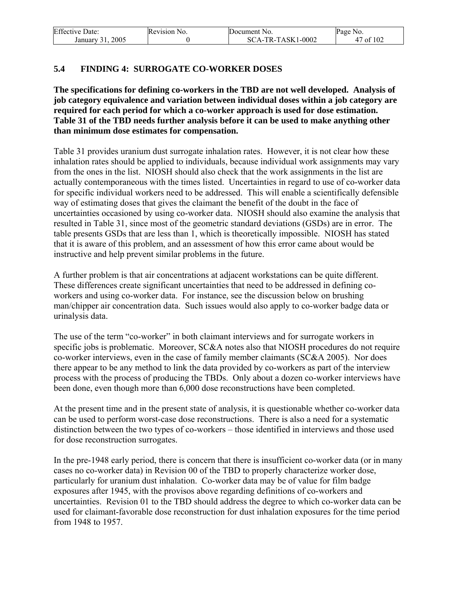| <b>Effective Date:</b> | Revision No. | Document No.      | Page No.       |
|------------------------|--------------|-------------------|----------------|
| 200:<br>January        |              | SCA-TR-TASK1-0002 | ' of 102<br>4, |

### **5.4 FINDING 4: SURROGATE CO-WORKER DOSES**

**The specifications for defining co-workers in the TBD are not well developed. Analysis of job category equivalence and variation between individual doses within a job category are required for each period for which a co-worker approach is used for dose estimation. Table 31 of the TBD needs further analysis before it can be used to make anything other than minimum dose estimates for compensation.** 

Table 31 provides uranium dust surrogate inhalation rates. However, it is not clear how these inhalation rates should be applied to individuals, because individual work assignments may vary from the ones in the list. NIOSH should also check that the work assignments in the list are actually contemporaneous with the times listed. Uncertainties in regard to use of co-worker data for specific individual workers need to be addressed. This will enable a scientifically defensible way of estimating doses that gives the claimant the benefit of the doubt in the face of uncertainties occasioned by using co-worker data. NIOSH should also examine the analysis that resulted in Table 31, since most of the geometric standard deviations (GSDs) are in error. The table presents GSDs that are less than 1, which is theoretically impossible. NIOSH has stated that it is aware of this problem, and an assessment of how this error came about would be instructive and help prevent similar problems in the future.

A further problem is that air concentrations at adjacent workstations can be quite different. These differences create significant uncertainties that need to be addressed in defining coworkers and using co-worker data. For instance, see the discussion below on brushing man/chipper air concentration data. Such issues would also apply to co-worker badge data or urinalysis data.

The use of the term "co-worker" in both claimant interviews and for surrogate workers in specific jobs is problematic. Moreover, SC&A notes also that NIOSH procedures do not require co-worker interviews, even in the case of family member claimants (SC&A 2005). Nor does there appear to be any method to link the data provided by co-workers as part of the interview process with the process of producing the TBDs. Only about a dozen co-worker interviews have been done, even though more than 6,000 dose reconstructions have been completed.

At the present time and in the present state of analysis, it is questionable whether co-worker data can be used to perform worst-case dose reconstructions. There is also a need for a systematic distinction between the two types of co-workers – those identified in interviews and those used for dose reconstruction surrogates.

In the pre-1948 early period, there is concern that there is insufficient co-worker data (or in many cases no co-worker data) in Revision 00 of the TBD to properly characterize worker dose, particularly for uranium dust inhalation. Co-worker data may be of value for film badge exposures after 1945, with the provisos above regarding definitions of co-workers and uncertainties. Revision 01 to the TBD should address the degree to which co-worker data can be used for claimant-favorable dose reconstruction for dust inhalation exposures for the time period from 1948 to 1957.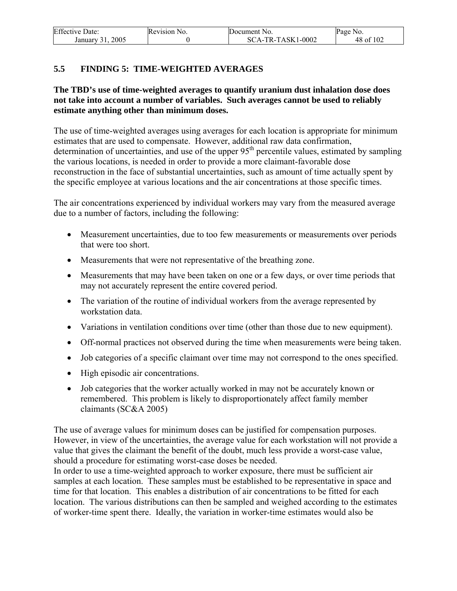| <b>Effective Date:</b>   | Revision No. | Document No.      | Page No.  |
|--------------------------|--------------|-------------------|-----------|
| $200^{\circ}$<br>January |              | SCA-TR-TASK1-0002 | 48 of 102 |

### **5.5 FINDING 5: TIME-WEIGHTED AVERAGES**

#### **The TBD's use of time-weighted averages to quantify uranium dust inhalation dose does not take into account a number of variables. Such averages cannot be used to reliably estimate anything other than minimum doses.**

The use of time-weighted averages using averages for each location is appropriate for minimum estimates that are used to compensate. However, additional raw data confirmation, determination of uncertainties, and use of the upper  $95<sup>th</sup>$  percentile values, estimated by sampling the various locations, is needed in order to provide a more claimant-favorable dose reconstruction in the face of substantial uncertainties, such as amount of time actually spent by the specific employee at various locations and the air concentrations at those specific times.

The air concentrations experienced by individual workers may vary from the measured average due to a number of factors, including the following:

- Measurement uncertainties, due to too few measurements or measurements over periods that were too short.
- Measurements that were not representative of the breathing zone.
- Measurements that may have been taken on one or a few days, or over time periods that may not accurately represent the entire covered period.
- The variation of the routine of individual workers from the average represented by workstation data.
- Variations in ventilation conditions over time (other than those due to new equipment).
- Off-normal practices not observed during the time when measurements were being taken.
- Job categories of a specific claimant over time may not correspond to the ones specified.
- High episodic air concentrations.
- Job categories that the worker actually worked in may not be accurately known or remembered. This problem is likely to disproportionately affect family member claimants (SC&A 2005)

The use of average values for minimum doses can be justified for compensation purposes. However, in view of the uncertainties, the average value for each workstation will not provide a value that gives the claimant the benefit of the doubt, much less provide a worst-case value, should a procedure for estimating worst-case doses be needed.

In order to use a time-weighted approach to worker exposure, there must be sufficient air samples at each location. These samples must be established to be representative in space and time for that location. This enables a distribution of air concentrations to be fitted for each location. The various distributions can then be sampled and weighed according to the estimates of worker-time spent there. Ideally, the variation in worker-time estimates would also be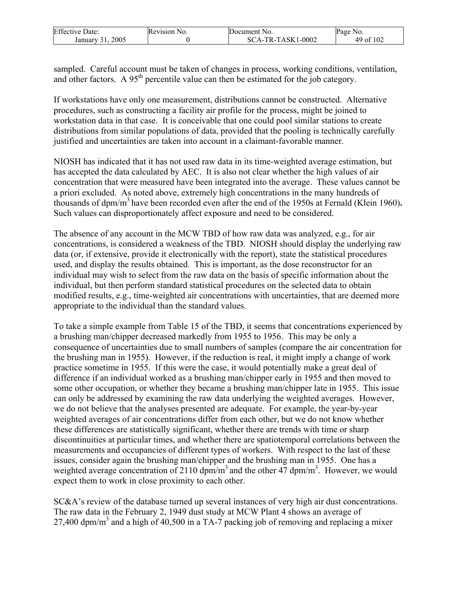| <b>Effective Date:</b> | Revision<br>N <sub>O</sub> | Document No.                 | Page<br>NO.             |
|------------------------|----------------------------|------------------------------|-------------------------|
| 2005<br>January        |                            | 1-0002<br>'A-TR-TASK1<br>SC. | f 102<br>ി <del>പ</del> |

sampled. Careful account must be taken of changes in process, working conditions, ventilation, and other factors. A 95<sup>th</sup> percentile value can then be estimated for the job category.

If workstations have only one measurement, distributions cannot be constructed. Alternative procedures, such as constructing a facility air profile for the process, might be joined to workstation data in that case. It is conceivable that one could pool similar stations to create distributions from similar populations of data, provided that the pooling is technically carefully justified and uncertainties are taken into account in a claimant-favorable manner.

NIOSH has indicated that it has not used raw data in its time-weighted average estimation, but has accepted the data calculated by AEC. It is also not clear whether the high values of air concentration that were measured have been integrated into the average. These values cannot be a priori excluded. As noted above, extremely high concentrations in the many hundreds of thousands of dpm/m3 have been recorded even after the end of the 1950s at Fernald (Klein 1960)**.** Such values can disproportionately affect exposure and need to be considered.

The absence of any account in the MCW TBD of how raw data was analyzed, e.g., for air concentrations, is considered a weakness of the TBD. NIOSH should display the underlying raw data (or, if extensive, provide it electronically with the report), state the statistical procedures used, and display the results obtained. This is important, as the dose reconstructor for an individual may wish to select from the raw data on the basis of specific information about the individual, but then perform standard statistical procedures on the selected data to obtain modified results, e.g., time-weighted air concentrations with uncertainties, that are deemed more appropriate to the individual than the standard values.

To take a simple example from Table 15 of the TBD, it seems that concentrations experienced by a brushing man/chipper decreased markedly from 1955 to 1956. This may be only a consequence of uncertainties due to small numbers of samples (compare the air concentration for the brushing man in 1955). However, if the reduction is real, it might imply a change of work practice sometime in 1955. If this were the case, it would potentially make a great deal of difference if an individual worked as a brushing man/chipper early in 1955 and then moved to some other occupation, or whether they became a brushing man/chipper late in 1955. This issue can only be addressed by examining the raw data underlying the weighted averages. However, we do not believe that the analyses presented are adequate. For example, the year-by-year weighted averages of air concentrations differ from each other, but we do not know whether these differences are statistically significant, whether there are trends with time or sharp discontinuities at particular times, and whether there are spatiotemporal correlations between the measurements and occupancies of different types of workers. With respect to the last of these issues, consider again the brushing man/chipper and the brushing man in 1955. One has a weighted average concentration of 2110 dpm/m<sup>3</sup> and the other 47 dpm/m<sup>3</sup>. However, we would expect them to work in close proximity to each other.

SC&A's review of the database turned up several instances of very high air dust concentrations. The raw data in the February 2, 1949 dust study at MCW Plant 4 shows an average of 27,400 dpm/m<sup>3</sup> and a high of 40,500 in a TA-7 packing job of removing and replacing a mixer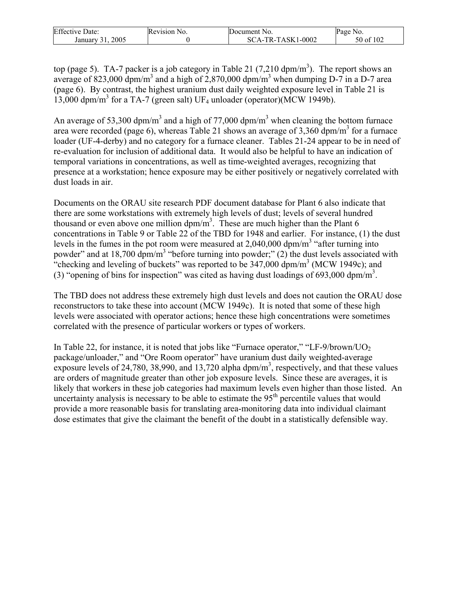| <b>Effective Date:</b> | Revision<br>NO. | Document No.    | $\text{Page}$<br>N <sub>O</sub> |
|------------------------|-----------------|-----------------|---------------------------------|
| 2005<br>January        |                 | A-TR-TASK1-0002 | of 102<br>50 of                 |

top (page 5). TA-7 packer is a job category in Table 21 (7,210 dpm/m<sup>3</sup>). The report shows an average of 823,000 dpm/m<sup>3</sup> and a high of 2,870,000 dpm/m<sup>3</sup> when dumping D-7 in a D-7 area (page 6). By contrast, the highest uranium dust daily weighted exposure level in Table 21 is 13,000 dpm/m<sup>3</sup> for a TA-7 (green salt) UF<sub>4</sub> unloader (operator)(MCW 1949b).

An average of 53,300 dpm/m<sup>3</sup> and a high of 77,000 dpm/m<sup>3</sup> when cleaning the bottom furnace area were recorded (page 6), whereas Table 21 shows an average of 3,360 dpm/m<sup>3</sup> for a furnace loader (UF-4-derby) and no category for a furnace cleaner. Tables 21-24 appear to be in need of re-evaluation for inclusion of additional data. It would also be helpful to have an indication of temporal variations in concentrations, as well as time-weighted averages, recognizing that presence at a workstation; hence exposure may be either positively or negatively correlated with dust loads in air.

Documents on the ORAU site research PDF document database for Plant 6 also indicate that there are some workstations with extremely high levels of dust; levels of several hundred thousand or even above one million  $dpm/m<sup>3</sup>$ . These are much higher than the Plant 6 concentrations in Table 9 or Table 22 of the TBD for 1948 and earlier. For instance, (1) the dust levels in the fumes in the pot room were measured at  $2,040,000$  dpm/m<sup>3</sup> "after turning into powder" and at 18,700 dpm/m<sup>3</sup> "before turning into powder;" (2) the dust levels associated with "checking and leveling of buckets" was reported to be  $347,000$  dpm/m<sup>3</sup> (MCW 1949c); and (3) "opening of bins for inspection" was cited as having dust loadings of 693,000 dpm/m<sup>3</sup>.

The TBD does not address these extremely high dust levels and does not caution the ORAU dose reconstructors to take these into account (MCW 1949c). It is noted that some of these high levels were associated with operator actions; hence these high concentrations were sometimes correlated with the presence of particular workers or types of workers.

In Table 22, for instance, it is noted that jobs like "Furnace operator," "LF-9/brown/ $UO<sub>2</sub>$ package/unloader," and "Ore Room operator" have uranium dust daily weighted-average exposure levels of 24,780, 38,990, and 13,720 alpha dpm/ $m<sup>3</sup>$ , respectively, and that these values are orders of magnitude greater than other job exposure levels. Since these are averages, it is likely that workers in these job categories had maximum levels even higher than those listed. An uncertainty analysis is necessary to be able to estimate the  $95<sup>th</sup>$  percentile values that would provide a more reasonable basis for translating area-monitoring data into individual claimant dose estimates that give the claimant the benefit of the doubt in a statistically defensible way.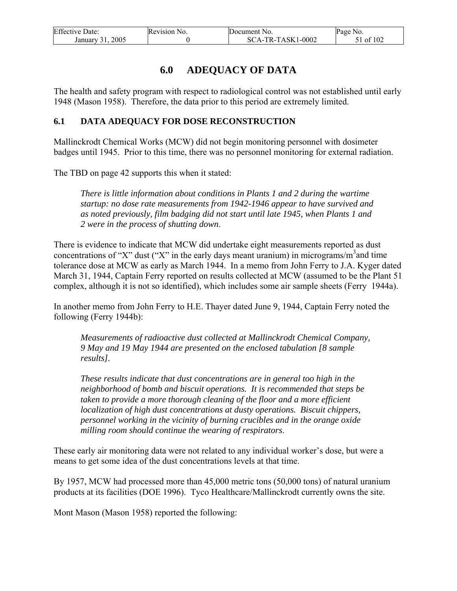| <b>Effective Date:</b> | Revision No. | Document No.      | Page No.      |
|------------------------|--------------|-------------------|---------------|
| 2005<br>January 31.    |              | SCA-TR-TASK1-0002 | $51$ of $102$ |

# **6.0 ADEQUACY OF DATA**

The health and safety program with respect to radiological control was not established until early 1948 (Mason 1958). Therefore, the data prior to this period are extremely limited.

#### **6.1 DATA ADEQUACY FOR DOSE RECONSTRUCTION**

Mallinckrodt Chemical Works (MCW) did not begin monitoring personnel with dosimeter badges until 1945. Prior to this time, there was no personnel monitoring for external radiation.

The TBD on page 42 supports this when it stated:

*There is little information about conditions in Plants 1 and 2 during the wartime startup: no dose rate measurements from 1942-1946 appear to have survived and as noted previously, film badging did not start until late 1945, when Plants 1 and 2 were in the process of shutting down*.

There is evidence to indicate that MCW did undertake eight measurements reported as dust concentrations of "X" dust ("X" in the early days meant uranium) in micrograms/m<sup>3</sup> and time tolerance dose at MCW as early as March 1944. In a memo from John Ferry to J.A. Kyger dated March 31, 1944, Captain Ferry reported on results collected at MCW (assumed to be the Plant 51 complex, although it is not so identified), which includes some air sample sheets (Ferry 1944a).

In another memo from John Ferry to H.E. Thayer dated June 9, 1944, Captain Ferry noted the following (Ferry 1944b):

*Measurements of radioactive dust collected at Mallinckrodt Chemical Company, 9 May and 19 May 1944 are presented on the enclosed tabulation [8 sample results].* 

*These results indicate that dust concentrations are in general too high in the neighborhood of bomb and biscuit operations. It is recommended that steps be taken to provide a more thorough cleaning of the floor and a more efficient localization of high dust concentrations at dusty operations. Biscuit chippers, personnel working in the vicinity of burning crucibles and in the orange oxide milling room should continue the wearing of respirators*.

These early air monitoring data were not related to any individual worker's dose, but were a means to get some idea of the dust concentrations levels at that time.

By 1957, MCW had processed more than 45,000 metric tons (50,000 tons) of natural uranium products at its facilities (DOE 1996). Tyco Healthcare/Mallinckrodt currently owns the site.

Mont Mason (Mason 1958) reported the following: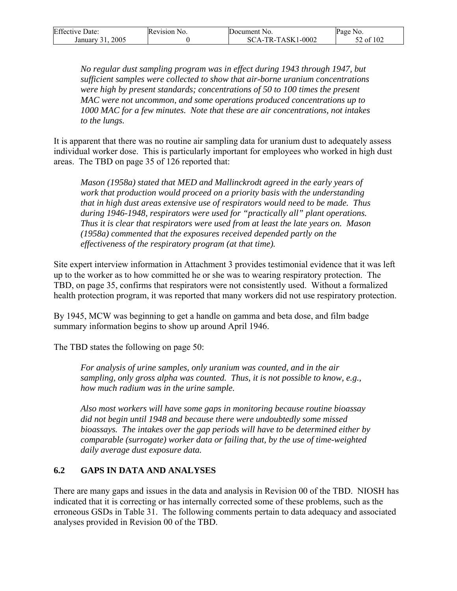| <b>Effective Date:</b> | Revision No. | Document No.      | Page No.  |
|------------------------|--------------|-------------------|-----------|
| 2005<br>January 31.    |              | SCA-TR-TASK1-0002 | 52 of 102 |

*No regular dust sampling program was in effect during 1943 through 1947, but sufficient samples were collected to show that air-borne uranium concentrations were high by present standards; concentrations of 50 to 100 times the present MAC were not uncommon, and some operations produced concentrations up to 1000 MAC for a few minutes. Note that these are air concentrations, not intakes to the lungs.* 

It is apparent that there was no routine air sampling data for uranium dust to adequately assess individual worker dose. This is particularly important for employees who worked in high dust areas. The TBD on page 35 of 126 reported that:

*Mason (1958a) stated that MED and Mallinckrodt agreed in the early years of work that production would proceed on a priority basis with the understanding that in high dust areas extensive use of respirators would need to be made. Thus during 1946-1948, respirators were used for "practically all" plant operations. Thus it is clear that respirators were used from at least the late years on. Mason (1958a) commented that the exposures received depended partly on the effectiveness of the respiratory program (at that time).* 

Site expert interview information in Attachment 3 provides testimonial evidence that it was left up to the worker as to how committed he or she was to wearing respiratory protection. The TBD, on page 35, confirms that respirators were not consistently used. Without a formalized health protection program, it was reported that many workers did not use respiratory protection.

By 1945, MCW was beginning to get a handle on gamma and beta dose, and film badge summary information begins to show up around April 1946.

The TBD states the following on page 50:

*For analysis of urine samples, only uranium was counted, and in the air sampling, only gross alpha was counted. Thus, it is not possible to know, e.g., how much radium was in the urine sample.* 

*Also most workers will have some gaps in monitoring because routine bioassay did not begin until 1948 and because there were undoubtedly some missed bioassays. The intakes over the gap periods will have to be determined either by comparable (surrogate) worker data or failing that, by the use of time-weighted daily average dust exposure data.*

#### **6.2 GAPS IN DATA AND ANALYSES**

There are many gaps and issues in the data and analysis in Revision 00 of the TBD. NIOSH has indicated that it is correcting or has internally corrected some of these problems, such as the erroneous GSDs in Table 31. The following comments pertain to data adequacy and associated analyses provided in Revision 00 of the TBD.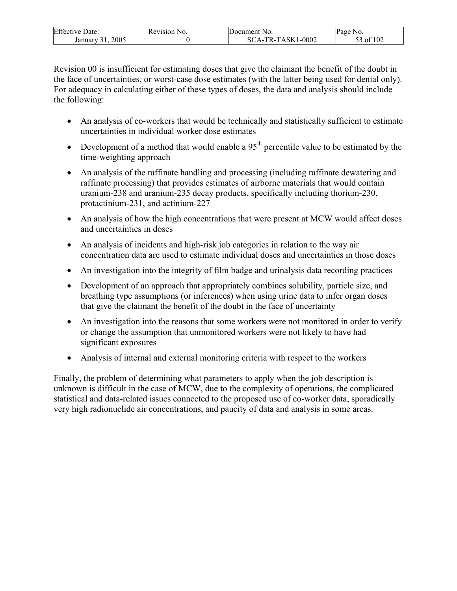| Effective       | Revision | Document                              | N0.         |
|-----------------|----------|---------------------------------------|-------------|
| Date:           | NO.      | NO.                                   | Page        |
| 2005<br>January |          | 1-0002<br>$TASK1$ -<br>SС<br>Tр<br>к. | f 102<br>01 |

Revision 00 is insufficient for estimating doses that give the claimant the benefit of the doubt in the face of uncertainties, or worst-case dose estimates (with the latter being used for denial only). For adequacy in calculating either of these types of doses, the data and analysis should include the following:

- An analysis of co-workers that would be technically and statistically sufficient to estimate uncertainties in individual worker dose estimates
- Development of a method that would enable a  $95<sup>th</sup>$  percentile value to be estimated by the time-weighting approach
- An analysis of the raffinate handling and processing (including raffinate dewatering and raffinate processing) that provides estimates of airborne materials that would contain uranium-238 and uranium-235 decay products, specifically including thorium-230, protactinium-231, and actinium-227
- An analysis of how the high concentrations that were present at MCW would affect doses and uncertainties in doses
- An analysis of incidents and high-risk job categories in relation to the way air concentration data are used to estimate individual doses and uncertainties in those doses
- An investigation into the integrity of film badge and urinalysis data recording practices
- Development of an approach that appropriately combines solubility, particle size, and breathing type assumptions (or inferences) when using urine data to infer organ doses that give the claimant the benefit of the doubt in the face of uncertainty
- An investigation into the reasons that some workers were not monitored in order to verify or change the assumption that unmonitored workers were not likely to have had significant exposures
- Analysis of internal and external monitoring criteria with respect to the workers

Finally, the problem of determining what parameters to apply when the job description is unknown is difficult in the case of MCW, due to the complexity of operations, the complicated statistical and data-related issues connected to the proposed use of co-worker data, sporadically very high radionuclide air concentrations, and paucity of data and analysis in some areas.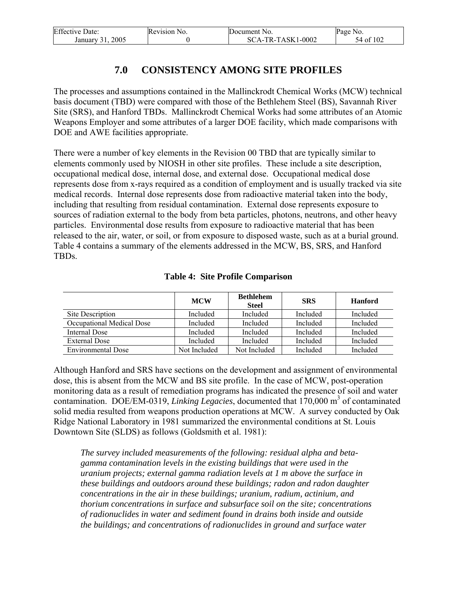| <b>Effective Date:</b> | Revision No. | Document No.        | Page No.  |
|------------------------|--------------|---------------------|-----------|
| 2005<br>January 31     |              | $SCA-TR-TASK1-0002$ | 54 of 102 |

# **7.0 CONSISTENCY AMONG SITE PROFILES**

The processes and assumptions contained in the Mallinckrodt Chemical Works (MCW) technical basis document (TBD) were compared with those of the Bethlehem Steel (BS), Savannah River Site (SRS), and Hanford TBDs. Mallinckrodt Chemical Works had some attributes of an Atomic Weapons Employer and some attributes of a larger DOE facility, which made comparisons with DOE and AWE facilities appropriate.

There were a number of key elements in the Revision 00 TBD that are typically similar to elements commonly used by NIOSH in other site profiles. These include a site description, occupational medical dose, internal dose, and external dose. Occupational medical dose represents dose from x-rays required as a condition of employment and is usually tracked via site medical records. Internal dose represents dose from radioactive material taken into the body, including that resulting from residual contamination. External dose represents exposure to sources of radiation external to the body from beta particles, photons, neutrons, and other heavy particles. Environmental dose results from exposure to radioactive material that has been released to the air, water, or soil, or from exposure to disposed waste, such as at a burial ground. Table 4 contains a summary of the elements addressed in the MCW, BS, SRS, and Hanford TBDs.

|                           | <b>MCW</b>   | <b>Bethlehem</b><br><b>Steel</b> | <b>SRS</b> | <b>Hanford</b> |
|---------------------------|--------------|----------------------------------|------------|----------------|
| Site Description          | Included     | Included                         | Included   | Included       |
| Occupational Medical Dose | Included     | Included                         | Included   | Included       |
| Internal Dose             | Included     | Included                         | Included   | Included       |
| External Dose             | Included     | Included                         | Included   | Included       |
| <b>Environmental Dose</b> | Not Included | Not Included                     | Included   | Included       |

#### **Table 4: Site Profile Comparison**

Although Hanford and SRS have sections on the development and assignment of environmental dose, this is absent from the MCW and BS site profile. In the case of MCW, post-operation monitoring data as a result of remediation programs has indicated the presence of soil and water contamination. DOE/EM-0319, *Linking Legacies*, documented that 170,000 m<sup>3</sup> of contaminated solid media resulted from weapons production operations at MCW. A survey conducted by Oak Ridge National Laboratory in 1981 summarized the environmental conditions at St. Louis Downtown Site (SLDS) as follows (Goldsmith et al. 1981):

*The survey included measurements of the following: residual alpha and betagamma contamination levels in the existing buildings that were used in the uranium projects; external gamma radiation levels at 1 m above the surface in these buildings and outdoors around these buildings; radon and radon daughter concentrations in the air in these buildings; uranium, radium, actinium, and thorium concentrations in surface and subsurface soil on the site; concentrations of radionuclides in water and sediment found in drains both inside and outside the buildings; and concentrations of radionuclides in ground and surface water*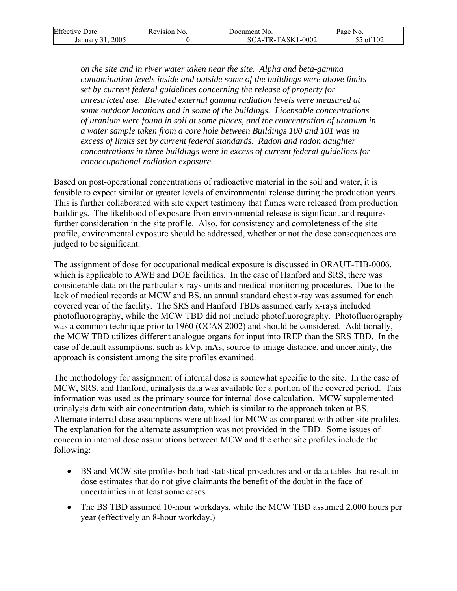| <b>Effective Date:</b> | Revision No. | Document No.      | Page No.  |
|------------------------|--------------|-------------------|-----------|
| 2005<br>January 31.    |              | SCA-TR-TASK1-0002 | 55 of 102 |

*on the site and in river water taken near the site. Alpha and beta-gamma contamination levels inside and outside some of the buildings were above limits set by current federal guidelines concerning the release of property for unrestricted use. Elevated external gamma radiation levels were measured at some outdoor locations and in some of the buildings. Licensable concentrations of uranium were found in soil at some places, and the concentration of uranium in a water sample taken from a core hole between Buildings 100 and 101 was in excess of limits set by current federal standards. Radon and radon daughter concentrations in three buildings were in excess of current federal guidelines for nonoccupational radiation exposure.* 

Based on post-operational concentrations of radioactive material in the soil and water, it is feasible to expect similar or greater levels of environmental release during the production years. This is further collaborated with site expert testimony that fumes were released from production buildings. The likelihood of exposure from environmental release is significant and requires further consideration in the site profile. Also, for consistency and completeness of the site profile, environmental exposure should be addressed, whether or not the dose consequences are judged to be significant.

The assignment of dose for occupational medical exposure is discussed in ORAUT-TIB-0006, which is applicable to AWE and DOE facilities. In the case of Hanford and SRS, there was considerable data on the particular x-rays units and medical monitoring procedures. Due to the lack of medical records at MCW and BS, an annual standard chest x-ray was assumed for each covered year of the facility. The SRS and Hanford TBDs assumed early x-rays included photofluorography, while the MCW TBD did not include photofluorography. Photofluorography was a common technique prior to 1960 (OCAS 2002) and should be considered. Additionally, the MCW TBD utilizes different analogue organs for input into IREP than the SRS TBD. In the case of default assumptions, such as kVp, mAs, source-to-image distance, and uncertainty, the approach is consistent among the site profiles examined.

The methodology for assignment of internal dose is somewhat specific to the site. In the case of MCW, SRS, and Hanford, urinalysis data was available for a portion of the covered period. This information was used as the primary source for internal dose calculation. MCW supplemented urinalysis data with air concentration data, which is similar to the approach taken at BS. Alternate internal dose assumptions were utilized for MCW as compared with other site profiles. The explanation for the alternate assumption was not provided in the TBD. Some issues of concern in internal dose assumptions between MCW and the other site profiles include the following:

- BS and MCW site profiles both had statistical procedures and or data tables that result in dose estimates that do not give claimants the benefit of the doubt in the face of uncertainties in at least some cases.
- The BS TBD assumed 10-hour workdays, while the MCW TBD assumed 2,000 hours per year (effectively an 8-hour workday.)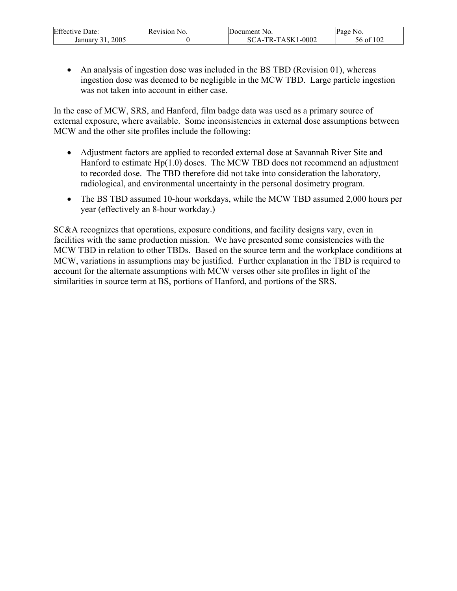| <b>Effective Date:</b> | Revision No. | Document No.      | Page No.  |
|------------------------|--------------|-------------------|-----------|
| 2005<br>January        |              | SCA-TR-TASK1-0002 | 56 of 102 |

• An analysis of ingestion dose was included in the BS TBD (Revision 01), whereas ingestion dose was deemed to be negligible in the MCW TBD. Large particle ingestion was not taken into account in either case.

In the case of MCW, SRS, and Hanford, film badge data was used as a primary source of external exposure, where available. Some inconsistencies in external dose assumptions between MCW and the other site profiles include the following:

- Adjustment factors are applied to recorded external dose at Savannah River Site and Hanford to estimate Hp(1.0) doses. The MCW TBD does not recommend an adjustment to recorded dose. The TBD therefore did not take into consideration the laboratory, radiological, and environmental uncertainty in the personal dosimetry program.
- The BS TBD assumed 10-hour workdays, while the MCW TBD assumed 2,000 hours per year (effectively an 8-hour workday.)

SC&A recognizes that operations, exposure conditions, and facility designs vary, even in facilities with the same production mission. We have presented some consistencies with the MCW TBD in relation to other TBDs. Based on the source term and the workplace conditions at MCW, variations in assumptions may be justified. Further explanation in the TBD is required to account for the alternate assumptions with MCW verses other site profiles in light of the similarities in source term at BS, portions of Hanford, and portions of the SRS.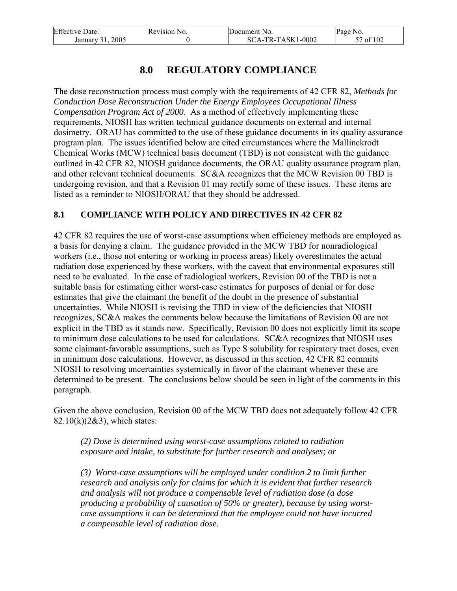| <b>Effective Date:</b> | Revision No. | Document No.      | Page No.  |
|------------------------|--------------|-------------------|-----------|
| 2005<br>January 31     |              | SCA-TR-TASK1-0002 | ፣7 of 102 |

# **8.0 REGULATORY COMPLIANCE**

The dose reconstruction process must comply with the requirements of 42 CFR 82, *Methods for Conduction Dose Reconstruction Under the Energy Employees Occupational Illness Compensation Program Act of 2000*. As a method of effectively implementing these requirements, NIOSH has written technical guidance documents on external and internal dosimetry. ORAU has committed to the use of these guidance documents in its quality assurance program plan. The issues identified below are cited circumstances where the Mallinckrodt Chemical Works (MCW) technical basis document (TBD) is not consistent with the guidance outlined in 42 CFR 82, NIOSH guidance documents, the ORAU quality assurance program plan, and other relevant technical documents. SC&A recognizes that the MCW Revision 00 TBD is undergoing revision, and that a Revision 01 may rectify some of these issues. These items are listed as a reminder to NIOSH/ORAU that they should be addressed.

### **8.1 COMPLIANCE WITH POLICY AND DIRECTIVES IN 42 CFR 82**

42 CFR 82 requires the use of worst-case assumptions when efficiency methods are employed as a basis for denying a claim. The guidance provided in the MCW TBD for nonradiological workers (i.e., those not entering or working in process areas) likely overestimates the actual radiation dose experienced by these workers, with the caveat that environmental exposures still need to be evaluated. In the case of radiological workers, Revision 00 of the TBD is not a suitable basis for estimating either worst-case estimates for purposes of denial or for dose estimates that give the claimant the benefit of the doubt in the presence of substantial uncertainties. While NIOSH is revising the TBD in view of the deficiencies that NIOSH recognizes, SC&A makes the comments below because the limitations of Revision 00 are not explicit in the TBD as it stands now. Specifically, Revision 00 does not explicitly limit its scope to minimum dose calculations to be used for calculations. SC&A recognizes that NIOSH uses some claimant-favorable assumptions, such as Type S solubility for respiratory tract doses, even in minimum dose calculations. However, as discussed in this section, 42 CFR 82 commits NIOSH to resolving uncertainties systemically in favor of the claimant whenever these are determined to be present. The conclusions below should be seen in light of the comments in this paragraph.

Given the above conclusion, Revision 00 of the MCW TBD does not adequately follow 42 CFR 82.10 $(k)(2&3)$ , which states:

*(2) Dose is determined using worst-case assumptions related to radiation exposure and intake, to substitute for further research and analyses; or* 

*(3) Worst-case assumptions will be employed under condition 2 to limit further research and analysis only for claims for which it is evident that further research and analysis will not produce a compensable level of radiation dose (a dose producing a probability of causation of 50% or greater), because by using worstcase assumptions it can be determined that the employee could not have incurred a compensable level of radiation dose.*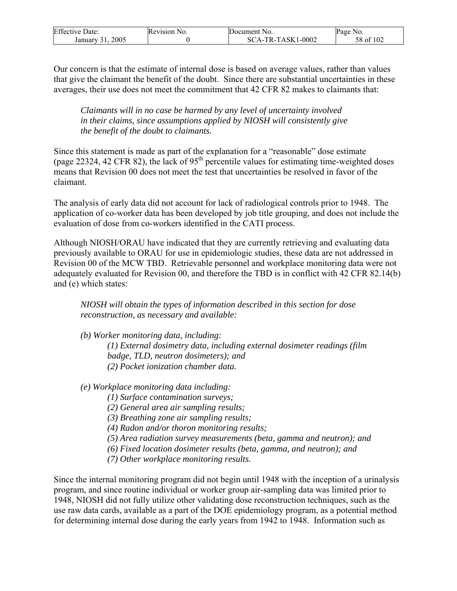| <b>Effective Date:</b> | Revision No. | Document No.      | Page No.  |
|------------------------|--------------|-------------------|-----------|
| 2005<br>January        |              | SCA-TR-TASK1-0002 | 58 of 102 |

Our concern is that the estimate of internal dose is based on average values, rather than values that give the claimant the benefit of the doubt. Since there are substantial uncertainties in these averages, their use does not meet the commitment that 42 CFR 82 makes to claimants that:

*Claimants will in no case be harmed by any level of uncertainty involved in their claims, since assumptions applied by NIOSH will consistently give the benefit of the doubt to claimants.* 

Since this statement is made as part of the explanation for a "reasonable" dose estimate (page 22324, 42 CFR 82), the lack of  $95<sup>th</sup>$  percentile values for estimating time-weighted doses means that Revision 00 does not meet the test that uncertainties be resolved in favor of the claimant.

The analysis of early data did not account for lack of radiological controls prior to 1948. The application of co-worker data has been developed by job title grouping, and does not include the evaluation of dose from co-workers identified in the CATI process.

Although NIOSH/ORAU have indicated that they are currently retrieving and evaluating data previously available to ORAU for use in epidemiologic studies, these data are not addressed in Revision 00 of the MCW TBD. Retrievable personnel and workplace monitoring data were not adequately evaluated for Revision 00, and therefore the TBD is in conflict with 42 CFR 82.14(b) and (e) which states:

*NIOSH will obtain the types of information described in this section for dose reconstruction, as necessary and available:* 

*(b) Worker monitoring data, including:* 

*(1) External dosimetry data, including external dosimeter readings (film badge, TLD, neutron dosimeters); and (2) Pocket ionization chamber data.* 

*(e) Workplace monitoring data including:* 

*(1) Surface contamination surveys;* 

*(2) General area air sampling results;* 

*(3) Breathing zone air sampling results;* 

*(4) Radon and/or thoron monitoring results;* 

*(5) Area radiation survey measurements (beta, gamma and neutron); and* 

*(6) Fixed location dosimeter results (beta, gamma, and neutron); and* 

*(7) Other workplace monitoring results.* 

Since the internal monitoring program did not begin until 1948 with the inception of a urinalysis program, and since routine individual or worker group air-sampling data was limited prior to 1948, NIOSH did not fully utilize other validating dose reconstruction techniques, such as the use raw data cards, available as a part of the DOE epidemiology program, as a potential method for determining internal dose during the early years from 1942 to 1948. Information such as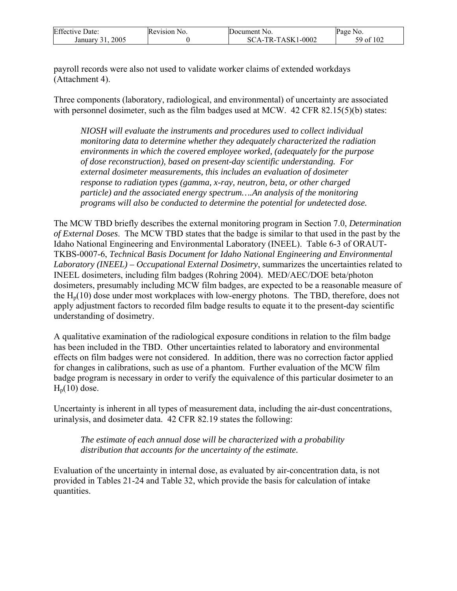| <b>Effective Date:</b> | Revision No. | Document No.      | Page No.  |
|------------------------|--------------|-------------------|-----------|
| 2005<br>January 31     |              | SCA-TR-TASK1-0002 | 59 of 102 |

payroll records were also not used to validate worker claims of extended workdays (Attachment 4).

Three components (laboratory, radiological, and environmental) of uncertainty are associated with personnel dosimeter, such as the film badges used at MCW. 42 CFR 82.15(5)(b) states:

*NIOSH will evaluate the instruments and procedures used to collect individual monitoring data to determine whether they adequately characterized the radiation environments in which the covered employee worked, (adequately for the purpose of dose reconstruction), based on present-day scientific understanding. For external dosimeter measurements, this includes an evaluation of dosimeter response to radiation types (gamma, x-ray, neutron, beta, or other charged particle) and the associated energy spectrum….An analysis of the monitoring programs will also be conducted to determine the potential for undetected dose.* 

The MCW TBD briefly describes the external monitoring program in Section 7.0, *Determination of External Doses*. The MCW TBD states that the badge is similar to that used in the past by the Idaho National Engineering and Environmental Laboratory (INEEL). Table 6-3 of ORAUT-TKBS-0007-6, *Technical Basis Document for Idaho National Engineering and Environmental Laboratory (INEEL) – Occupational External Dosimetry*, summarizes the uncertainties related to INEEL dosimeters, including film badges (Rohring 2004). MED/AEC/DOE beta/photon dosimeters, presumably including MCW film badges, are expected to be a reasonable measure of the  $H_p(10)$  dose under most workplaces with low-energy photons. The TBD, therefore, does not apply adjustment factors to recorded film badge results to equate it to the present-day scientific understanding of dosimetry.

A qualitative examination of the radiological exposure conditions in relation to the film badge has been included in the TBD. Other uncertainties related to laboratory and environmental effects on film badges were not considered. In addition, there was no correction factor applied for changes in calibrations, such as use of a phantom. Further evaluation of the MCW film badge program is necessary in order to verify the equivalence of this particular dosimeter to an  $H_p(10)$  dose.

Uncertainty is inherent in all types of measurement data, including the air-dust concentrations, urinalysis, and dosimeter data. 42 CFR 82.19 states the following:

*The estimate of each annual dose will be characterized with a probability distribution that accounts for the uncertainty of the estimate.* 

Evaluation of the uncertainty in internal dose, as evaluated by air-concentration data, is not provided in Tables 21-24 and Table 32, which provide the basis for calculation of intake quantities.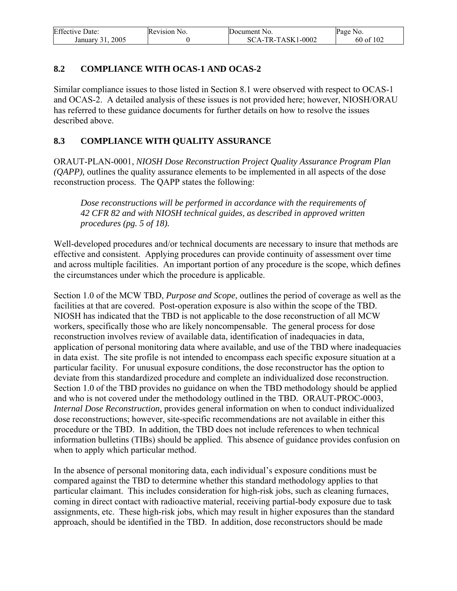| <b>Effective Date:</b> | Revision No. | Document No.      | Page No.  |
|------------------------|--------------|-------------------|-----------|
| 2005<br>January 31     |              | SCA-TR-TASK1-0002 | 60 of 102 |

### **8.2 COMPLIANCE WITH OCAS-1 AND OCAS-2**

Similar compliance issues to those listed in Section 8.1 were observed with respect to OCAS-1 and OCAS-2. A detailed analysis of these issues is not provided here; however, NIOSH/ORAU has referred to these guidance documents for further details on how to resolve the issues described above.

### **8.3 COMPLIANCE WITH QUALITY ASSURANCE**

ORAUT-PLAN-0001, *NIOSH Dose Reconstruction Project Quality Assurance Program Plan (QAPP),* outlines the quality assurance elements to be implemented in all aspects of the dose reconstruction process. The QAPP states the following:

*Dose reconstructions will be performed in accordance with the requirements of 42 CFR 82 and with NIOSH technical guides, as described in approved written procedures (pg. 5 of 18).* 

Well-developed procedures and/or technical documents are necessary to insure that methods are effective and consistent. Applying procedures can provide continuity of assessment over time and across multiple facilities. An important portion of any procedure is the scope, which defines the circumstances under which the procedure is applicable.

Section 1.0 of the MCW TBD, *Purpose and Scope*, outlines the period of coverage as well as the facilities at that are covered. Post-operation exposure is also within the scope of the TBD. NIOSH has indicated that the TBD is not applicable to the dose reconstruction of all MCW workers, specifically those who are likely noncompensable. The general process for dose reconstruction involves review of available data, identification of inadequacies in data, application of personal monitoring data where available, and use of the TBD where inadequacies in data exist. The site profile is not intended to encompass each specific exposure situation at a particular facility. For unusual exposure conditions, the dose reconstructor has the option to deviate from this standardized procedure and complete an individualized dose reconstruction. Section 1.0 of the TBD provides no guidance on when the TBD methodology should be applied and who is not covered under the methodology outlined in the TBD. ORAUT-PROC-0003, *Internal Dose Reconstruction,* provides general information on when to conduct individualized dose reconstructions; however, site-specific recommendations are not available in either this procedure or the TBD. In addition, the TBD does not include references to when technical information bulletins (TIBs) should be applied. This absence of guidance provides confusion on when to apply which particular method.

In the absence of personal monitoring data, each individual's exposure conditions must be compared against the TBD to determine whether this standard methodology applies to that particular claimant. This includes consideration for high-risk jobs, such as cleaning furnaces, coming in direct contact with radioactive material, receiving partial-body exposure due to task assignments, etc. These high-risk jobs, which may result in higher exposures than the standard approach, should be identified in the TBD. In addition, dose reconstructors should be made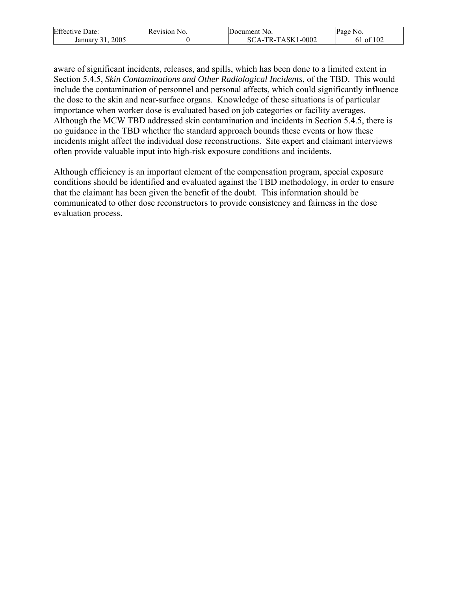| <b>Effective Date:</b> | Revision<br>NO. | Document No.                            | Page<br>NO.   |
|------------------------|-----------------|-----------------------------------------|---------------|
| 2005<br>January        |                 | $1 - 0002$<br>A-TR-TASK1<br>$SC_{\ell}$ | f 102<br>- ot |

aware of significant incidents, releases, and spills, which has been done to a limited extent in Section 5.4.5, *Skin Contaminations and Other Radiological Incidents*, of the TBD. This would include the contamination of personnel and personal affects, which could significantly influence the dose to the skin and near-surface organs. Knowledge of these situations is of particular importance when worker dose is evaluated based on job categories or facility averages. Although the MCW TBD addressed skin contamination and incidents in Section 5.4.5, there is no guidance in the TBD whether the standard approach bounds these events or how these incidents might affect the individual dose reconstructions. Site expert and claimant interviews often provide valuable input into high-risk exposure conditions and incidents.

Although efficiency is an important element of the compensation program, special exposure conditions should be identified and evaluated against the TBD methodology, in order to ensure that the claimant has been given the benefit of the doubt. This information should be communicated to other dose reconstructors to provide consistency and fairness in the dose evaluation process.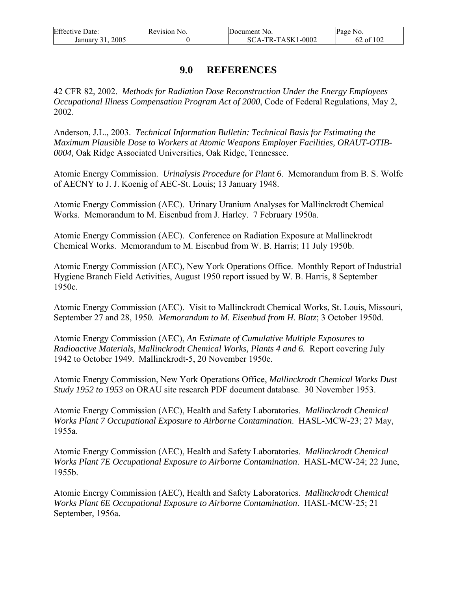| <b>Effective Date:</b> | Revision No. | <b>IDocument</b> No. | Page No.  |
|------------------------|--------------|----------------------|-----------|
| 2005<br>January        |              | SCA-TR-TASK1-0002    | 62 of 102 |

### **9.0 REFERENCES**

42 CFR 82, 2002. *Methods for Radiation Dose Reconstruction Under the Energy Employees Occupational Illness Compensation Program Act of 2000*, Code of Federal Regulations, May 2, 2002.

Anderson, J.L., 2003. *Technical Information Bulletin: Technical Basis for Estimating the Maximum Plausible Dose to Workers at Atomic Weapons Employer Facilities, ORAUT-OTIB-0004,* Oak Ridge Associated Universities, Oak Ridge, Tennessee.

Atomic Energy Commission. *Urinalysis Procedure for Plant 6*. Memorandum from B. S. Wolfe of AECNY to J. J. Koenig of AEC-St. Louis; 13 January 1948.

Atomic Energy Commission (AEC). Urinary Uranium Analyses for Mallinckrodt Chemical Works. Memorandum to M. Eisenbud from J. Harley. 7 February 1950a.

Atomic Energy Commission (AEC). Conference on Radiation Exposure at Mallinckrodt Chemical Works. Memorandum to M. Eisenbud from W. B. Harris; 11 July 1950b.

Atomic Energy Commission (AEC), New York Operations Office. Monthly Report of Industrial Hygiene Branch Field Activities, August 1950 report issued by W. B. Harris, 8 September 1950c.

Atomic Energy Commission (AEC). Visit to Mallinckrodt Chemical Works, St. Louis, Missouri, September 27 and 28, 1950*. Memorandum to M. Eisenbud from H. Blatz*; 3 October 1950d.

Atomic Energy Commission (AEC), *An Estimate of Cumulative Multiple Exposures to Radioactive Materials, Mallinckrodt Chemical Works, Plants 4 and 6.* Report covering July 1942 to October 1949. Mallinckrodt-5, 20 November 1950e.

Atomic Energy Commission, New York Operations Office, *Mallinckrodt Chemical Works Dust Study 1952 to 1953* on ORAU site research PDF document database. 30 November 1953.

Atomic Energy Commission (AEC), Health and Safety Laboratories. *Mallinckrodt Chemical Works Plant 7 Occupational Exposure to Airborne Contamination*. HASL-MCW-23; 27 May, 1955a.

Atomic Energy Commission (AEC), Health and Safety Laboratories. *Mallinckrodt Chemical Works Plant 7E Occupational Exposure to Airborne Contamination*. HASL-MCW-24; 22 June, 1955b.

Atomic Energy Commission (AEC), Health and Safety Laboratories. *Mallinckrodt Chemical Works Plant 6E Occupational Exposure to Airborne Contamination*. HASL-MCW-25; 21 September, 1956a.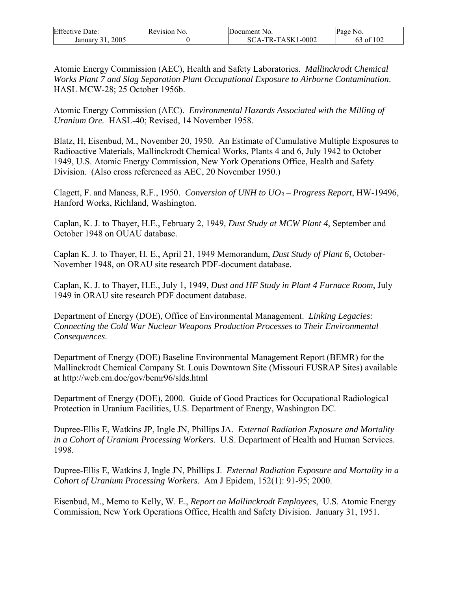| <b>Effective Date:</b> | Revision No. | Document No.      | Page No.  |
|------------------------|--------------|-------------------|-----------|
| 2005<br>January 31     |              | SCA-TR-TASK1-0002 | 63 of 102 |

Atomic Energy Commission (AEC), Health and Safety Laboratories. *Mallinckrodt Chemical Works Plant 7 and Slag Separation Plant Occupational Exposure to Airborne Contamination*. HASL MCW-28; 25 October 1956b.

Atomic Energy Commission (AEC). *Environmental Hazards Associated with the Milling of Uranium Ore.* HASL-40; Revised, 14 November 1958.

Blatz, H, Eisenbud, M., November 20, 1950. An Estimate of Cumulative Multiple Exposures to Radioactive Materials, Mallinckrodt Chemical Works, Plants 4 and 6, July 1942 to October 1949, U.S. Atomic Energy Commission, New York Operations Office, Health and Safety Division. (Also cross referenced as AEC, 20 November 1950.)

Clagett, F. and Maness, R.F., 1950. *Conversion of UNH to UO3 – Progress Report*, HW-19496, Hanford Works, Richland, Washington.

Caplan, K. J. to Thayer, H.E., February 2, 1949*, Dust Study at MCW Plant 4*, September and October 1948 on OUAU database.

Caplan K. J. to Thayer, H. E., April 21, 1949 Memorandum, *Dust Study of Plant 6*, October-November 1948, on ORAU site research PDF-document database.

Caplan, K. J. to Thayer, H.E., July 1, 1949, *Dust and HF Study in Plant 4 Furnace Room*, July 1949 in ORAU site research PDF document database.

Department of Energy (DOE), Office of Environmental Management. *Linking Legacies: Connecting the Cold War Nuclear Weapons Production Processes to Their Environmental Consequences*.

Department of Energy (DOE) Baseline Environmental Management Report (BEMR) for the Mallinckrodt Chemical Company St. Louis Downtown Site (Missouri FUSRAP Sites) available at http://web.em.doe/gov/bemr96/slds.html

Department of Energy (DOE), 2000. Guide of Good Practices for Occupational Radiological Protection in Uranium Facilities, U.S. Department of Energy, Washington DC.

Dupree-Ellis E, Watkins JP, Ingle JN, Phillips JA. *External Radiation Exposure and Mortality in a Cohort of Uranium Processing Workers*. U.S. Department of Health and Human Services. 1998.

Dupree-Ellis E, Watkins J, Ingle JN, Phillips J. *External Radiation Exposure and Mortality in a Cohort of Uranium Processing Workers*. Am J Epidem, 152(1): 91-95; 2000.

Eisenbud, M., Memo to Kelly, W. E., *Report on Mallinckrodt Employees*, U.S. Atomic Energy Commission, New York Operations Office, Health and Safety Division. January 31, 1951.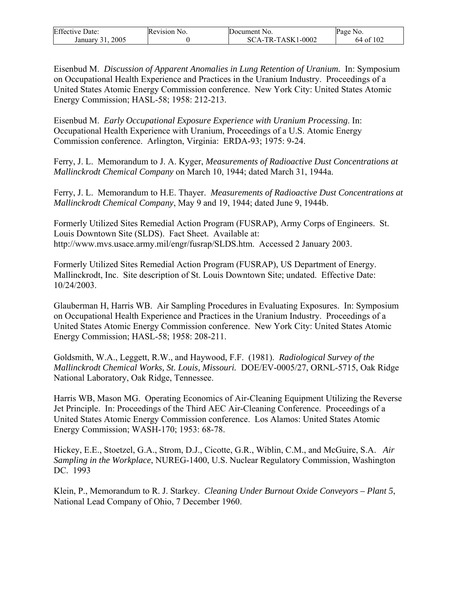| <b>Effective Date:</b> | Revision 1<br>NO. | Document No. | Page No. |
|------------------------|-------------------|--------------|----------|
| 2005                   |                   | $1 - 0002$   | f102     |
| January                |                   | SCA-TR-TASK1 | 64 of    |

Eisenbud M. *Discussion of Apparent Anomalies in Lung Retention of Uranium.* In: Symposium on Occupational Health Experience and Practices in the Uranium Industry. Proceedings of a United States Atomic Energy Commission conference. New York City: United States Atomic Energy Commission; HASL-58; 1958: 212-213.

Eisenbud M. *Early Occupational Exposure Experience with Uranium Processing*. In: Occupational Health Experience with Uranium, Proceedings of a U.S. Atomic Energy Commission conference. Arlington, Virginia: ERDA-93; 1975: 9-24.

Ferry, J. L. Memorandum to J. A. Kyger, *Measurements of Radioactive Dust Concentrations at Mallinckrodt Chemical Company* on March 10, 1944; dated March 31, 1944a.

Ferry, J. L. Memorandum to H.E. Thayer. *Measurements of Radioactive Dust Concentrations at Mallinckrodt Chemical Company*, May 9 and 19, 1944; dated June 9, 1944b.

Formerly Utilized Sites Remedial Action Program (FUSRAP), Army Corps of Engineers. St. Louis Downtown Site (SLDS). Fact Sheet. Available at: http://www.mvs.usace.army.mil/engr/fusrap/SLDS.htm. Accessed 2 January 2003.

Formerly Utilized Sites Remedial Action Program (FUSRAP), US Department of Energy. Mallinckrodt, Inc. Site description of St. Louis Downtown Site; undated. Effective Date: 10/24/2003.

Glauberman H, Harris WB. Air Sampling Procedures in Evaluating Exposures. In: Symposium on Occupational Health Experience and Practices in the Uranium Industry. Proceedings of a United States Atomic Energy Commission conference. New York City: United States Atomic Energy Commission; HASL-58; 1958: 208-211.

Goldsmith, W.A., Leggett, R.W., and Haywood, F.F. (1981). *Radiological Survey of the Mallinckrodt Chemical Works, St. Louis, Missouri.* DOE/EV-0005/27, ORNL-5715, Oak Ridge National Laboratory, Oak Ridge, Tennessee.

Harris WB, Mason MG. Operating Economics of Air-Cleaning Equipment Utilizing the Reverse Jet Principle. In: Proceedings of the Third AEC Air-Cleaning Conference. Proceedings of a United States Atomic Energy Commission conference. Los Alamos: United States Atomic Energy Commission; WASH-170; 1953: 68-78.

Hickey, E.E., Stoetzel, G.A., Strom, D.J., Cicotte, G.R., Wiblin, C.M., and McGuire, S.A. *Air Sampling in the Workplace*, NUREG-1400, U.S. Nuclear Regulatory Commission, Washington DC. 1993

Klein, P., Memorandum to R. J. Starkey. *Cleaning Under Burnout Oxide Conveyors – Plant 5*, National Lead Company of Ohio, 7 December 1960.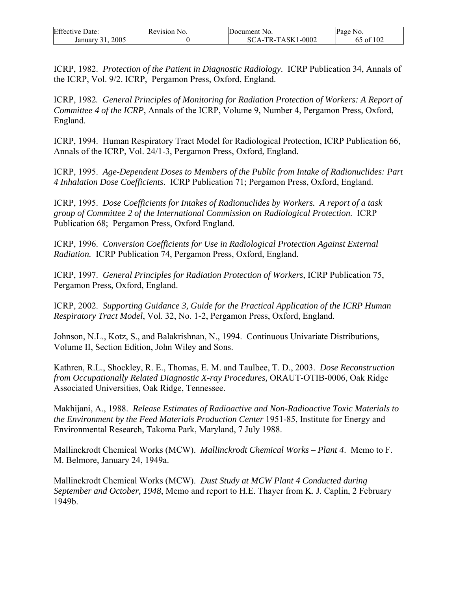| <b>Effective Date:</b> | Revision No. | Document No.      | Page No.       |
|------------------------|--------------|-------------------|----------------|
| 2005<br>January 31     |              | SCA-TR-TASK1-0002 | of $102$<br>O) |

ICRP, 1982. *Protection of the Patient in Diagnostic Radiology*. ICRP Publication 34, Annals of the ICRP, Vol. 9/2. ICRP, Pergamon Press, Oxford, England.

ICRP, 1982*. General Principles of Monitoring for Radiation Protection of Workers: A Report of Committee 4 of the ICRP*, Annals of the ICRP, Volume 9, Number 4, Pergamon Press, Oxford, England.

ICRP, 1994. Human Respiratory Tract Model for Radiological Protection, ICRP Publication 66, Annals of the ICRP, Vol. 24/1-3, Pergamon Press, Oxford, England.

ICRP, 1995. *Age-Dependent Doses to Members of the Public from Intake of Radionuclides: Part 4 Inhalation Dose Coefficients*. ICRP Publication 71; Pergamon Press, Oxford, England.

ICRP, 1995. *Dose Coefficients for Intakes of Radionuclides by Workers. A report of a task group of Committee 2 of the International Commission on Radiological Protection*. ICRP Publication 68; Pergamon Press, Oxford England.

ICRP, 1996. *Conversion Coefficients for Use in Radiological Protection Against External Radiation.* ICRP Publication 74, Pergamon Press, Oxford, England.

ICRP, 1997. *General Principles for Radiation Protection of Workers*, ICRP Publication 75, Pergamon Press, Oxford, England.

ICRP, 2002. *Supporting Guidance 3, Guide for the Practical Application of the ICRP Human Respiratory Tract Model*, Vol. 32, No. 1-2, Pergamon Press, Oxford, England.

Johnson, N.L., Kotz, S., and Balakrishnan, N., 1994. Continuous Univariate Distributions, Volume II, Section Edition, John Wiley and Sons.

Kathren, R.L., Shockley, R. E., Thomas, E. M. and Taulbee, T. D., 2003. *Dose Reconstruction from Occupationally Related Diagnostic X-ray Procedures,* ORAUT-OTIB-0006, Oak Ridge Associated Universities, Oak Ridge, Tennessee.

Makhijani, A., 1988. *Release Estimates of Radioactive and Non-Radioactive Toxic Materials to the Environment by the Feed Materials Production Center* 1951-85, Institute for Energy and Environmental Research, Takoma Park, Maryland, 7 July 1988.

Mallinckrodt Chemical Works (MCW). *Mallinckrodt Chemical Works – Plant 4*. Memo to F. M. Belmore, January 24, 1949a.

Mallinckrodt Chemical Works (MCW). *Dust Study at MCW Plant 4 Conducted during September and October, 1948*, Memo and report to H.E. Thayer from K. J. Caplin, 2 February 1949b.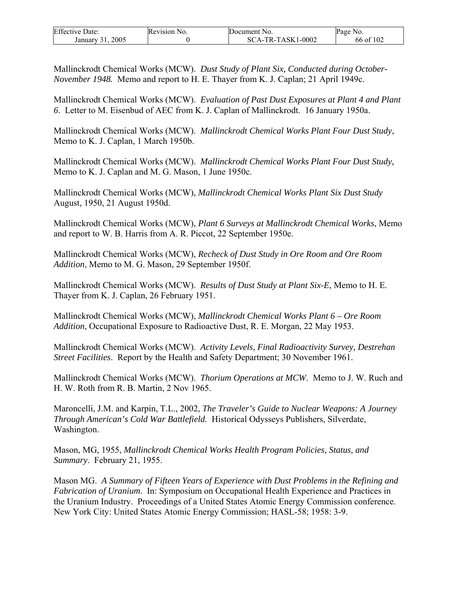| <b>Effective Date:</b> | <b>Revision</b> N<br>NO. | Document No.     | Page.<br>NO. |
|------------------------|--------------------------|------------------|--------------|
| $200^{\circ}$          |                          | CA-TR-TASK1-0002 | f 102        |
| January                |                          | $SC_{\ell}$      | 66 of        |

Mallinckrodt Chemical Works (MCW). *Dust Study of Plant Six, Conducted during October-November 1948.* Memo and report to H. E. Thayer from K. J. Caplan; 21 April 1949c.

Mallinckrodt Chemical Works (MCW). *Evaluation of Past Dust Exposures at Plant 4 and Plant 6*. Letter to M. Eisenbud of AEC from K. J. Caplan of Mallinckrodt. 16 January 1950a.

Mallinckrodt Chemical Works (MCW). *Mallinckrodt Chemical Works Plant Four Dust Study*, Memo to K. J. Caplan, 1 March 1950b.

Mallinckrodt Chemical Works (MCW). *Mallinckrodt Chemical Works Plant Four Dust Study,* Memo to K. J. Caplan and M. G. Mason, 1 June 1950c.

Mallinckrodt Chemical Works (MCW), *Mallinckrodt Chemical Works Plant Six Dust Study* August, 1950, 21 August 1950d.

Mallinckrodt Chemical Works (MCW), *Plant 6 Surveys at Mallinckrodt Chemical Works*, Memo and report to W. B. Harris from A. R. Piccot, 22 September 1950e.

Mallinckrodt Chemical Works (MCW), *Recheck of Dust Study in Ore Room and Ore Room Addition*, Memo to M. G. Mason, 29 September 1950f.

Mallinckrodt Chemical Works (MCW). *Results of Dust Study at Plant Six-E*, Memo to H. E. Thayer from K. J. Caplan, 26 February 1951.

Mallinckrodt Chemical Works (MCW), *Mallinckrodt Chemical Works Plant 6 – Ore Room Addition*, Occupational Exposure to Radioactive Dust, R. E. Morgan, 22 May 1953.

Mallinckrodt Chemical Works (MCW). *Activity Levels, Final Radioactivity Survey, Destrehan Street Facilities*. Report by the Health and Safety Department; 30 November 1961.

Mallinckrodt Chemical Works (MCW). *Thorium Operations at MCW*. Memo to J. W. Ruch and H. W. Roth from R. B. Martin, 2 Nov 1965.

Maroncelli, J.M. and Karpin, T.L., 2002, *The Traveler's Guide to Nuclear Weapons: A Journey Through American's Cold War Battlefield.* Historical Odysseys Publishers, Silverdate, Washington.

Mason, MG, 1955, *Mallinckrodt Chemical Works Health Program Policies, Status, and Summary*. February 21, 1955.

Mason MG. *A Summary of Fifteen Years of Experience with Dust Problems in the Refining and Fabrication of Uranium*. In: Symposium on Occupational Health Experience and Practices in the Uranium Industry. Proceedings of a United States Atomic Energy Commission conference. New York City: United States Atomic Energy Commission; HASL-58; 1958: 3-9.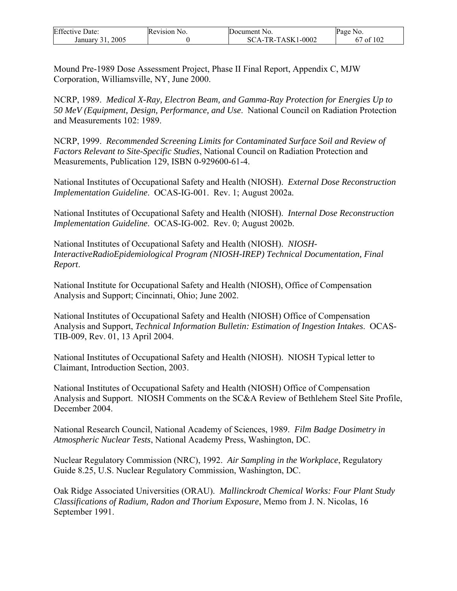| <b>Effective Date:</b> | Revision No. | Document No.      | Page No.  |
|------------------------|--------------|-------------------|-----------|
| 2005<br>January 31.    |              | SCA-TR-TASK1-0002 | 67 of 102 |

Mound Pre-1989 Dose Assessment Project, Phase II Final Report, Appendix C, MJW Corporation, Williamsville, NY, June 2000.

NCRP, 1989. *Medical X-Ray, Electron Beam, and Gamma-Ray Protection for Energies Up to 50 MeV (Equipment, Design, Performance, and Use*. National Council on Radiation Protection and Measurements 102: 1989.

NCRP, 1999. *Recommended Screening Limits for Contaminated Surface Soil and Review of Factors Relevant to Site-Specific Studies*, National Council on Radiation Protection and Measurements, Publication 129, ISBN 0-929600-61-4.

National Institutes of Occupational Safety and Health (NIOSH). *External Dose Reconstruction Implementation Guideline*. OCAS-IG-001. Rev. 1; August 2002a.

National Institutes of Occupational Safety and Health (NIOSH). *Internal Dose Reconstruction Implementation Guideline*. OCAS-IG-002. Rev. 0; August 2002b.

National Institutes of Occupational Safety and Health (NIOSH). *NIOSH-InteractiveRadioEpidemiological Program (NIOSH-IREP) Technical Documentation, Final Report*.

National Institute for Occupational Safety and Health (NIOSH), Office of Compensation Analysis and Support; Cincinnati, Ohio; June 2002.

National Institutes of Occupational Safety and Health (NIOSH) Office of Compensation Analysis and Support, *Technical Information Bulletin: Estimation of Ingestion Intakes*. OCAS-TIB-009, Rev. 01, 13 April 2004.

National Institutes of Occupational Safety and Health (NIOSH). NIOSH Typical letter to Claimant, Introduction Section, 2003.

National Institutes of Occupational Safety and Health (NIOSH) Office of Compensation Analysis and Support. NIOSH Comments on the SC&A Review of Bethlehem Steel Site Profile, December 2004.

National Research Council, National Academy of Sciences, 1989. *Film Badge Dosimetry in Atmospheric Nuclear Tests*, National Academy Press, Washington, DC.

Nuclear Regulatory Commission (NRC), 1992. *Air Sampling in the Workplace*, Regulatory Guide 8.25, U.S. Nuclear Regulatory Commission, Washington, DC.

Oak Ridge Associated Universities (ORAU). *Mallinckrodt Chemical Works: Four Plant Study Classifications of Radium, Radon and Thorium Exposure*, Memo from J. N. Nicolas, 16 September 1991.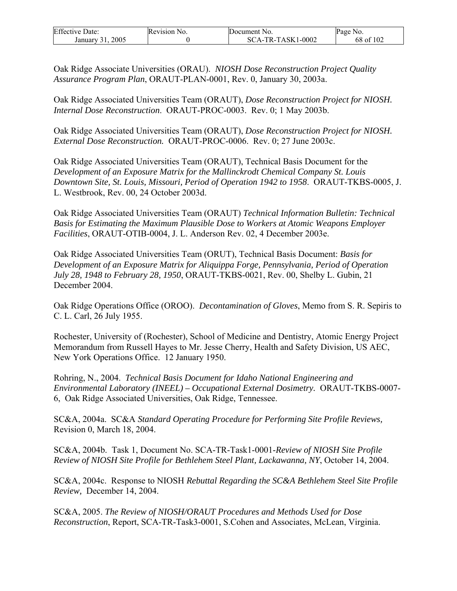| <b>Effective Date:</b> | Revision No. | Document No.      | Page No.  |
|------------------------|--------------|-------------------|-----------|
| 2005<br>January 31     |              | SCA-TR-TASK1-0002 | 68 of 102 |

Oak Ridge Associate Universities (ORAU). *NIOSH Dose Reconstruction Project Quality Assurance Program Plan*, ORAUT-PLAN-0001, Rev. 0, January 30, 2003a.

Oak Ridge Associated Universities Team (ORAUT), *Dose Reconstruction Project for NIOSH. Internal Dose Reconstruction*. ORAUT-PROC-0003. Rev. 0; 1 May 2003b.

Oak Ridge Associated Universities Team (ORAUT), *Dose Reconstruction Project for NIOSH. External Dose Reconstruction.* ORAUT-PROC-0006. Rev. 0; 27 June 2003c.

Oak Ridge Associated Universities Team (ORAUT), Technical Basis Document for the *Development of an Exposure Matrix for the Mallinckrodt Chemical Company St. Louis Downtown Site, St. Louis, Missouri, Period of Operation 1942 to 1958*. ORAUT-TKBS-0005, J. L. Westbrook, Rev. 00, 24 October 2003d.

Oak Ridge Associated Universities Team (ORAUT) *Technical Information Bulletin: Technical Basis for Estimating the Maximum Plausible Dose to Workers at Atomic Weapons Employer Facilities*, ORAUT-OTIB-0004, J. L. Anderson Rev. 02, 4 December 2003e.

Oak Ridge Associated Universities Team (ORUT), Technical Basis Document: *Basis for Development of an Exposure Matrix for Aliquippa Forge, Pennsylvania, Period of Operation July 28, 1948 to February 28, 1950*, ORAUT-TKBS-0021, Rev. 00, Shelby L. Gubin, 21 December 2004.

Oak Ridge Operations Office (OROO). *Decontamination of Gloves*, Memo from S. R. Sepiris to C. L. Carl, 26 July 1955.

Rochester, University of (Rochester), School of Medicine and Dentistry, Atomic Energy Project Memorandum from Russell Hayes to Mr. Jesse Cherry, Health and Safety Division, US AEC, New York Operations Office. 12 January 1950.

Rohring, N., 2004. *Technical Basis Document for Idaho National Engineering and Environmental Laboratory (INEEL) – Occupational External Dosimetry.* ORAUT-TKBS-0007- 6, Oak Ridge Associated Universities, Oak Ridge, Tennessee.

SC&A, 2004a. SC&A *Standard Operating Procedure for Performing Site Profile Reviews,* Revision 0, March 18, 2004.

SC&A, 2004b. Task 1, Document No. SCA-TR-Task1-0001-*Review of NIOSH Site Profile Review of NIOSH Site Profile for Bethlehem Steel Plant, Lackawanna, NY*, October 14, 2004.

SC&A, 2004c. Response to NIOSH *Rebuttal Regarding the SC&A Bethlehem Steel Site Profile Review,* December 14, 2004.

SC&A, 2005. *The Review of NIOSH/ORAUT Procedures and Methods Used for Dose Reconstruction*, Report, SCA-TR-Task3-0001, S.Cohen and Associates, McLean, Virginia.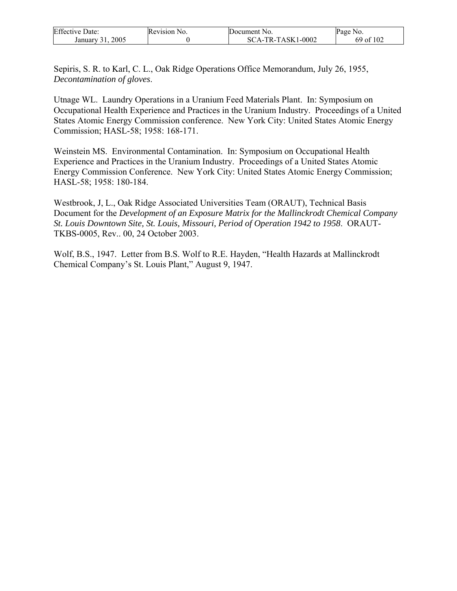| <b>Effective Date:</b> | Revision No. | Document No.      | Page No.  |
|------------------------|--------------|-------------------|-----------|
| 2005<br>January 31.    |              | SCA-TR-TASK1-0002 | 69 of 102 |

Sepiris, S. R. to Karl, C. L., Oak Ridge Operations Office Memorandum, July 26, 1955, *Decontamination of gloves*.

Utnage WL. Laundry Operations in a Uranium Feed Materials Plant. In: Symposium on Occupational Health Experience and Practices in the Uranium Industry. Proceedings of a United States Atomic Energy Commission conference. New York City: United States Atomic Energy Commission; HASL-58; 1958: 168-171.

Weinstein MS. Environmental Contamination. In: Symposium on Occupational Health Experience and Practices in the Uranium Industry. Proceedings of a United States Atomic Energy Commission Conference. New York City: United States Atomic Energy Commission; HASL-58; 1958: 180-184.

Westbrook, J, L., Oak Ridge Associated Universities Team (ORAUT), Technical Basis Document for the *Development of an Exposure Matrix for the Mallinckrodt Chemical Company St. Louis Downtown Site, St. Louis, Missouri, Period of Operation 1942 to 1958*. ORAUT-TKBS-0005, Rev.. 00, 24 October 2003.

Wolf, B.S., 1947. Letter from B.S. Wolf to R.E. Hayden, "Health Hazards at Mallinckrodt Chemical Company's St. Louis Plant," August 9, 1947.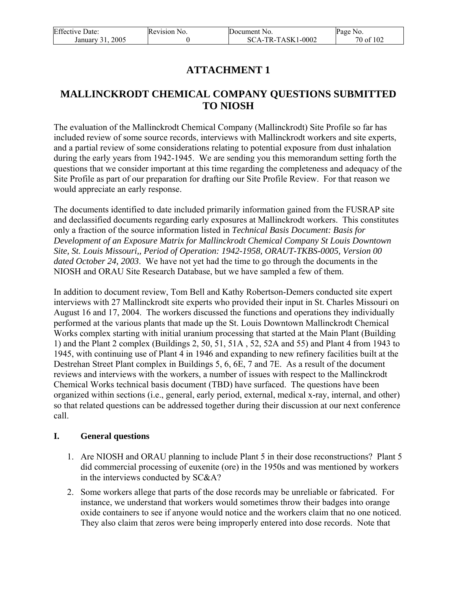| <b>Effective Date:</b> | Revision No. | Document No.        | Page No.  |
|------------------------|--------------|---------------------|-----------|
| 2005<br>January 31.    |              | $SCA-TR-TASK1-0002$ | 70 of 102 |

# **ATTACHMENT 1**

# **MALLINCKRODT CHEMICAL COMPANY QUESTIONS SUBMITTED TO NIOSH**

The evaluation of the Mallinckrodt Chemical Company (Mallinckrodt) Site Profile so far has included review of some source records, interviews with Mallinckrodt workers and site experts, and a partial review of some considerations relating to potential exposure from dust inhalation during the early years from 1942-1945. We are sending you this memorandum setting forth the questions that we consider important at this time regarding the completeness and adequacy of the Site Profile as part of our preparation for drafting our Site Profile Review. For that reason we would appreciate an early response.

The documents identified to date included primarily information gained from the FUSRAP site and declassified documents regarding early exposures at Mallinckrodt workers. This constitutes only a fraction of the source information listed in *Technical Basis Document: Basis for Development of an Exposure Matrix for Mallinckrodt Chemical Company St Louis Downtown Site, St. Louis Missouri,, Period of Operation: 1942-1958, ORAUT-TKBS-0005, Version 00 dated October 24, 2003*. We have not yet had the time to go through the documents in the NIOSH and ORAU Site Research Database, but we have sampled a few of them.

In addition to document review, Tom Bell and Kathy Robertson-Demers conducted site expert interviews with 27 Mallinckrodt site experts who provided their input in St. Charles Missouri on August 16 and 17, 2004. The workers discussed the functions and operations they individually performed at the various plants that made up the St. Louis Downtown Mallinckrodt Chemical Works complex starting with initial uranium processing that started at the Main Plant (Building 1) and the Plant 2 complex (Buildings 2, 50, 51, 51A , 52, 52A and 55) and Plant 4 from 1943 to 1945, with continuing use of Plant 4 in 1946 and expanding to new refinery facilities built at the Destrehan Street Plant complex in Buildings 5, 6, 6E, 7 and 7E. As a result of the document reviews and interviews with the workers, a number of issues with respect to the Mallinckrodt Chemical Works technical basis document (TBD) have surfaced. The questions have been organized within sections (i.e., general, early period, external, medical x-ray, internal, and other) so that related questions can be addressed together during their discussion at our next conference call.

#### **I. General questions**

- 1. Are NIOSH and ORAU planning to include Plant 5 in their dose reconstructions? Plant 5 did commercial processing of euxenite (ore) in the 1950s and was mentioned by workers in the interviews conducted by SC&A?
- 2. Some workers allege that parts of the dose records may be unreliable or fabricated. For instance, we understand that workers would sometimes throw their badges into orange oxide containers to see if anyone would notice and the workers claim that no one noticed. They also claim that zeros were being improperly entered into dose records. Note that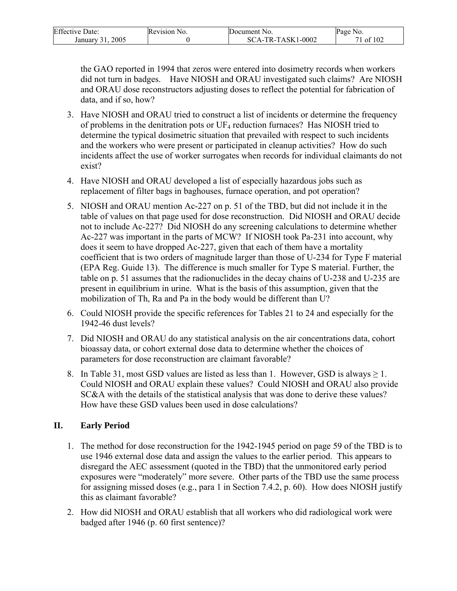| Effective I<br>Date:        | Revision No. | <b>IDocument No.</b>                                 | Page No. |
|-----------------------------|--------------|------------------------------------------------------|----------|
| 2005<br>January<br>$\sim$ 1 |              | 1-0002<br><sup>~</sup> A-TR-TASK1<br>SC <sup>-</sup> | of 102   |

the GAO reported in 1994 that zeros were entered into dosimetry records when workers did not turn in badges. Have NIOSH and ORAU investigated such claims? Are NIOSH and ORAU dose reconstructors adjusting doses to reflect the potential for fabrication of data, and if so, how?

- 3. Have NIOSH and ORAU tried to construct a list of incidents or determine the frequency of problems in the denitration pots or UF4 reduction furnaces? Has NIOSH tried to determine the typical dosimetric situation that prevailed with respect to such incidents and the workers who were present or participated in cleanup activities? How do such incidents affect the use of worker surrogates when records for individual claimants do not exist?
- 4. Have NIOSH and ORAU developed a list of especially hazardous jobs such as replacement of filter bags in baghouses, furnace operation, and pot operation?
- 5. NIOSH and ORAU mention Ac-227 on p. 51 of the TBD, but did not include it in the table of values on that page used for dose reconstruction. Did NIOSH and ORAU decide not to include Ac-227? Did NIOSH do any screening calculations to determine whether Ac-227 was important in the parts of MCW? If NIOSH took Pa-231 into account, why does it seem to have dropped Ac-227, given that each of them have a mortality coefficient that is two orders of magnitude larger than those of U-234 for Type F material (EPA Reg. Guide 13). The difference is much smaller for Type S material. Further, the table on p. 51 assumes that the radionuclides in the decay chains of U-238 and U-235 are present in equilibrium in urine. What is the basis of this assumption, given that the mobilization of Th, Ra and Pa in the body would be different than U?
- 6. Could NIOSH provide the specific references for Tables 21 to 24 and especially for the 1942-46 dust levels?
- 7. Did NIOSH and ORAU do any statistical analysis on the air concentrations data, cohort bioassay data, or cohort external dose data to determine whether the choices of parameters for dose reconstruction are claimant favorable?
- 8. In Table 31, most GSD values are listed as less than 1. However, GSD is always  $\geq 1$ . Could NIOSH and ORAU explain these values? Could NIOSH and ORAU also provide SC&A with the details of the statistical analysis that was done to derive these values? How have these GSD values been used in dose calculations?

#### **II. Early Period**

- 1. The method for dose reconstruction for the 1942-1945 period on page 59 of the TBD is to use 1946 external dose data and assign the values to the earlier period. This appears to disregard the AEC assessment (quoted in the TBD) that the unmonitored early period exposures were "moderately" more severe. Other parts of the TBD use the same process for assigning missed doses (e.g., para 1 in Section 7.4.2, p. 60). How does NIOSH justify this as claimant favorable?
- 2. How did NIOSH and ORAU establish that all workers who did radiological work were badged after 1946 (p. 60 first sentence)?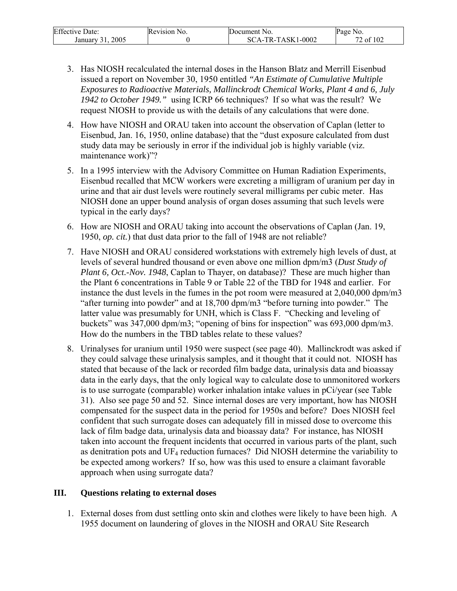| <b>Effective Date:</b> | Revision No. | Document No.      | Page<br>NO. |
|------------------------|--------------|-------------------|-------------|
| 2005<br>January 31     |              | SCA-TR-TASK1-0002 | '2 of 102   |

- 3. Has NIOSH recalculated the internal doses in the Hanson Blatz and Merrill Eisenbud issued a report on November 30, 1950 entitled *"An Estimate of Cumulative Multiple Exposures to Radioactive Materials, Mallinckrodt Chemical Works, Plant 4 and 6, July 1942 to October 1949."* using ICRP 66 techniques? If so what was the result? We request NIOSH to provide us with the details of any calculations that were done.
- 4. How have NIOSH and ORAU taken into account the observation of Caplan (letter to Eisenbud, Jan. 16, 1950, online database) that the "dust exposure calculated from dust study data may be seriously in error if the individual job is highly variable (viz. maintenance work)"?
- 5. In a 1995 interview with the Advisory Committee on Human Radiation Experiments, Eisenbud recalled that MCW workers were excreting a milligram of uranium per day in urine and that air dust levels were routinely several milligrams per cubic meter. Has NIOSH done an upper bound analysis of organ doses assuming that such levels were typical in the early days?
- 6. How are NIOSH and ORAU taking into account the observations of Caplan (Jan. 19, 1950, *op. cit.*) that dust data prior to the fall of 1948 are not reliable?
- 7. Have NIOSH and ORAU considered workstations with extremely high levels of dust, at levels of several hundred thousand or even above one million dpm/m3 (*Dust Study of Plant 6, Oct.-Nov. 1948*, Caplan to Thayer, on database)? These are much higher than the Plant 6 concentrations in Table 9 or Table 22 of the TBD for 1948 and earlier. For instance the dust levels in the fumes in the pot room were measured at 2,040,000 dpm/m3 "after turning into powder" and at 18,700 dpm/m3 "before turning into powder." The latter value was presumably for UNH, which is Class F. "Checking and leveling of buckets" was 347,000 dpm/m3; "opening of bins for inspection" was 693,000 dpm/m3. How do the numbers in the TBD tables relate to these values?
- 8. Urinalyses for uranium until 1950 were suspect (see page 40). Mallinckrodt was asked if they could salvage these urinalysis samples, and it thought that it could not. NIOSH has stated that because of the lack or recorded film badge data, urinalysis data and bioassay data in the early days, that the only logical way to calculate dose to unmonitored workers is to use surrogate (comparable) worker inhalation intake values in pCi/year (see Table 31). Also see page 50 and 52. Since internal doses are very important, how has NIOSH compensated for the suspect data in the period for 1950s and before? Does NIOSH feel confident that such surrogate doses can adequately fill in missed dose to overcome this lack of film badge data, urinalysis data and bioassay data? For instance, has NIOSH taken into account the frequent incidents that occurred in various parts of the plant, such as denitration pots and  $UF_4$  reduction furnaces? Did NIOSH determine the variability to be expected among workers? If so, how was this used to ensure a claimant favorable approach when using surrogate data?

#### **III. Questions relating to external doses**

1. External doses from dust settling onto skin and clothes were likely to have been high. A 1955 document on laundering of gloves in the NIOSH and ORAU Site Research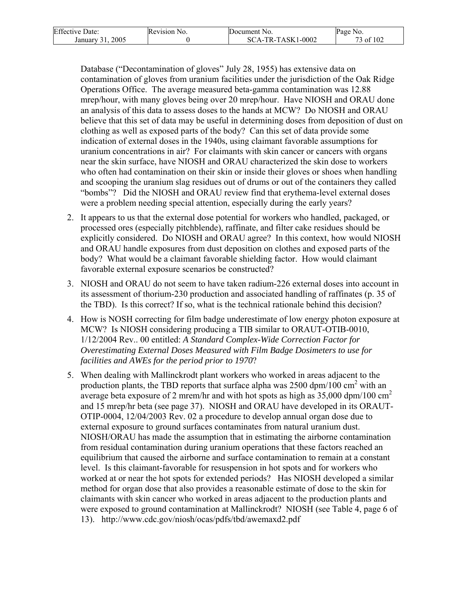| <b>Effective Date:</b> | Revision No. | Document No.      | Page No.     |
|------------------------|--------------|-------------------|--------------|
| 2005<br>January 31.    |              | SCA-TR-TASK1-0002 | $6$ of $102$ |

Database ("Decontamination of gloves" July 28, 1955) has extensive data on contamination of gloves from uranium facilities under the jurisdiction of the Oak Ridge Operations Office. The average measured beta-gamma contamination was 12.88 mrep/hour, with many gloves being over 20 mrep/hour. Have NIOSH and ORAU done an analysis of this data to assess doses to the hands at MCW? Do NIOSH and ORAU believe that this set of data may be useful in determining doses from deposition of dust on clothing as well as exposed parts of the body? Can this set of data provide some indication of external doses in the 1940s, using claimant favorable assumptions for uranium concentrations in air? For claimants with skin cancer or cancers with organs near the skin surface, have NIOSH and ORAU characterized the skin dose to workers who often had contamination on their skin or inside their gloves or shoes when handling and scooping the uranium slag residues out of drums or out of the containers they called "bombs"? Did the NIOSH and ORAU review find that erythema-level external doses were a problem needing special attention, especially during the early years?

- 2. It appears to us that the external dose potential for workers who handled, packaged, or processed ores (especially pitchblende), raffinate, and filter cake residues should be explicitly considered. Do NIOSH and ORAU agree? In this context, how would NIOSH and ORAU handle exposures from dust deposition on clothes and exposed parts of the body? What would be a claimant favorable shielding factor. How would claimant favorable external exposure scenarios be constructed?
- 3. NIOSH and ORAU do not seem to have taken radium-226 external doses into account in its assessment of thorium-230 production and associated handling of raffinates (p. 35 of the TBD). Is this correct? If so, what is the technical rationale behind this decision?
- 4. How is NOSH correcting for film badge underestimate of low energy photon exposure at MCW? Is NIOSH considering producing a TIB similar to ORAUT-OTIB-0010, 1/12/2004 Rev.. 00 entitled: *A Standard Complex-Wide Correction Factor for Overestimating External Doses Measured with Film Badge Dosimeters to use for facilities and AWEs for the period prior to 1970*?
- 5. When dealing with Mallinckrodt plant workers who worked in areas adjacent to the production plants, the TBD reports that surface alpha was  $2500 \text{ dpm}/100 \text{ cm}^2$  with an average beta exposure of 2 mrem/hr and with hot spots as high as  $35,000$  dpm/100 cm<sup>2</sup> and 15 mrep/hr beta (see page 37). NIOSH and ORAU have developed in its ORAUT-OTIP-0004, 12/04/2003 Rev. 02 a procedure to develop annual organ dose due to external exposure to ground surfaces contaminates from natural uranium dust. NIOSH/ORAU has made the assumption that in estimating the airborne contamination from residual contamination during uranium operations that these factors reached an equilibrium that caused the airborne and surface contamination to remain at a constant level. Is this claimant-favorable for resuspension in hot spots and for workers who worked at or near the hot spots for extended periods? Has NIOSH developed a similar method for organ dose that also provides a reasonable estimate of dose to the skin for claimants with skin cancer who worked in areas adjacent to the production plants and were exposed to ground contamination at Mallinckrodt? NIOSH (see Table 4, page 6 of 13). http://www.cdc.gov/niosh/ocas/pdfs/tbd/awemaxd2.pdf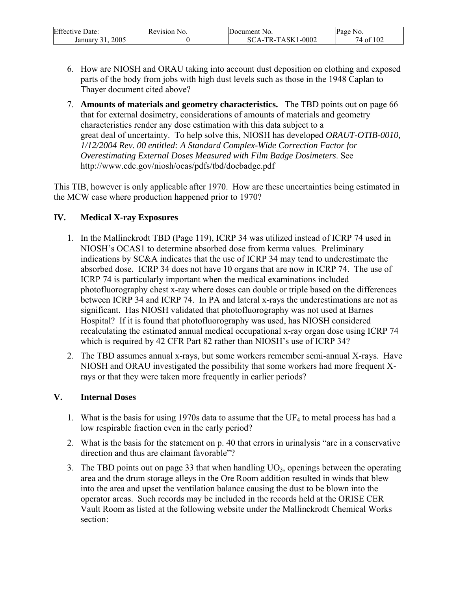| <b>Effective Date:</b> | <b>Revision</b> N<br>N <sub>0</sub> | Document No. | Page No. |
|------------------------|-------------------------------------|--------------|----------|
| 2005                   |                                     | 1-0002       | of 102   |
| January                |                                     | 'A-TR-TASK1  | /4 ot    |

- 6. How are NIOSH and ORAU taking into account dust deposition on clothing and exposed parts of the body from jobs with high dust levels such as those in the 1948 Caplan to Thayer document cited above?
- 7. **Amounts of materials and geometry characteristics.** The TBD points out on page 66 that for external dosimetry, considerations of amounts of materials and geometry characteristics render any dose estimation with this data subject to a great deal of uncertainty. To help solve this, NIOSH has developed *ORAUT-OTIB-0010, 1/12/2004 Rev. 00 entitled: A Standard Complex-Wide Correction Factor for Overestimating External Doses Measured with Film Badge Dosimeters*. See http://www.cdc.gov/niosh/ocas/pdfs/tbd/doebadge.pdf

This TIB, however is only applicable after 1970. How are these uncertainties being estimated in the MCW case where production happened prior to 1970?

### **IV. Medical X-ray Exposures**

- 1. In the Mallinckrodt TBD (Page 119), ICRP 34 was utilized instead of ICRP 74 used in NIOSH's OCAS1 to determine absorbed dose from kerma values. Preliminary indications by SC&A indicates that the use of ICRP 34 may tend to underestimate the absorbed dose. ICRP 34 does not have 10 organs that are now in ICRP 74. The use of ICRP 74 is particularly important when the medical examinations included photofluorography chest x-ray where doses can double or triple based on the differences between ICRP 34 and ICRP 74. In PA and lateral x-rays the underestimations are not as significant. Has NIOSH validated that photofluorography was not used at Barnes Hospital? If it is found that photofluorography was used, has NIOSH considered recalculating the estimated annual medical occupational x-ray organ dose using ICRP 74 which is required by 42 CFR Part 82 rather than NIOSH's use of ICRP 34?
- 2. The TBD assumes annual x-rays, but some workers remember semi-annual X-rays. Have NIOSH and ORAU investigated the possibility that some workers had more frequent Xrays or that they were taken more frequently in earlier periods?

### **V. Internal Doses**

- 1. What is the basis for using 1970s data to assume that the  $UF_4$  to metal process has had a low respirable fraction even in the early period?
- 2. What is the basis for the statement on p. 40 that errors in urinalysis "are in a conservative direction and thus are claimant favorable"?
- 3. The TBD points out on page 33 that when handling  $UO<sub>3</sub>$ , openings between the operating area and the drum storage alleys in the Ore Room addition resulted in winds that blew into the area and upset the ventilation balance causing the dust to be blown into the operator areas. Such records may be included in the records held at the ORISE CER Vault Room as listed at the following website under the Mallinckrodt Chemical Works section: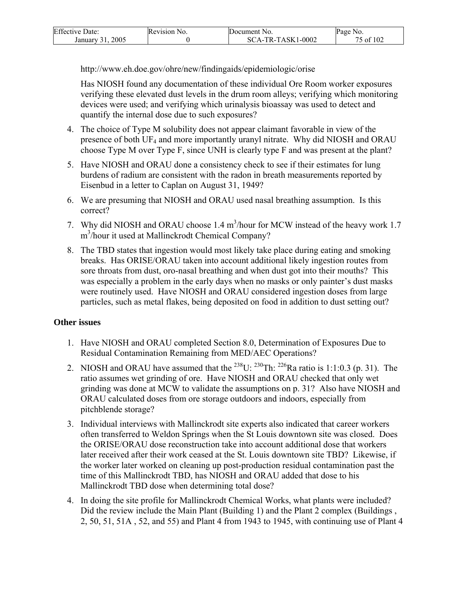| <b>Effective Date:</b> | Revision No. | Document No.      | Page No.  |
|------------------------|--------------|-------------------|-----------|
| 2005<br>January 31.    |              | SCA-TR-TASK1-0002 | 75 of 102 |

http://www.eh.doe.gov/ohre/new/findingaids/epidemiologic/orise

Has NIOSH found any documentation of these individual Ore Room worker exposures verifying these elevated dust levels in the drum room alleys; verifying which monitoring devices were used; and verifying which urinalysis bioassay was used to detect and quantify the internal dose due to such exposures?

- 4. The choice of Type M solubility does not appear claimant favorable in view of the presence of both UF4 and more importantly uranyl nitrate. Why did NIOSH and ORAU choose Type M over Type F, since UNH is clearly type F and was present at the plant?
- 5. Have NIOSH and ORAU done a consistency check to see if their estimates for lung burdens of radium are consistent with the radon in breath measurements reported by Eisenbud in a letter to Caplan on August 31, 1949?
- 6. We are presuming that NIOSH and ORAU used nasal breathing assumption. Is this correct?
- 7. Why did NIOSH and ORAU choose  $1.4 \text{ m}^3$ /hour for MCW instead of the heavy work 1.7 m<sup>3</sup>/hour it used at Mallinckrodt Chemical Company?
- 8. The TBD states that ingestion would most likely take place during eating and smoking breaks. Has ORISE/ORAU taken into account additional likely ingestion routes from sore throats from dust, oro-nasal breathing and when dust got into their mouths? This was especially a problem in the early days when no masks or only painter's dust masks were routinely used. Have NIOSH and ORAU considered ingestion doses from large particles, such as metal flakes, being deposited on food in addition to dust setting out?

### **Other issues**

- 1. Have NIOSH and ORAU completed Section 8.0, Determination of Exposures Due to Residual Contamination Remaining from MED/AEC Operations?
- 2. NIOSH and ORAU have assumed that the <sup>238</sup>U: <sup>230</sup>Th: <sup>226</sup>Ra ratio is 1:1:0.3 (p. 31). The ratio assumes wet grinding of ore. Have NIOSH and ORAU checked that only wet grinding was done at MCW to validate the assumptions on p. 31? Also have NIOSH and ORAU calculated doses from ore storage outdoors and indoors, especially from pitchblende storage?
- 3. Individual interviews with Mallinckrodt site experts also indicated that career workers often transferred to Weldon Springs when the St Louis downtown site was closed. Does the ORISE/ORAU dose reconstruction take into account additional dose that workers later received after their work ceased at the St. Louis downtown site TBD? Likewise, if the worker later worked on cleaning up post-production residual contamination past the time of this Mallinckrodt TBD, has NIOSH and ORAU added that dose to his Mallinckrodt TBD dose when determining total dose?
- 4. In doing the site profile for Mallinckrodt Chemical Works, what plants were included? Did the review include the Main Plant (Building 1) and the Plant 2 complex (Buildings , 2, 50, 51, 51A , 52, and 55) and Plant 4 from 1943 to 1945, with continuing use of Plant 4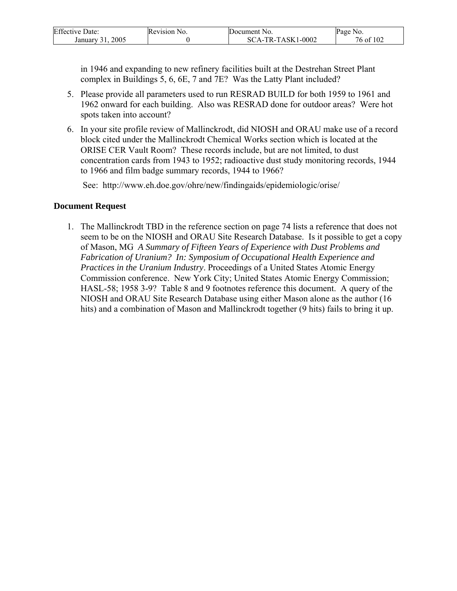| <b>Effective Date:</b>               | Revision No. | Document No.      | Page<br>No.        |
|--------------------------------------|--------------|-------------------|--------------------|
| 2005<br>January <sup>2</sup><br>-4 L |              | SCA-TR-TASK1-0002 | f 102<br>76<br>of. |

in 1946 and expanding to new refinery facilities built at the Destrehan Street Plant complex in Buildings 5, 6, 6E, 7 and 7E? Was the Latty Plant included?

- 5. Please provide all parameters used to run RESRAD BUILD for both 1959 to 1961 and 1962 onward for each building. Also was RESRAD done for outdoor areas? Were hot spots taken into account?
- 6. In your site profile review of Mallinckrodt, did NIOSH and ORAU make use of a record block cited under the Mallinckrodt Chemical Works section which is located at the ORISE CER Vault Room? These records include, but are not limited, to dust concentration cards from 1943 to 1952; radioactive dust study monitoring records, 1944 to 1966 and film badge summary records, 1944 to 1966?

See: http://www.eh.doe.gov/ohre/new/findingaids/epidemiologic/orise/

### **Document Request**

1. The Mallinckrodt TBD in the reference section on page 74 lists a reference that does not seem to be on the NIOSH and ORAU Site Research Database. Is it possible to get a copy of Mason, MG *A Summary of Fifteen Years of Experience with Dust Problems and Fabrication of Uranium? In: Symposium of Occupational Health Experience and Practices in the Uranium Industry*. Proceedings of a United States Atomic Energy Commission conference. New York City; United States Atomic Energy Commission; HASL-58; 1958 3-9? Table 8 and 9 footnotes reference this document. A query of the NIOSH and ORAU Site Research Database using either Mason alone as the author (16 hits) and a combination of Mason and Mallinckrodt together (9 hits) fails to bring it up.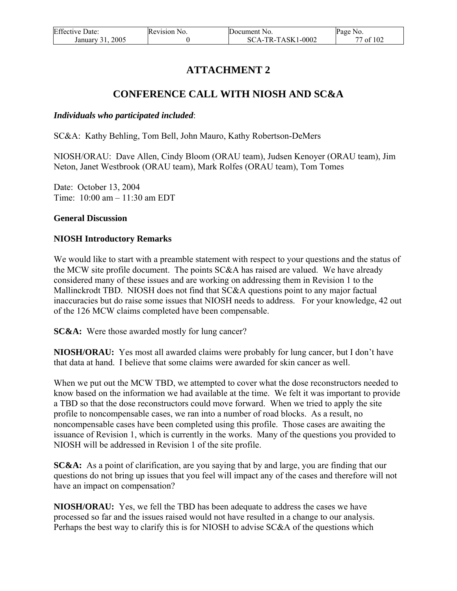| <b>Effective Date:</b> | Revision No. | Document No.      | Page No. |
|------------------------|--------------|-------------------|----------|
| 2005<br>January 31.    |              | SCA-TR-TASK1-0002 | of $102$ |

# **ATTACHMENT 2**

# **CONFERENCE CALL WITH NIOSH AND SC&A**

#### *Individuals who participated included*:

SC&A: Kathy Behling, Tom Bell, John Mauro, Kathy Robertson-DeMers

NIOSH/ORAU: Dave Allen, Cindy Bloom (ORAU team), Judsen Kenoyer (ORAU team), Jim Neton, Janet Westbrook (ORAU team), Mark Rolfes (ORAU team), Tom Tomes

Date: October 13, 2004 Time: 10:00 am – 11:30 am EDT

#### **General Discussion**

#### **NIOSH Introductory Remarks**

We would like to start with a preamble statement with respect to your questions and the status of the MCW site profile document. The points SC&A has raised are valued. We have already considered many of these issues and are working on addressing them in Revision 1 to the Mallinckrodt TBD. NIOSH does not find that SC&A questions point to any major factual inaccuracies but do raise some issues that NIOSH needs to address. For your knowledge, 42 out of the 126 MCW claims completed have been compensable.

**SC&A:** Were those awarded mostly for lung cancer?

**NIOSH/ORAU:** Yes most all awarded claims were probably for lung cancer, but I don't have that data at hand. I believe that some claims were awarded for skin cancer as well.

When we put out the MCW TBD, we attempted to cover what the dose reconstructors needed to know based on the information we had available at the time. We felt it was important to provide a TBD so that the dose reconstructors could move forward. When we tried to apply the site profile to noncompensable cases, we ran into a number of road blocks. As a result, no noncompensable cases have been completed using this profile. Those cases are awaiting the issuance of Revision 1, which is currently in the works. Many of the questions you provided to NIOSH will be addressed in Revision 1 of the site profile.

**SC&A:** As a point of clarification, are you saying that by and large, you are finding that our questions do not bring up issues that you feel will impact any of the cases and therefore will not have an impact on compensation?

**NIOSH/ORAU:** Yes, we fell the TBD has been adequate to address the cases we have processed so far and the issues raised would not have resulted in a change to our analysis. Perhaps the best way to clarify this is for NIOSH to advise SC&A of the questions which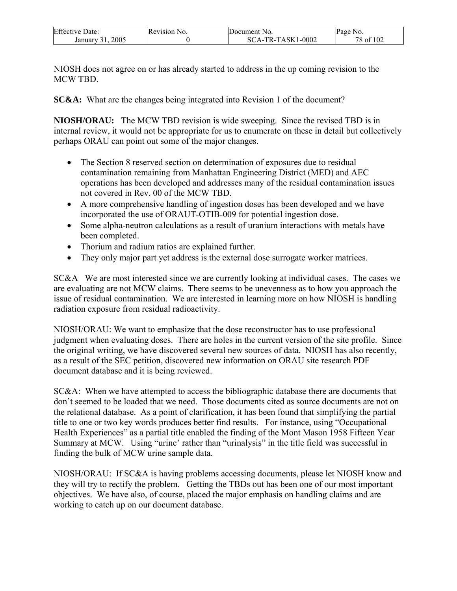| <b>Effective Date:</b> | Revision No. | Document No.      | Page No.  |
|------------------------|--------------|-------------------|-----------|
| 2005<br>January        |              | SCA-TR-TASK1-0002 | 78 of 102 |

NIOSH does not agree on or has already started to address in the up coming revision to the MCW TBD.

**SC&A:** What are the changes being integrated into Revision 1 of the document?

**NIOSH/ORAU:** The MCW TBD revision is wide sweeping. Since the revised TBD is in internal review, it would not be appropriate for us to enumerate on these in detail but collectively perhaps ORAU can point out some of the major changes.

- The Section 8 reserved section on determination of exposures due to residual contamination remaining from Manhattan Engineering District (MED) and AEC operations has been developed and addresses many of the residual contamination issues not covered in Rev. 00 of the MCW TBD.
- A more comprehensive handling of ingestion doses has been developed and we have incorporated the use of ORAUT-OTIB-009 for potential ingestion dose.
- Some alpha-neutron calculations as a result of uranium interactions with metals have been completed.
- Thorium and radium ratios are explained further.
- They only major part yet address is the external dose surrogate worker matrices.

SC&A We are most interested since we are currently looking at individual cases. The cases we are evaluating are not MCW claims. There seems to be unevenness as to how you approach the issue of residual contamination. We are interested in learning more on how NIOSH is handling radiation exposure from residual radioactivity.

NIOSH/ORAU: We want to emphasize that the dose reconstructor has to use professional judgment when evaluating doses. There are holes in the current version of the site profile. Since the original writing, we have discovered several new sources of data. NIOSH has also recently, as a result of the SEC petition, discovered new information on ORAU site research PDF document database and it is being reviewed.

SC&A: When we have attempted to access the bibliographic database there are documents that don't seemed to be loaded that we need. Those documents cited as source documents are not on the relational database. As a point of clarification, it has been found that simplifying the partial title to one or two key words produces better find results. For instance, using "Occupational Health Experiences" as a partial title enabled the finding of the Mont Mason 1958 Fifteen Year Summary at MCW. Using "urine' rather than "urinalysis" in the title field was successful in finding the bulk of MCW urine sample data.

NIOSH/ORAU: If SC&A is having problems accessing documents, please let NIOSH know and they will try to rectify the problem. Getting the TBDs out has been one of our most important objectives. We have also, of course, placed the major emphasis on handling claims and are working to catch up on our document database.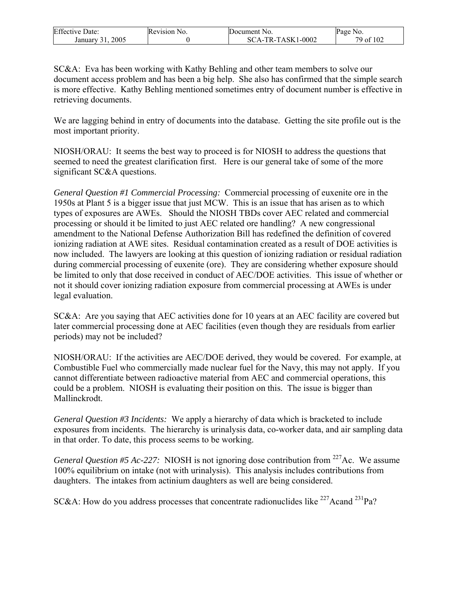| <b>Effective Date:</b> | Revision No. | Document No.      | Page<br>NO.          |
|------------------------|--------------|-------------------|----------------------|
| 2005<br>January        |              | SCA-TR-TASK1-0002 | of 102<br>79<br>- ot |

SC&A: Eva has been working with Kathy Behling and other team members to solve our document access problem and has been a big help. She also has confirmed that the simple search is more effective. Kathy Behling mentioned sometimes entry of document number is effective in retrieving documents.

We are lagging behind in entry of documents into the database. Getting the site profile out is the most important priority.

NIOSH/ORAU: It seems the best way to proceed is for NIOSH to address the questions that seemed to need the greatest clarification first. Here is our general take of some of the more significant SC&A questions.

*General Question #1 Commercial Processing:* Commercial processing of euxenite ore in the 1950s at Plant 5 is a bigger issue that just MCW. This is an issue that has arisen as to which types of exposures are AWEs. Should the NIOSH TBDs cover AEC related and commercial processing or should it be limited to just AEC related ore handling? A new congressional amendment to the National Defense Authorization Bill has redefined the definition of covered ionizing radiation at AWE sites. Residual contamination created as a result of DOE activities is now included. The lawyers are looking at this question of ionizing radiation or residual radiation during commercial processing of euxenite (ore). They are considering whether exposure should be limited to only that dose received in conduct of AEC/DOE activities. This issue of whether or not it should cover ionizing radiation exposure from commercial processing at AWEs is under legal evaluation.

SC&A: Are you saying that AEC activities done for 10 years at an AEC facility are covered but later commercial processing done at AEC facilities (even though they are residuals from earlier periods) may not be included?

NIOSH/ORAU: If the activities are AEC/DOE derived, they would be covered. For example, at Combustible Fuel who commercially made nuclear fuel for the Navy, this may not apply. If you cannot differentiate between radioactive material from AEC and commercial operations, this could be a problem. NIOSH is evaluating their position on this. The issue is bigger than Mallinckrodt.

*General Question #3 Incidents:* We apply a hierarchy of data which is bracketed to include exposures from incidents. The hierarchy is urinalysis data, co-worker data, and air sampling data in that order. To date, this process seems to be working.

*General Question #5 Ac-227:* NIOSH is not ignoring dose contribution from <sup>227</sup>Ac. We assume 100% equilibrium on intake (not with urinalysis). This analysis includes contributions from daughters. The intakes from actinium daughters as well are being considered.

SC&A: How do you address processes that concentrate radionuclides like  $^{227}$ Acand  $^{231}$ Pa?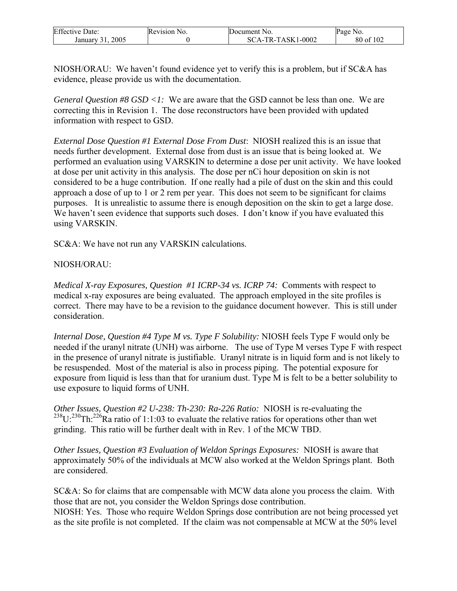| <b>Effective Date:</b> | Revision No. | Document No.      | Page No.  |
|------------------------|--------------|-------------------|-----------|
| 2005<br>January 31     |              | SCA-TR-TASK1-0002 | 80 of 102 |

NIOSH/ORAU: We haven't found evidence yet to verify this is a problem, but if SC&A has evidence, please provide us with the documentation.

*General Question #8 GSD <1:* We are aware that the GSD cannot be less than one. We are correcting this in Revision 1. The dose reconstructors have been provided with updated information with respect to GSD.

*External Dose Question #1 External Dose From Dust*: NIOSH realized this is an issue that needs further development. External dose from dust is an issue that is being looked at. We performed an evaluation using VARSKIN to determine a dose per unit activity. We have looked at dose per unit activity in this analysis. The dose per nCi hour deposition on skin is not considered to be a huge contribution. If one really had a pile of dust on the skin and this could approach a dose of up to 1 or 2 rem per year. This does not seem to be significant for claims purposes. It is unrealistic to assume there is enough deposition on the skin to get a large dose. We haven't seen evidence that supports such doses. I don't know if you have evaluated this using VARSKIN.

SC&A: We have not run any VARSKIN calculations.

### NIOSH/ORAU:

*Medical X-ray Exposures, Question #1 ICRP-34 vs. ICRP 74:* Comments with respect to medical x-ray exposures are being evaluated. The approach employed in the site profiles is correct. There may have to be a revision to the guidance document however. This is still under consideration.

*Internal Dose, Question #4 Type M vs. Type F Solubility:* NIOSH feels Type F would only be needed if the uranyl nitrate (UNH) was airborne. The use of Type M verses Type F with respect in the presence of uranyl nitrate is justifiable. Uranyl nitrate is in liquid form and is not likely to be resuspended. Most of the material is also in process piping. The potential exposure for exposure from liquid is less than that for uranium dust. Type M is felt to be a better solubility to use exposure to liquid forms of UNH.

*Other Issues, Question #2 U-238: Th-230: Ra-226 Ratio:* NIOSH is re-evaluating the  $238 \text{U}$ :  $230 \text{Th}$ :  $226 \text{Ra}$  ratio of 1:1:03 to evaluate the relative ratios for operations other than wet grinding. This ratio will be further dealt with in Rev. 1 of the MCW TBD.

*Other Issues, Question #3 Evaluation of Weldon Springs Exposures:* NIOSH is aware that approximately 50% of the individuals at MCW also worked at the Weldon Springs plant. Both are considered.

SC&A: So for claims that are compensable with MCW data alone you process the claim. With those that are not, you consider the Weldon Springs dose contribution. NIOSH: Yes. Those who require Weldon Springs dose contribution are not being processed yet as the site profile is not completed. If the claim was not compensable at MCW at the 50% level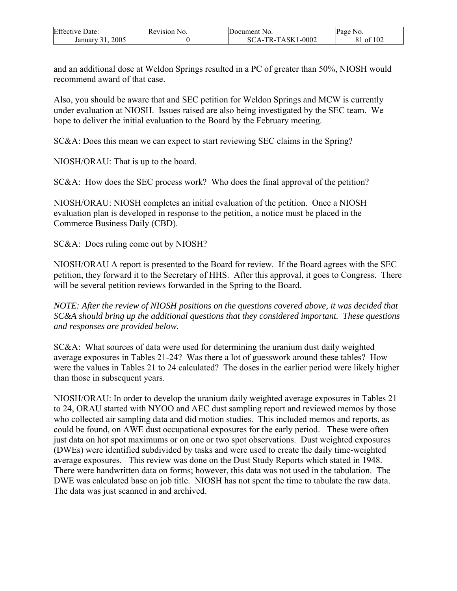| <b>Effective Date:</b> | Revision No. | Document No.      | Page No.  |
|------------------------|--------------|-------------------|-----------|
| 2005<br>January 31     |              | SCA-TR-TASK1-0002 | 81 of 102 |

and an additional dose at Weldon Springs resulted in a PC of greater than 50%, NIOSH would recommend award of that case.

Also, you should be aware that and SEC petition for Weldon Springs and MCW is currently under evaluation at NIOSH. Issues raised are also being investigated by the SEC team. We hope to deliver the initial evaluation to the Board by the February meeting.

SC&A: Does this mean we can expect to start reviewing SEC claims in the Spring?

NIOSH/ORAU: That is up to the board.

SC&A: How does the SEC process work? Who does the final approval of the petition?

NIOSH/ORAU: NIOSH completes an initial evaluation of the petition. Once a NIOSH evaluation plan is developed in response to the petition, a notice must be placed in the Commerce Business Daily (CBD).

SC&A: Does ruling come out by NIOSH?

NIOSH/ORAU A report is presented to the Board for review. If the Board agrees with the SEC petition, they forward it to the Secretary of HHS. After this approval, it goes to Congress. There will be several petition reviews forwarded in the Spring to the Board.

*NOTE: After the review of NIOSH positions on the questions covered above, it was decided that SC&A should bring up the additional questions that they considered important. These questions and responses are provided below.* 

SC&A: What sources of data were used for determining the uranium dust daily weighted average exposures in Tables 21-24? Was there a lot of guesswork around these tables? How were the values in Tables 21 to 24 calculated? The doses in the earlier period were likely higher than those in subsequent years.

NIOSH/ORAU: In order to develop the uranium daily weighted average exposures in Tables 21 to 24, ORAU started with NYOO and AEC dust sampling report and reviewed memos by those who collected air sampling data and did motion studies. This included memos and reports, as could be found, on AWE dust occupational exposures for the early period. These were often just data on hot spot maximums or on one or two spot observations. Dust weighted exposures (DWEs) were identified subdivided by tasks and were used to create the daily time-weighted average exposures. This review was done on the Dust Study Reports which stated in 1948. There were handwritten data on forms; however, this data was not used in the tabulation. The DWE was calculated base on job title. NIOSH has not spent the time to tabulate the raw data. The data was just scanned in and archived.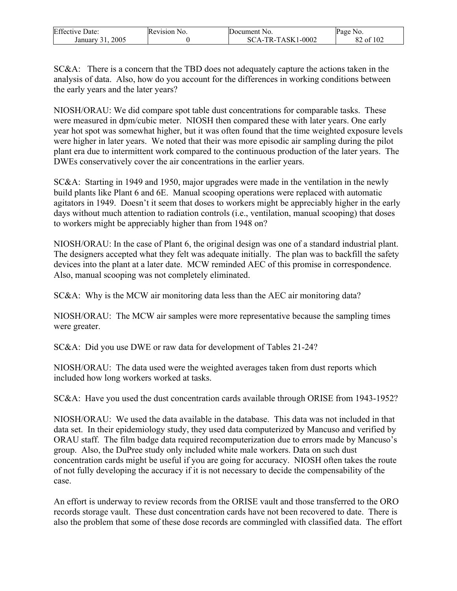| <b>Effective Date:</b> | Revision No. | Document No.      | Page No.  |
|------------------------|--------------|-------------------|-----------|
| 2005<br>January 31     |              | SCA-TR-TASK1-0002 | 82 of 102 |

SC&A: There is a concern that the TBD does not adequately capture the actions taken in the analysis of data. Also, how do you account for the differences in working conditions between the early years and the later years?

NIOSH/ORAU: We did compare spot table dust concentrations for comparable tasks. These were measured in dpm/cubic meter. NIOSH then compared these with later years. One early year hot spot was somewhat higher, but it was often found that the time weighted exposure levels were higher in later years. We noted that their was more episodic air sampling during the pilot plant era due to intermittent work compared to the continuous production of the later years. The DWEs conservatively cover the air concentrations in the earlier years.

SC&A: Starting in 1949 and 1950, major upgrades were made in the ventilation in the newly build plants like Plant 6 and 6E. Manual scooping operations were replaced with automatic agitators in 1949. Doesn't it seem that doses to workers might be appreciably higher in the early days without much attention to radiation controls (i.e., ventilation, manual scooping) that doses to workers might be appreciably higher than from 1948 on?

NIOSH/ORAU: In the case of Plant 6, the original design was one of a standard industrial plant. The designers accepted what they felt was adequate initially. The plan was to backfill the safety devices into the plant at a later date. MCW reminded AEC of this promise in correspondence. Also, manual scooping was not completely eliminated.

SC&A: Why is the MCW air monitoring data less than the AEC air monitoring data?

NIOSH/ORAU: The MCW air samples were more representative because the sampling times were greater.

SC&A: Did you use DWE or raw data for development of Tables 21-24?

NIOSH/ORAU: The data used were the weighted averages taken from dust reports which included how long workers worked at tasks.

SC&A: Have you used the dust concentration cards available through ORISE from 1943-1952?

NIOSH/ORAU: We used the data available in the database. This data was not included in that data set. In their epidemiology study, they used data computerized by Mancuso and verified by ORAU staff. The film badge data required recomputerization due to errors made by Mancuso's group. Also, the DuPree study only included white male workers. Data on such dust concentration cards might be useful if you are going for accuracy. NIOSH often takes the route of not fully developing the accuracy if it is not necessary to decide the compensability of the case.

An effort is underway to review records from the ORISE vault and those transferred to the ORO records storage vault. These dust concentration cards have not been recovered to date. There is also the problem that some of these dose records are commingled with classified data. The effort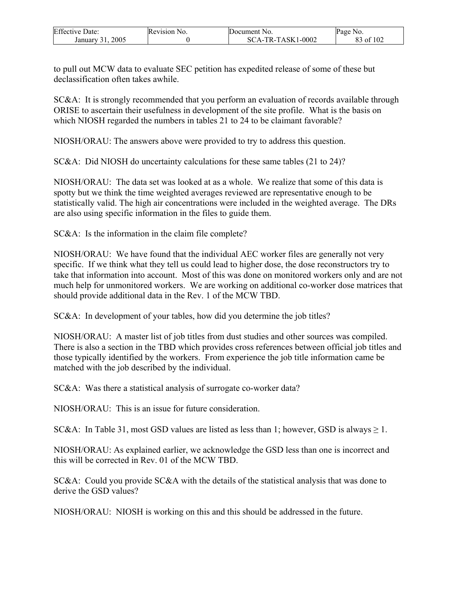| <b>Effective Date:</b> | Revision No. | Document No.      | Page No.        |
|------------------------|--------------|-------------------|-----------------|
| 2005<br>January 31     |              | SCA-TR-TASK1-0002 | of 102 ہ<br>OJ. |

to pull out MCW data to evaluate SEC petition has expedited release of some of these but declassification often takes awhile.

SC&A: It is strongly recommended that you perform an evaluation of records available through ORISE to ascertain their usefulness in development of the site profile. What is the basis on which NIOSH regarded the numbers in tables 21 to 24 to be claimant favorable?

NIOSH/ORAU: The answers above were provided to try to address this question.

SC&A: Did NIOSH do uncertainty calculations for these same tables (21 to 24)?

NIOSH/ORAU: The data set was looked at as a whole. We realize that some of this data is spotty but we think the time weighted averages reviewed are representative enough to be statistically valid. The high air concentrations were included in the weighted average. The DRs are also using specific information in the files to guide them.

SC&A: Is the information in the claim file complete?

NIOSH/ORAU: We have found that the individual AEC worker files are generally not very specific. If we think what they tell us could lead to higher dose, the dose reconstructors try to take that information into account. Most of this was done on monitored workers only and are not much help for unmonitored workers. We are working on additional co-worker dose matrices that should provide additional data in the Rev. 1 of the MCW TBD.

SC&A: In development of your tables, how did you determine the job titles?

NIOSH/ORAU: A master list of job titles from dust studies and other sources was compiled. There is also a section in the TBD which provides cross references between official job titles and those typically identified by the workers. From experience the job title information came be matched with the job described by the individual.

SC&A: Was there a statistical analysis of surrogate co-worker data?

NIOSH/ORAU: This is an issue for future consideration.

SC&A: In Table 31, most GSD values are listed as less than 1; however, GSD is always  $\geq 1$ .

NIOSH/ORAU: As explained earlier, we acknowledge the GSD less than one is incorrect and this will be corrected in Rev. 01 of the MCW TBD.

SC&A: Could you provide SC&A with the details of the statistical analysis that was done to derive the GSD values?

NIOSH/ORAU: NIOSH is working on this and this should be addressed in the future.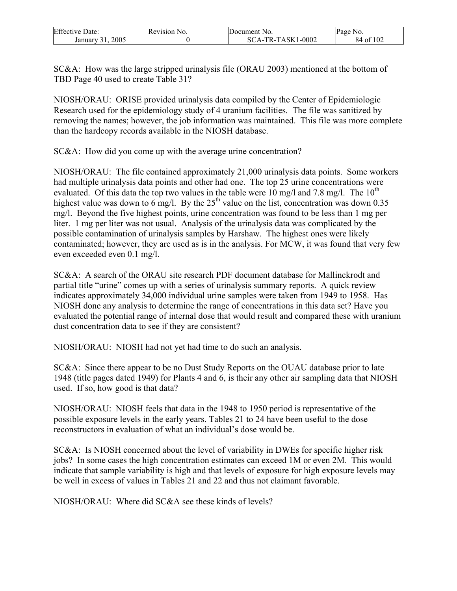| <b>Effective Date:</b> | Revision No. | Document No.      | Page No.  |
|------------------------|--------------|-------------------|-----------|
| 2005<br>January        |              | SCA-TR-TASK1-0002 | 84 of 102 |

SC&A: How was the large stripped urinalysis file (ORAU 2003) mentioned at the bottom of TBD Page 40 used to create Table 31?

NIOSH/ORAU: ORISE provided urinalysis data compiled by the Center of Epidemiologic Research used for the epidemiology study of 4 uranium facilities. The file was sanitized by removing the names; however, the job information was maintained. This file was more complete than the hardcopy records available in the NIOSH database.

SC&A: How did you come up with the average urine concentration?

NIOSH/ORAU: The file contained approximately 21,000 urinalysis data points. Some workers had multiple urinalysis data points and other had one. The top 25 urine concentrations were evaluated. Of this data the top two values in the table were 10 mg/l and 7.8 mg/l. The  $10^{th}$ highest value was down to 6 mg/l. By the  $25<sup>th</sup>$  value on the list, concentration was down 0.35 mg/l. Beyond the five highest points, urine concentration was found to be less than 1 mg per liter. 1 mg per liter was not usual. Analysis of the urinalysis data was complicated by the possible contamination of urinalysis samples by Harshaw. The highest ones were likely contaminated; however, they are used as is in the analysis. For MCW, it was found that very few even exceeded even 0.1 mg/l.

SC&A: A search of the ORAU site research PDF document database for Mallinckrodt and partial title "urine" comes up with a series of urinalysis summary reports. A quick review indicates approximately 34,000 individual urine samples were taken from 1949 to 1958. Has NIOSH done any analysis to determine the range of concentrations in this data set? Have you evaluated the potential range of internal dose that would result and compared these with uranium dust concentration data to see if they are consistent?

NIOSH/ORAU: NIOSH had not yet had time to do such an analysis.

SC&A: Since there appear to be no Dust Study Reports on the OUAU database prior to late 1948 (title pages dated 1949) for Plants 4 and 6, is their any other air sampling data that NIOSH used. If so, how good is that data?

NIOSH/ORAU: NIOSH feels that data in the 1948 to 1950 period is representative of the possible exposure levels in the early years. Tables 21 to 24 have been useful to the dose reconstructors in evaluation of what an individual's dose would be.

SC&A: Is NIOSH concerned about the level of variability in DWEs for specific higher risk jobs? In some cases the high concentration estimates can exceed 1M or even 2M. This would indicate that sample variability is high and that levels of exposure for high exposure levels may be well in excess of values in Tables 21 and 22 and thus not claimant favorable.

NIOSH/ORAU: Where did SC&A see these kinds of levels?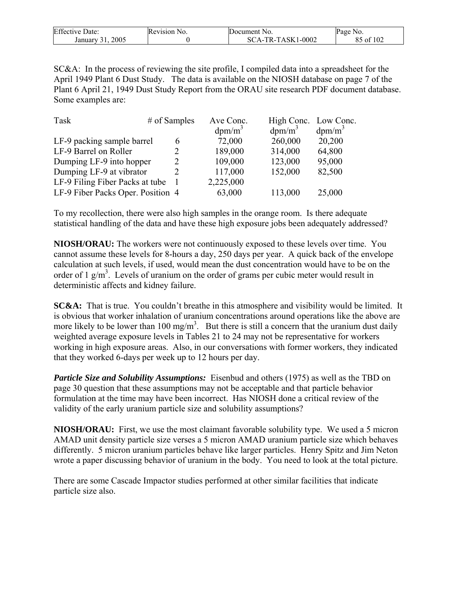| <b>Effective Date:</b> | Revision No. | Document No.                    | Page<br>NO.          |
|------------------------|--------------|---------------------------------|----------------------|
| 2005<br>January        |              | $1 - 0002$<br>.A-TR-TASK1<br>SC | f 102<br>∍ o≢<br>ن د |

SC&A: In the process of reviewing the site profile, I compiled data into a spreadsheet for the April 1949 Plant 6 Dust Study. The data is available on the NIOSH database on page 7 of the Plant 6 April 21, 1949 Dust Study Report from the ORAU site research PDF document database. Some examples are:

| Task                              | $#$ of Samples | Ave Conc. | High Conc. Low Conc. |           |
|-----------------------------------|----------------|-----------|----------------------|-----------|
|                                   |                | $dpm/m^3$ | $dpm/m^3$            | $dpm/m^3$ |
| LF-9 packing sample barrel        | 6              | 72,000    | 260,000              | 20,200    |
| LF-9 Barrel on Roller             | 2              | 189,000   | 314,000              | 64,800    |
| Dumping LF-9 into hopper          | $\overline{2}$ | 109,000   | 123,000              | 95,000    |
| Dumping LF-9 at vibrator          | 2              | 117,000   | 152,000              | 82,500    |
| LF-9 Filing Fiber Packs at tube   |                | 2,225,000 |                      |           |
| LF-9 Fiber Packs Oper. Position 4 |                | 63,000    | 113,000              | 25,000    |

To my recollection, there were also high samples in the orange room. Is there adequate statistical handling of the data and have these high exposure jobs been adequately addressed?

**NIOSH/ORAU:** The workers were not continuously exposed to these levels over time. You cannot assume these levels for 8-hours a day, 250 days per year. A quick back of the envelope calculation at such levels, if used, would mean the dust concentration would have to be on the order of 1  $g/m<sup>3</sup>$ . Levels of uranium on the order of grams per cubic meter would result in deterministic affects and kidney failure.

**SC&A:** That is true. You couldn't breathe in this atmosphere and visibility would be limited. It is obvious that worker inhalation of uranium concentrations around operations like the above are more likely to be lower than 100 mg/m<sup>3</sup>. But there is still a concern that the uranium dust daily weighted average exposure levels in Tables 21 to 24 may not be representative for workers working in high exposure areas. Also, in our conversations with former workers, they indicated that they worked 6-days per week up to 12 hours per day.

*Particle Size and Solubility Assumptions:* Eisenbud and others (1975) as well as the TBD on page 30 question that these assumptions may not be acceptable and that particle behavior formulation at the time may have been incorrect. Has NIOSH done a critical review of the validity of the early uranium particle size and solubility assumptions?

**NIOSH/ORAU:** First, we use the most claimant favorable solubility type. We used a 5 micron AMAD unit density particle size verses a 5 micron AMAD uranium particle size which behaves differently. 5 micron uranium particles behave like larger particles. Henry Spitz and Jim Neton wrote a paper discussing behavior of uranium in the body. You need to look at the total picture.

There are some Cascade Impactor studies performed at other similar facilities that indicate particle size also.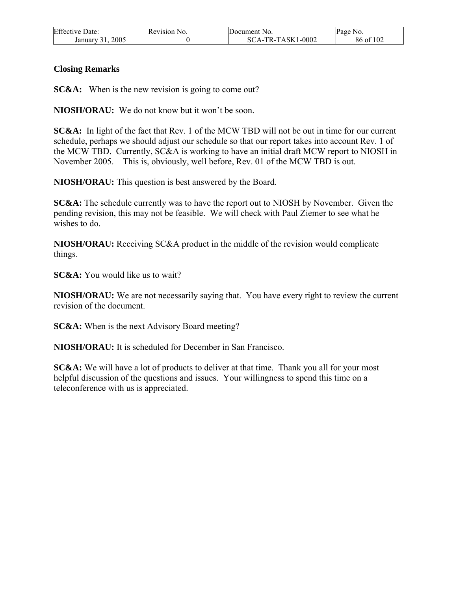| <b>Effective Date:</b> | Revision No. | Document No.      | Page No.  |
|------------------------|--------------|-------------------|-----------|
| 2005<br>January 31,    |              | SCA-TR-TASK1-0002 | 86 of 102 |

#### **Closing Remarks**

**SC&A:** When is the new revision is going to come out?

**NIOSH/ORAU:** We do not know but it won't be soon.

**SC&A:** In light of the fact that Rev. 1 of the MCW TBD will not be out in time for our current schedule, perhaps we should adjust our schedule so that our report takes into account Rev. 1 of the MCW TBD. Currently, SC&A is working to have an initial draft MCW report to NIOSH in November 2005. This is, obviously, well before, Rev. 01 of the MCW TBD is out.

**NIOSH/ORAU:** This question is best answered by the Board.

**SC&A:** The schedule currently was to have the report out to NIOSH by November. Given the pending revision, this may not be feasible. We will check with Paul Ziemer to see what he wishes to do.

**NIOSH/ORAU:** Receiving SC&A product in the middle of the revision would complicate things.

**SC&A:** You would like us to wait?

**NIOSH/ORAU:** We are not necessarily saying that. You have every right to review the current revision of the document.

**SC&A:** When is the next Advisory Board meeting?

**NIOSH/ORAU:** It is scheduled for December in San Francisco.

**SC&A:** We will have a lot of products to deliver at that time. Thank you all for your most helpful discussion of the questions and issues. Your willingness to spend this time on a teleconference with us is appreciated.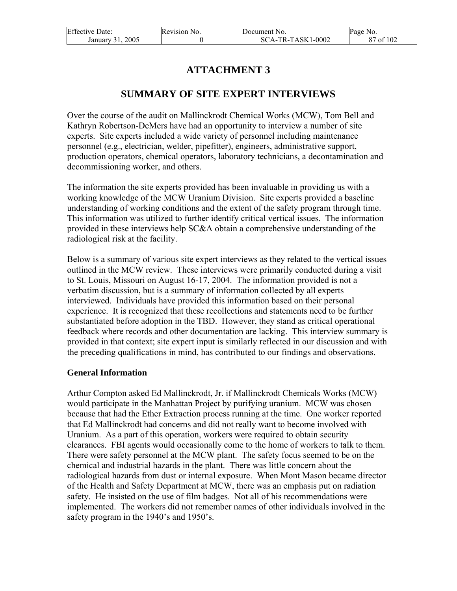| <b>Effective Date:</b> | Revision No. | Document No.      | Page No.       |
|------------------------|--------------|-------------------|----------------|
| 2005<br>January 31.    |              | SCA-TR-TASK1-0002 | of $102$<br>87 |

# **ATTACHMENT 3**

### **SUMMARY OF SITE EXPERT INTERVIEWS**

Over the course of the audit on Mallinckrodt Chemical Works (MCW), Tom Bell and Kathryn Robertson-DeMers have had an opportunity to interview a number of site experts. Site experts included a wide variety of personnel including maintenance personnel (e.g., electrician, welder, pipefitter), engineers, administrative support, production operators, chemical operators, laboratory technicians, a decontamination and decommissioning worker, and others.

The information the site experts provided has been invaluable in providing us with a working knowledge of the MCW Uranium Division. Site experts provided a baseline understanding of working conditions and the extent of the safety program through time. This information was utilized to further identify critical vertical issues. The information provided in these interviews help SC&A obtain a comprehensive understanding of the radiological risk at the facility.

Below is a summary of various site expert interviews as they related to the vertical issues outlined in the MCW review. These interviews were primarily conducted during a visit to St. Louis, Missouri on August 16-17, 2004. The information provided is not a verbatim discussion, but is a summary of information collected by all experts interviewed. Individuals have provided this information based on their personal experience. It is recognized that these recollections and statements need to be further substantiated before adoption in the TBD. However, they stand as critical operational feedback where records and other documentation are lacking. This interview summary is provided in that context; site expert input is similarly reflected in our discussion and with the preceding qualifications in mind, has contributed to our findings and observations.

#### **General Information**

Arthur Compton asked Ed Mallinckrodt, Jr. if Mallinckrodt Chemicals Works (MCW) would participate in the Manhattan Project by purifying uranium. MCW was chosen because that had the Ether Extraction process running at the time. One worker reported that Ed Mallinckrodt had concerns and did not really want to become involved with Uranium. As a part of this operation, workers were required to obtain security clearances. FBI agents would occasionally come to the home of workers to talk to them. There were safety personnel at the MCW plant. The safety focus seemed to be on the chemical and industrial hazards in the plant. There was little concern about the radiological hazards from dust or internal exposure. When Mont Mason became director of the Health and Safety Department at MCW, there was an emphasis put on radiation safety. He insisted on the use of film badges. Not all of his recommendations were implemented. The workers did not remember names of other individuals involved in the safety program in the 1940's and 1950's.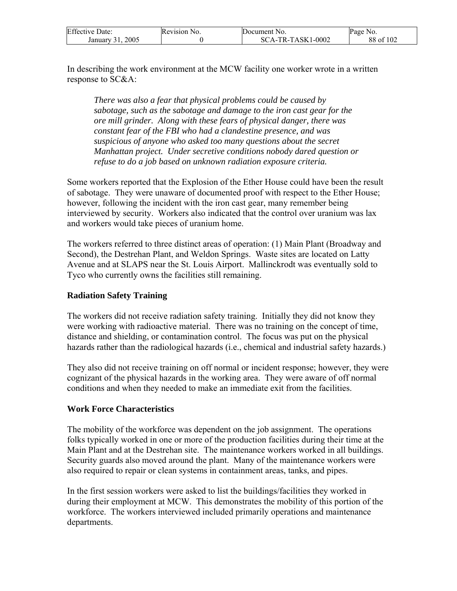| <b>Effective Date:</b> | Revision No. | Document No.      | Page No.  |
|------------------------|--------------|-------------------|-----------|
| 2005<br>January 31.    |              | SCA-TR-TASK1-0002 | 88 of 102 |

In describing the work environment at the MCW facility one worker wrote in a written response to SC&A:

*There was also a fear that physical problems could be caused by sabotage, such as the sabotage and damage to the iron cast gear for the ore mill grinder. Along with these fears of physical danger, there was constant fear of the FBI who had a clandestine presence, and was suspicious of anyone who asked too many questions about the secret Manhattan project. Under secretive conditions nobody dared question or refuse to do a job based on unknown radiation exposure criteria.* 

Some workers reported that the Explosion of the Ether House could have been the result of sabotage. They were unaware of documented proof with respect to the Ether House; however, following the incident with the iron cast gear, many remember being interviewed by security. Workers also indicated that the control over uranium was lax and workers would take pieces of uranium home.

The workers referred to three distinct areas of operation: (1) Main Plant (Broadway and Second), the Destrehan Plant, and Weldon Springs. Waste sites are located on Latty Avenue and at SLAPS near the St. Louis Airport. Mallinckrodt was eventually sold to Tyco who currently owns the facilities still remaining.

#### **Radiation Safety Training**

The workers did not receive radiation safety training. Initially they did not know they were working with radioactive material. There was no training on the concept of time, distance and shielding, or contamination control. The focus was put on the physical hazards rather than the radiological hazards (i.e., chemical and industrial safety hazards.)

They also did not receive training on off normal or incident response; however, they were cognizant of the physical hazards in the working area. They were aware of off normal conditions and when they needed to make an immediate exit from the facilities.

#### **Work Force Characteristics**

The mobility of the workforce was dependent on the job assignment. The operations folks typically worked in one or more of the production facilities during their time at the Main Plant and at the Destrehan site. The maintenance workers worked in all buildings. Security guards also moved around the plant. Many of the maintenance workers were also required to repair or clean systems in containment areas, tanks, and pipes.

In the first session workers were asked to list the buildings/facilities they worked in during their employment at MCW. This demonstrates the mobility of this portion of the workforce. The workers interviewed included primarily operations and maintenance departments.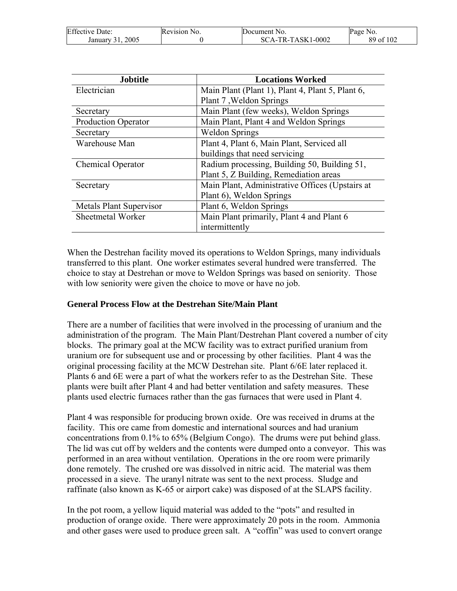| <b>Effective Date:</b> | Revision No. | Document No.      | Page<br>NO. |
|------------------------|--------------|-------------------|-------------|
| 2005<br>January 31     |              | SCA-TR-TASK1-0002 | 89 of 102   |

| <b>Jobtitle</b>                | <b>Locations Worked</b>                          |  |
|--------------------------------|--------------------------------------------------|--|
| Electrician                    | Main Plant (Plant 1), Plant 4, Plant 5, Plant 6, |  |
|                                | Plant 7, Weldon Springs                          |  |
| Secretary                      | Main Plant (few weeks), Weldon Springs           |  |
| <b>Production Operator</b>     | Main Plant, Plant 4 and Weldon Springs           |  |
| Secretary                      | <b>Weldon Springs</b>                            |  |
| Warehouse Man                  | Plant 4, Plant 6, Main Plant, Serviced all       |  |
|                                | buildings that need servicing                    |  |
| <b>Chemical Operator</b>       | Radium processing, Building 50, Building 51,     |  |
|                                | Plant 5, Z Building, Remediation areas           |  |
| Secretary                      | Main Plant, Administrative Offices (Upstairs at  |  |
|                                | Plant 6), Weldon Springs                         |  |
| <b>Metals Plant Supervisor</b> | Plant 6, Weldon Springs                          |  |
| Sheetmetal Worker              | Main Plant primarily, Plant 4 and Plant 6        |  |
|                                | intermittently                                   |  |

When the Destrehan facility moved its operations to Weldon Springs, many individuals transferred to this plant. One worker estimates several hundred were transferred. The choice to stay at Destrehan or move to Weldon Springs was based on seniority. Those with low seniority were given the choice to move or have no job.

### **General Process Flow at the Destrehan Site/Main Plant**

There are a number of facilities that were involved in the processing of uranium and the administration of the program. The Main Plant/Destrehan Plant covered a number of city blocks. The primary goal at the MCW facility was to extract purified uranium from uranium ore for subsequent use and or processing by other facilities. Plant 4 was the original processing facility at the MCW Destrehan site. Plant 6/6E later replaced it. Plants 6 and 6E were a part of what the workers refer to as the Destrehan Site. These plants were built after Plant 4 and had better ventilation and safety measures. These plants used electric furnaces rather than the gas furnaces that were used in Plant 4.

Plant 4 was responsible for producing brown oxide. Ore was received in drums at the facility. This ore came from domestic and international sources and had uranium concentrations from 0.1% to 65% (Belgium Congo). The drums were put behind glass. The lid was cut off by welders and the contents were dumped onto a conveyor. This was performed in an area without ventilation. Operations in the ore room were primarily done remotely. The crushed ore was dissolved in nitric acid. The material was them processed in a sieve. The uranyl nitrate was sent to the next process. Sludge and raffinate (also known as K-65 or airport cake) was disposed of at the SLAPS facility.

In the pot room, a yellow liquid material was added to the "pots" and resulted in production of orange oxide. There were approximately 20 pots in the room. Ammonia and other gases were used to produce green salt. A "coffin" was used to convert orange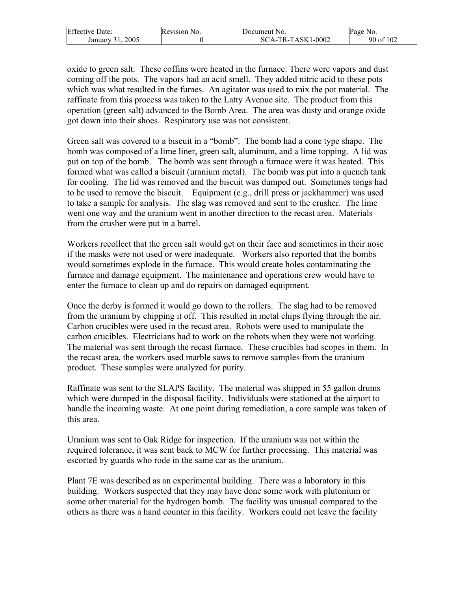| <b>Effective Date:</b> | Revision No. | Document No.      | Page No.                  |
|------------------------|--------------|-------------------|---------------------------|
| 2005<br>January 31     |              | SCA-TR-TASK1-0002 | rf 102<br>$90 \text{ of}$ |

oxide to green salt. These coffins were heated in the furnace. There were vapors and dust coming off the pots. The vapors had an acid smell. They added nitric acid to these pots which was what resulted in the fumes. An agitator was used to mix the pot material. The raffinate from this process was taken to the Latty Avenue site. The product from this operation (green salt) advanced to the Bomb Area. The area was dusty and orange oxide got down into their shoes. Respiratory use was not consistent.

Green salt was covered to a biscuit in a "bomb". The bomb had a cone type shape. The bomb was composed of a lime liner, green salt, aluminum, and a lime topping. A lid was put on top of the bomb. The bomb was sent through a furnace were it was heated. This formed what was called a biscuit (uranium metal). The bomb was put into a quench tank for cooling. The lid was removed and the biscuit was dumped out. Sometimes tongs had to be used to remove the biscuit. Equipment (e.g., drill press or jackhammer) was used to take a sample for analysis. The slag was removed and sent to the crusher. The lime went one way and the uranium went in another direction to the recast area. Materials from the crusher were put in a barrel.

Workers recollect that the green salt would get on their face and sometimes in their nose if the masks were not used or were inadequate. Workers also reported that the bombs would sometimes explode in the furnace. This would create holes contaminating the furnace and damage equipment. The maintenance and operations crew would have to enter the furnace to clean up and do repairs on damaged equipment.

Once the derby is formed it would go down to the rollers. The slag had to be removed from the uranium by chipping it off. This resulted in metal chips flying through the air. Carbon crucibles were used in the recast area. Robots were used to manipulate the carbon crucibles. Electricians had to work on the robots when they were not working. The material was sent through the recast furnace. These crucibles had scopes in them. In the recast area, the workers used marble saws to remove samples from the uranium product. These samples were analyzed for purity.

Raffinate was sent to the SLAPS facility. The material was shipped in 55 gallon drums which were dumped in the disposal facility. Individuals were stationed at the airport to handle the incoming waste. At one point during remediation, a core sample was taken of this area.

Uranium was sent to Oak Ridge for inspection. If the uranium was not within the required tolerance, it was sent back to MCW for further processing. This material was escorted by guards who rode in the same car as the uranium.

Plant 7E was described as an experimental building. There was a laboratory in this building. Workers suspected that they may have done some work with plutonium or some other material for the hydrogen bomb. The facility was unusual compared to the others as there was a hand counter in this facility. Workers could not leave the facility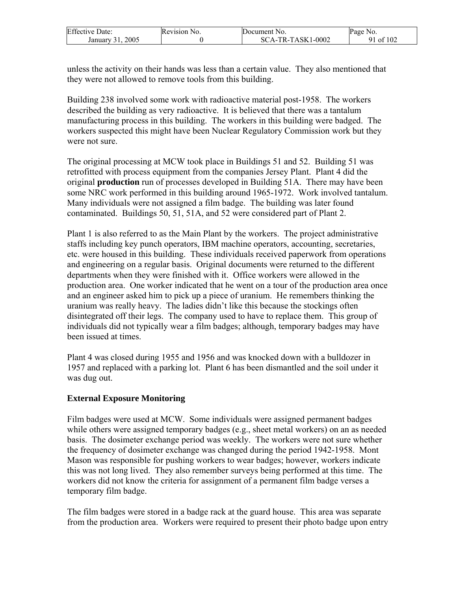| <b>Effective Date:</b> | Revision No. | Document No.      | Page No.  |
|------------------------|--------------|-------------------|-----------|
| 2005<br>January 31,    |              | SCA-TR-TASK1-0002 | 91 of 102 |

unless the activity on their hands was less than a certain value. They also mentioned that they were not allowed to remove tools from this building.

Building 238 involved some work with radioactive material post-1958. The workers described the building as very radioactive. It is believed that there was a tantalum manufacturing process in this building. The workers in this building were badged. The workers suspected this might have been Nuclear Regulatory Commission work but they were not sure.

The original processing at MCW took place in Buildings 51 and 52. Building 51 was retrofitted with process equipment from the companies Jersey Plant. Plant 4 did the original **production** run of processes developed in Building 51A. There may have been some NRC work performed in this building around 1965-1972. Work involved tantalum. Many individuals were not assigned a film badge. The building was later found contaminated. Buildings 50, 51, 51A, and 52 were considered part of Plant 2.

Plant 1 is also referred to as the Main Plant by the workers. The project administrative staffs including key punch operators, IBM machine operators, accounting, secretaries, etc. were housed in this building. These individuals received paperwork from operations and engineering on a regular basis. Original documents were returned to the different departments when they were finished with it. Office workers were allowed in the production area. One worker indicated that he went on a tour of the production area once and an engineer asked him to pick up a piece of uranium. He remembers thinking the uranium was really heavy. The ladies didn't like this because the stockings often disintegrated off their legs. The company used to have to replace them. This group of individuals did not typically wear a film badges; although, temporary badges may have been issued at times.

Plant 4 was closed during 1955 and 1956 and was knocked down with a bulldozer in 1957 and replaced with a parking lot. Plant 6 has been dismantled and the soil under it was dug out.

### **External Exposure Monitoring**

Film badges were used at MCW. Some individuals were assigned permanent badges while others were assigned temporary badges (e.g., sheet metal workers) on an as needed basis. The dosimeter exchange period was weekly. The workers were not sure whether the frequency of dosimeter exchange was changed during the period 1942-1958. Mont Mason was responsible for pushing workers to wear badges; however, workers indicate this was not long lived. They also remember surveys being performed at this time. The workers did not know the criteria for assignment of a permanent film badge verses a temporary film badge.

The film badges were stored in a badge rack at the guard house. This area was separate from the production area. Workers were required to present their photo badge upon entry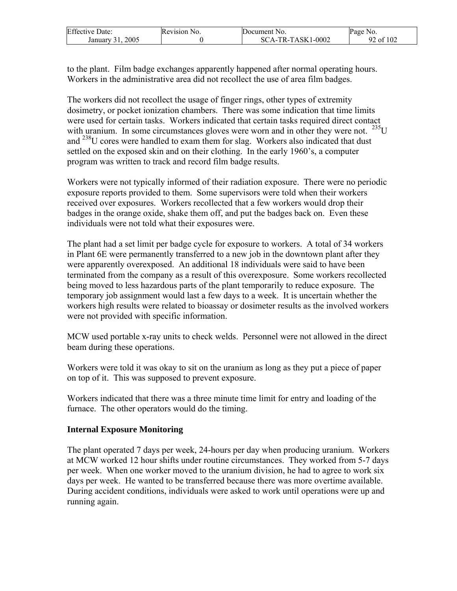| <b>Effective Date:</b> | Revision No. | Document No.      | Page No.  |
|------------------------|--------------|-------------------|-----------|
| 2005<br>January 31.    |              | SCA-TR-TASK1-0002 | 92 of 102 |

to the plant. Film badge exchanges apparently happened after normal operating hours. Workers in the administrative area did not recollect the use of area film badges.

The workers did not recollect the usage of finger rings, other types of extremity dosimetry, or pocket ionization chambers. There was some indication that time limits were used for certain tasks. Workers indicated that certain tasks required direct contact with uranium. In some circumstances gloves were worn and in other they were not.  $^{235}U$ and <sup>238</sup>U cores were handled to exam them for slag. Workers also indicated that dust settled on the exposed skin and on their clothing. In the early 1960's, a computer program was written to track and record film badge results.

Workers were not typically informed of their radiation exposure. There were no periodic exposure reports provided to them. Some supervisors were told when their workers received over exposures. Workers recollected that a few workers would drop their badges in the orange oxide, shake them off, and put the badges back on. Even these individuals were not told what their exposures were.

The plant had a set limit per badge cycle for exposure to workers. A total of 34 workers in Plant 6E were permanently transferred to a new job in the downtown plant after they were apparently overexposed. An additional 18 individuals were said to have been terminated from the company as a result of this overexposure. Some workers recollected being moved to less hazardous parts of the plant temporarily to reduce exposure. The temporary job assignment would last a few days to a week. It is uncertain whether the workers high results were related to bioassay or dosimeter results as the involved workers were not provided with specific information.

MCW used portable x-ray units to check welds. Personnel were not allowed in the direct beam during these operations.

Workers were told it was okay to sit on the uranium as long as they put a piece of paper on top of it. This was supposed to prevent exposure.

Workers indicated that there was a three minute time limit for entry and loading of the furnace. The other operators would do the timing.

### **Internal Exposure Monitoring**

The plant operated 7 days per week, 24-hours per day when producing uranium. Workers at MCW worked 12 hour shifts under routine circumstances. They worked from 5-7 days per week. When one worker moved to the uranium division, he had to agree to work six days per week. He wanted to be transferred because there was more overtime available. During accident conditions, individuals were asked to work until operations were up and running again.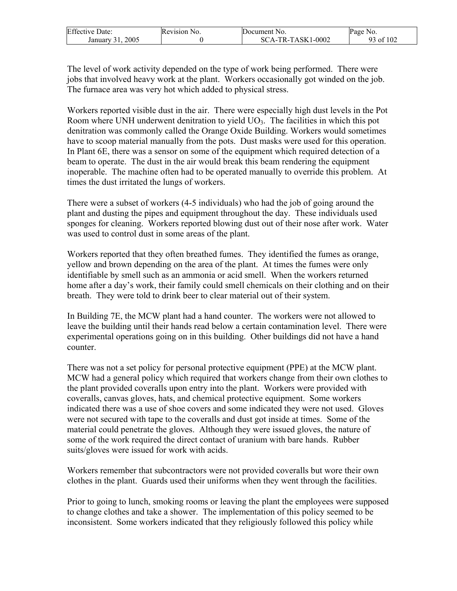| <b>Effective Date:</b> | Revision No. | Document No.      | Page No.        |
|------------------------|--------------|-------------------|-----------------|
| 2005<br>January 31.    |              | SCA-TR-TASK1-0002 | f $102$<br>ot / |

The level of work activity depended on the type of work being performed. There were jobs that involved heavy work at the plant. Workers occasionally got winded on the job. The furnace area was very hot which added to physical stress.

Workers reported visible dust in the air. There were especially high dust levels in the Pot Room where UNH underwent denitration to yield UO<sub>3</sub>. The facilities in which this pot denitration was commonly called the Orange Oxide Building. Workers would sometimes have to scoop material manually from the pots. Dust masks were used for this operation. In Plant 6E, there was a sensor on some of the equipment which required detection of a beam to operate. The dust in the air would break this beam rendering the equipment inoperable. The machine often had to be operated manually to override this problem. At times the dust irritated the lungs of workers.

There were a subset of workers (4-5 individuals) who had the job of going around the plant and dusting the pipes and equipment throughout the day. These individuals used sponges for cleaning. Workers reported blowing dust out of their nose after work. Water was used to control dust in some areas of the plant.

Workers reported that they often breathed fumes. They identified the fumes as orange, yellow and brown depending on the area of the plant. At times the fumes were only identifiable by smell such as an ammonia or acid smell. When the workers returned home after a day's work, their family could smell chemicals on their clothing and on their breath. They were told to drink beer to clear material out of their system.

In Building 7E, the MCW plant had a hand counter. The workers were not allowed to leave the building until their hands read below a certain contamination level. There were experimental operations going on in this building. Other buildings did not have a hand counter.

There was not a set policy for personal protective equipment (PPE) at the MCW plant. MCW had a general policy which required that workers change from their own clothes to the plant provided coveralls upon entry into the plant. Workers were provided with coveralls, canvas gloves, hats, and chemical protective equipment. Some workers indicated there was a use of shoe covers and some indicated they were not used. Gloves were not secured with tape to the coveralls and dust got inside at times. Some of the material could penetrate the gloves. Although they were issued gloves, the nature of some of the work required the direct contact of uranium with bare hands. Rubber suits/gloves were issued for work with acids.

Workers remember that subcontractors were not provided coveralls but wore their own clothes in the plant. Guards used their uniforms when they went through the facilities.

Prior to going to lunch, smoking rooms or leaving the plant the employees were supposed to change clothes and take a shower. The implementation of this policy seemed to be inconsistent. Some workers indicated that they religiously followed this policy while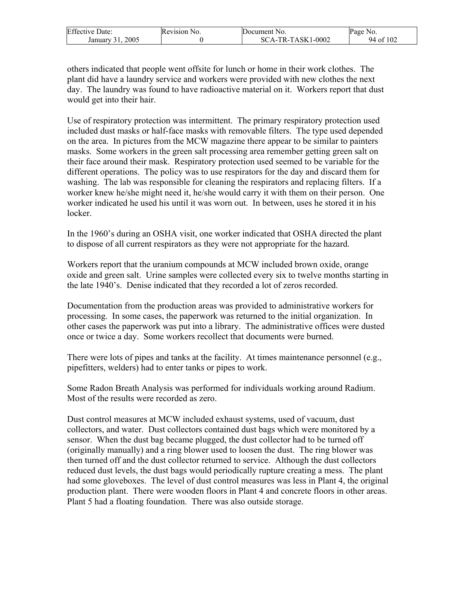| <b>Effective Date:</b> | Revision No. | Document No.      | Page No.      |
|------------------------|--------------|-------------------|---------------|
| 2005<br>January 31.    |              | SCA-TR-TASK1-0002 | f102<br>94 of |

others indicated that people went offsite for lunch or home in their work clothes. The plant did have a laundry service and workers were provided with new clothes the next day. The laundry was found to have radioactive material on it. Workers report that dust would get into their hair.

Use of respiratory protection was intermittent. The primary respiratory protection used included dust masks or half-face masks with removable filters. The type used depended on the area. In pictures from the MCW magazine there appear to be similar to painters masks. Some workers in the green salt processing area remember getting green salt on their face around their mask. Respiratory protection used seemed to be variable for the different operations. The policy was to use respirators for the day and discard them for washing. The lab was responsible for cleaning the respirators and replacing filters. If a worker knew he/she might need it, he/she would carry it with them on their person. One worker indicated he used his until it was worn out. In between, uses he stored it in his locker.

In the 1960's during an OSHA visit, one worker indicated that OSHA directed the plant to dispose of all current respirators as they were not appropriate for the hazard.

Workers report that the uranium compounds at MCW included brown oxide, orange oxide and green salt. Urine samples were collected every six to twelve months starting in the late 1940's. Denise indicated that they recorded a lot of zeros recorded.

Documentation from the production areas was provided to administrative workers for processing. In some cases, the paperwork was returned to the initial organization. In other cases the paperwork was put into a library. The administrative offices were dusted once or twice a day. Some workers recollect that documents were burned.

There were lots of pipes and tanks at the facility. At times maintenance personnel (e.g., pipefitters, welders) had to enter tanks or pipes to work.

Some Radon Breath Analysis was performed for individuals working around Radium. Most of the results were recorded as zero.

Dust control measures at MCW included exhaust systems, used of vacuum, dust collectors, and water. Dust collectors contained dust bags which were monitored by a sensor. When the dust bag became plugged, the dust collector had to be turned off (originally manually) and a ring blower used to loosen the dust. The ring blower was then turned off and the dust collector returned to service. Although the dust collectors reduced dust levels, the dust bags would periodically rupture creating a mess. The plant had some gloveboxes. The level of dust control measures was less in Plant 4, the original production plant. There were wooden floors in Plant 4 and concrete floors in other areas. Plant 5 had a floating foundation. There was also outside storage.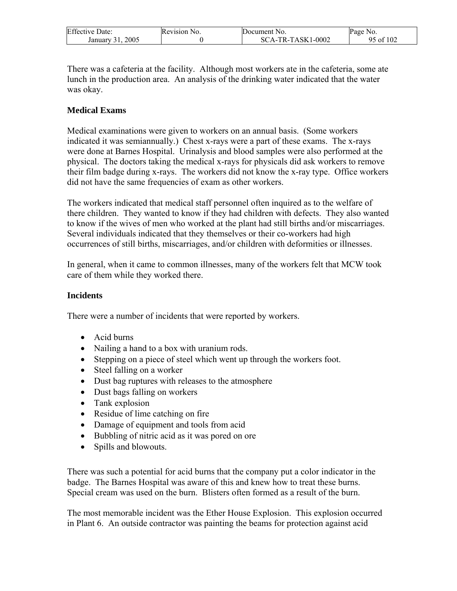| <b>Effective Date:</b> | Revision No. | Document No.      | Page No.  |
|------------------------|--------------|-------------------|-----------|
| 2005<br>January 31.    |              | SCA-TR-TASK1-0002 | 95 of 102 |

There was a cafeteria at the facility. Although most workers ate in the cafeteria, some ate lunch in the production area. An analysis of the drinking water indicated that the water was okay.

#### **Medical Exams**

Medical examinations were given to workers on an annual basis. (Some workers indicated it was semiannually.) Chest x-rays were a part of these exams. The x-rays were done at Barnes Hospital. Urinalysis and blood samples were also performed at the physical. The doctors taking the medical x-rays for physicals did ask workers to remove their film badge during x-rays. The workers did not know the x-ray type. Office workers did not have the same frequencies of exam as other workers.

The workers indicated that medical staff personnel often inquired as to the welfare of there children. They wanted to know if they had children with defects. They also wanted to know if the wives of men who worked at the plant had still births and/or miscarriages. Several individuals indicated that they themselves or their co-workers had high occurrences of still births, miscarriages, and/or children with deformities or illnesses.

In general, when it came to common illnesses, many of the workers felt that MCW took care of them while they worked there.

#### **Incidents**

There were a number of incidents that were reported by workers.

- Acid burns
- Nailing a hand to a box with uranium rods.
- Stepping on a piece of steel which went up through the workers foot.
- Steel falling on a worker
- Dust bag ruptures with releases to the atmosphere
- Dust bags falling on workers
- Tank explosion
- Residue of lime catching on fire
- Damage of equipment and tools from acid
- Bubbling of nitric acid as it was pored on ore
- Spills and blowouts.

There was such a potential for acid burns that the company put a color indicator in the badge. The Barnes Hospital was aware of this and knew how to treat these burns. Special cream was used on the burn. Blisters often formed as a result of the burn.

The most memorable incident was the Ether House Explosion. This explosion occurred in Plant 6. An outside contractor was painting the beams for protection against acid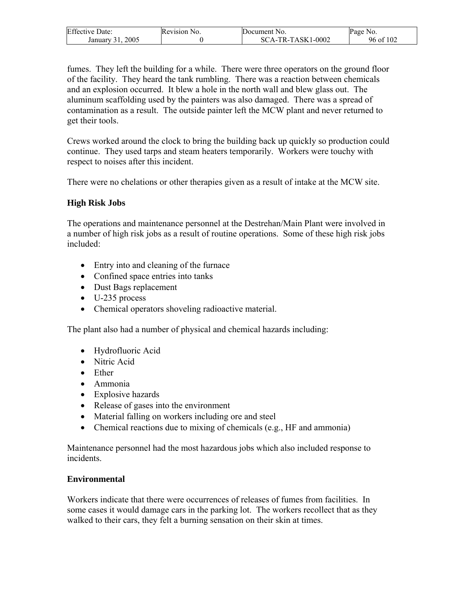| <b>Effective Date:</b> | Revision No. | 'Document No.     | Page No.  |
|------------------------|--------------|-------------------|-----------|
| 2005<br>January 31,    |              | SCA-TR-TASK1-0002 | 96 of 102 |

fumes. They left the building for a while. There were three operators on the ground floor of the facility. They heard the tank rumbling. There was a reaction between chemicals and an explosion occurred. It blew a hole in the north wall and blew glass out. The aluminum scaffolding used by the painters was also damaged. There was a spread of contamination as a result. The outside painter left the MCW plant and never returned to get their tools.

Crews worked around the clock to bring the building back up quickly so production could continue. They used tarps and steam heaters temporarily. Workers were touchy with respect to noises after this incident.

There were no chelations or other therapies given as a result of intake at the MCW site.

### **High Risk Jobs**

The operations and maintenance personnel at the Destrehan/Main Plant were involved in a number of high risk jobs as a result of routine operations. Some of these high risk jobs included:

- Entry into and cleaning of the furnace
- Confined space entries into tanks
- Dust Bags replacement
- U-235 process
- Chemical operators shoveling radioactive material.

The plant also had a number of physical and chemical hazards including:

- Hydrofluoric Acid
- Nitric Acid
- Ether
- Ammonia
- Explosive hazards
- Release of gases into the environment
- Material falling on workers including ore and steel
- Chemical reactions due to mixing of chemicals (e.g., HF and ammonia)

Maintenance personnel had the most hazardous jobs which also included response to incidents.

### **Environmental**

Workers indicate that there were occurrences of releases of fumes from facilities. In some cases it would damage cars in the parking lot. The workers recollect that as they walked to their cars, they felt a burning sensation on their skin at times.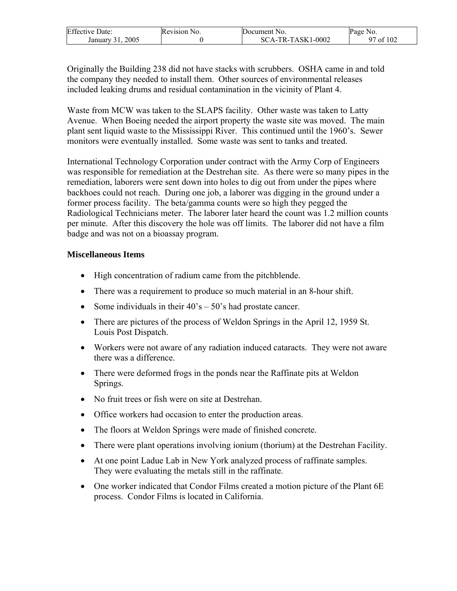| <b>Effective Date:</b> | Revision No. | Document No.      | Page No.                       |
|------------------------|--------------|-------------------|--------------------------------|
| 2005<br>January 31.    |              | SCA-TR-TASK1-0002 | $^{\prime}$ of 102 $^{\prime}$ |

Originally the Building 238 did not have stacks with scrubbers. OSHA came in and told the company they needed to install them. Other sources of environmental releases included leaking drums and residual contamination in the vicinity of Plant 4.

Waste from MCW was taken to the SLAPS facility. Other waste was taken to Latty Avenue. When Boeing needed the airport property the waste site was moved. The main plant sent liquid waste to the Mississippi River. This continued until the 1960's. Sewer monitors were eventually installed. Some waste was sent to tanks and treated.

International Technology Corporation under contract with the Army Corp of Engineers was responsible for remediation at the Destrehan site. As there were so many pipes in the remediation, laborers were sent down into holes to dig out from under the pipes where backhoes could not reach. During one job, a laborer was digging in the ground under a former process facility. The beta/gamma counts were so high they pegged the Radiological Technicians meter. The laborer later heard the count was 1.2 million counts per minute. After this discovery the hole was off limits. The laborer did not have a film badge and was not on a bioassay program.

#### **Miscellaneous Items**

- High concentration of radium came from the pitchblende.
- There was a requirement to produce so much material in an 8-hour shift.
- Some individuals in their  $40^\circ$ s  $50^\circ$ s had prostate cancer.
- There are pictures of the process of Weldon Springs in the April 12, 1959 St. Louis Post Dispatch.
- Workers were not aware of any radiation induced cataracts. They were not aware there was a difference.
- There were deformed frogs in the ponds near the Raffinate pits at Weldon Springs.
- No fruit trees or fish were on site at Destrehan.
- Office workers had occasion to enter the production areas.
- The floors at Weldon Springs were made of finished concrete.
- There were plant operations involving ionium (thorium) at the Destrehan Facility.
- At one point Ladue Lab in New York analyzed process of raffinate samples. They were evaluating the metals still in the raffinate.
- One worker indicated that Condor Films created a motion picture of the Plant 6E process. Condor Films is located in California.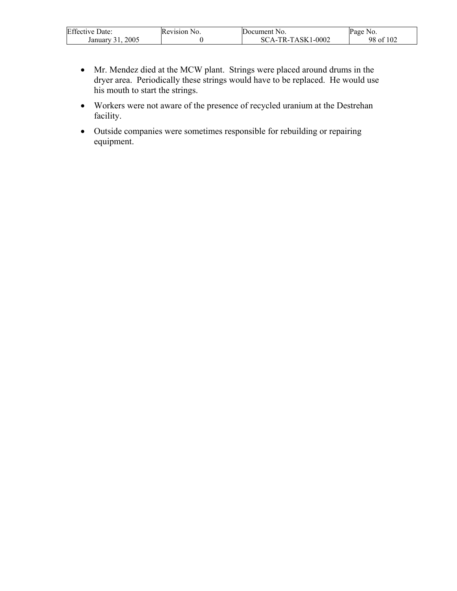| <b>Effective Date:</b> | Revision No. | Document No.      | Page No.      |
|------------------------|--------------|-------------------|---------------|
| 2005<br>January 31.    |              | SCA-TR-TASK1-0002 | f102<br>98 of |

• Mr. Mendez died at the MCW plant. Strings were placed around drums in the dryer area. Periodically these strings would have to be replaced. He would use his mouth to start the strings.

 $\overline{\phantom{a}}$ 

- Workers were not aware of the presence of recycled uranium at the Destrehan facility.
- Outside companies were sometimes responsible for rebuilding or repairing equipment.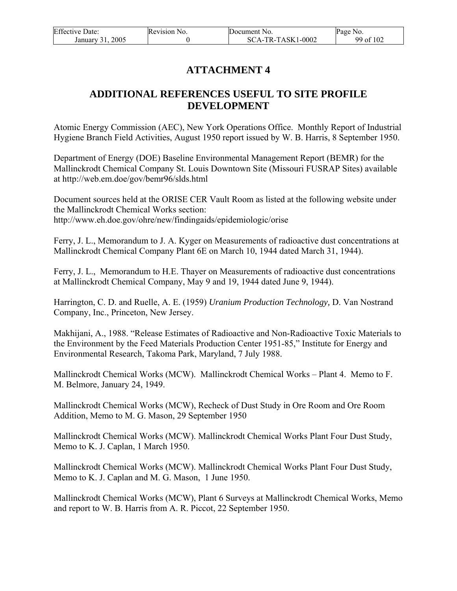| <b>Effective Date:</b> | Revision No. | Document No.        | Page No.  |
|------------------------|--------------|---------------------|-----------|
| 2005<br>January 31.    |              | $SCA-TR-TASK1-0002$ | 99 of 102 |

# **ATTACHMENT 4**

# **ADDITIONAL REFERENCES USEFUL TO SITE PROFILE DEVELOPMENT**

Atomic Energy Commission (AEC), New York Operations Office. Monthly Report of Industrial Hygiene Branch Field Activities, August 1950 report issued by W. B. Harris, 8 September 1950.

Department of Energy (DOE) Baseline Environmental Management Report (BEMR) for the Mallinckrodt Chemical Company St. Louis Downtown Site (Missouri FUSRAP Sites) available at http://web.em.doe/gov/bemr96/slds.html

Document sources held at the ORISE CER Vault Room as listed at the following website under the Mallinckrodt Chemical Works section: http://www.eh.doe.gov/ohre/new/findingaids/epidemiologic/orise

Ferry, J. L., Memorandum to J. A. Kyger on Measurements of radioactive dust concentrations at Mallinckrodt Chemical Company Plant 6E on March 10, 1944 dated March 31, 1944).

Ferry, J. L., Memorandum to H.E. Thayer on Measurements of radioactive dust concentrations at Mallinckrodt Chemical Company, May 9 and 19, 1944 dated June 9, 1944).

Harrington, C. D. and Ruelle, A. E. (1959) *Uranium Production Technology,* D. Van Nostrand Company, Inc., Princeton, New Jersey.

Makhijani, A., 1988. "Release Estimates of Radioactive and Non-Radioactive Toxic Materials to the Environment by the Feed Materials Production Center 1951-85," Institute for Energy and Environmental Research, Takoma Park, Maryland, 7 July 1988.

Mallinckrodt Chemical Works (MCW). Mallinckrodt Chemical Works – Plant 4. Memo to F. M. Belmore, January 24, 1949.

Mallinckrodt Chemical Works (MCW), Recheck of Dust Study in Ore Room and Ore Room Addition, Memo to M. G. Mason, 29 September 1950

Mallinckrodt Chemical Works (MCW). Mallinckrodt Chemical Works Plant Four Dust Study, Memo to K. J. Caplan, 1 March 1950.

Mallinckrodt Chemical Works (MCW). Mallinckrodt Chemical Works Plant Four Dust Study, Memo to K. J. Caplan and M. G. Mason, 1 June 1950.

Mallinckrodt Chemical Works (MCW), Plant 6 Surveys at Mallinckrodt Chemical Works, Memo and report to W. B. Harris from A. R. Piccot, 22 September 1950.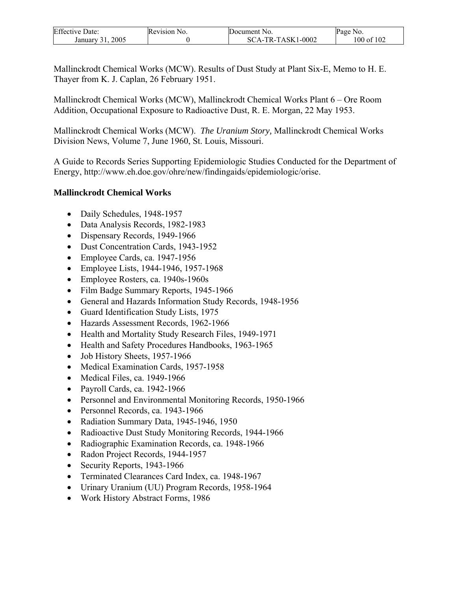| <b>Effective Date:</b> | Revision No. | Document No.      | Page No.       |
|------------------------|--------------|-------------------|----------------|
| 2005<br>January 31     |              | SCA-TR-TASK1-0002 | $100$ of $102$ |

Mallinckrodt Chemical Works (MCW). Results of Dust Study at Plant Six-E, Memo to H. E. Thayer from K. J. Caplan, 26 February 1951.

Mallinckrodt Chemical Works (MCW), Mallinckrodt Chemical Works Plant 6 – Ore Room Addition, Occupational Exposure to Radioactive Dust, R. E. Morgan, 22 May 1953.

Mallinckrodt Chemical Works (MCW). *The Uranium Story,* Mallinckrodt Chemical Works Division News, Volume 7, June 1960, St. Louis, Missouri.

A Guide to Records Series Supporting Epidemiologic Studies Conducted for the Department of Energy, http://www.eh.doe.gov/ohre/new/findingaids/epidemiologic/orise.

### **Mallinckrodt Chemical Works**

- Daily Schedules, 1948-1957
- Data Analysis Records, 1982-1983
- Dispensary Records, 1949-1966
- Dust Concentration Cards, 1943-1952
- Employee Cards, ca. 1947-1956
- Employee Lists, 1944-1946, 1957-1968
- Employee Rosters, ca. 1940s-1960s
- Film Badge Summary Reports, 1945-1966
- General and Hazards Information Study Records, 1948-1956
- Guard Identification Study Lists, 1975
- Hazards Assessment Records, 1962-1966
- Health and Mortality Study Research Files, 1949-1971
- Health and Safety Procedures Handbooks, 1963-1965
- Job History Sheets, 1957-1966
- Medical Examination Cards, 1957-1958
- Medical Files, ca. 1949-1966
- Payroll Cards, ca. 1942-1966
- Personnel and Environmental Monitoring Records, 1950-1966
- Personnel Records, ca. 1943-1966
- Radiation Summary Data, 1945-1946, 1950
- Radioactive Dust Study Monitoring Records, 1944-1966
- Radiographic Examination Records, ca. 1948-1966
- Radon Project Records, 1944-1957
- Security Reports, 1943-1966
- Terminated Clearances Card Index, ca. 1948-1967
- Urinary Uranium (UU) Program Records, 1958-1964
- Work History Abstract Forms, 1986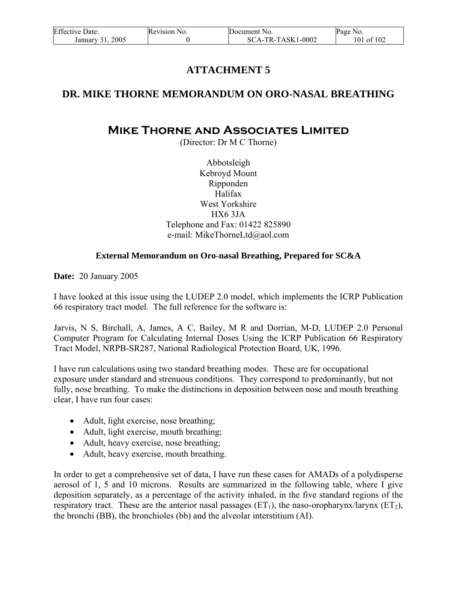| <b>Effective Date:</b><br>Revision No. |  | Document No.        | Page No.   |  |
|----------------------------------------|--|---------------------|------------|--|
| 2005<br>January 31.                    |  | $SCA-TR-TASK1-0002$ | 101 of 102 |  |

# **ATTACHMENT 5**

### **DR. MIKE THORNE MEMORANDUM ON ORO-NASAL BREATHING**

# **Mike Thorne and Associates Limited**

(Director: Dr M C Thorne)

Abbotsleigh Kebroyd Mount Ripponden Halifax West Yorkshire HX6 3JA Telephone and Fax: 01422 825890 e-mail: MikeThorneLtd@aol.com

#### **External Memorandum on Oro-nasal Breathing, Prepared for SC&A**

**Date:** 20 January 2005

I have looked at this issue using the LUDEP 2.0 model, which implements the ICRP Publication 66 respiratory tract model. The full reference for the software is:

Jarvis, N S, Birchall, A, James, A C, Bailey, M R and Dorrian, M-D, LUDEP 2.0 Personal Computer Program for Calculating Internal Doses Using the ICRP Publication 66 Respiratory Tract Model, NRPB-SR287, National Radiological Protection Board, UK, 1996.

I have run calculations using two standard breathing modes. These are for occupational exposure under standard and strenuous conditions. They correspond to predominantly, but not fully, nose breathing. To make the distinctions in deposition between nose and mouth breathing clear, I have run four cases:

- Adult, light exercise, nose breathing;
- Adult, light exercise, mouth breathing;
- Adult, heavy exercise, nose breathing;
- Adult, heavy exercise, mouth breathing.

In order to get a comprehensive set of data, I have run these cases for AMADs of a polydisperse aerosol of 1, 5 and 10 microns. Results are summarized in the following table, where I give deposition separately, as a percentage of the activity inhaled, in the five standard regions of the respiratory tract. These are the anterior nasal passages  $(ET_1)$ , the naso-oropharynx/larynx  $(ET_2)$ , the bronchi (BB), the bronchioles (bb) and the alveolar interstitium (AI).